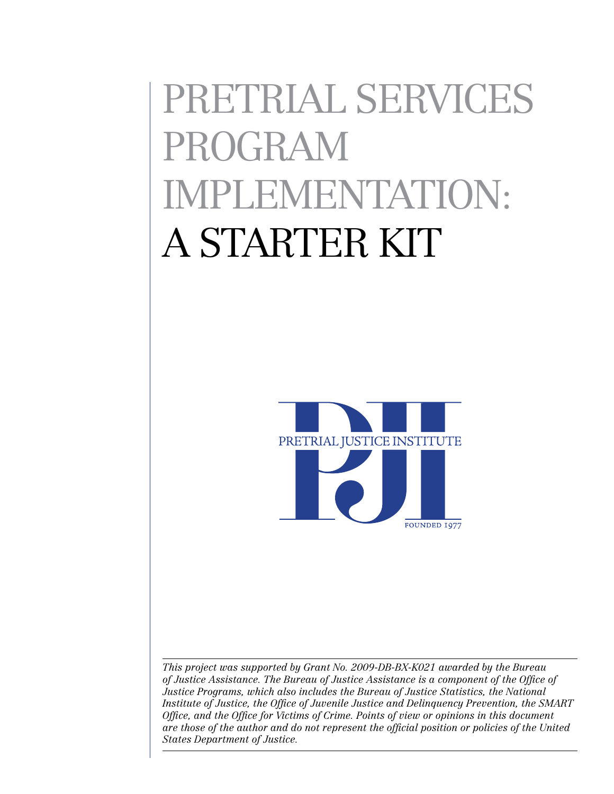# PRETRIAL SERVICES PROGRAM IPLEMENTATION: A STARTER KIT



*This project was supported by Grant No. 2009-DB-BX-K021 awarded by the Bureau of Justice Assistance. The Bureau of Justice Assistance is a component of the Office of Justice Programs, which also includes the Bureau of Justice Statistics, the National Institute of Justice, the Office of Juvenile Justice and Delinquency Prevention, the SMART Office, and the Office for Victims of Crime. Points of view or opinions in this document are those of the author and do not represent the official position or policies of the United States Department of Justice.*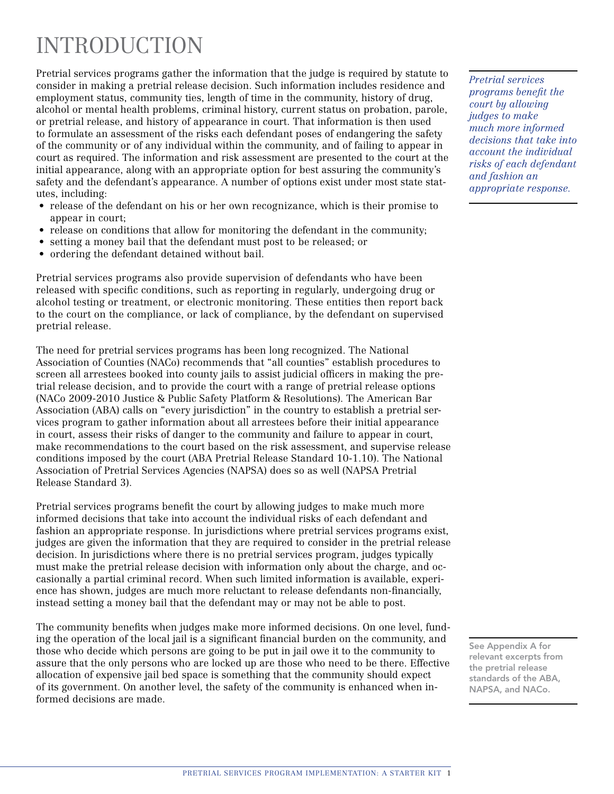# INTRODUCTION

Pretrial services programs gather the information that the judge is required by statute to consider in making a pretrial release decision. Such information includes residence and employment status, community ties, length of time in the community, history of drug, alcohol or mental health problems, criminal history, current status on probation, parole, or pretrial release, and history of appearance in court. That information is then used to formulate an assessment of the risks each defendant poses of endangering the safety of the community or of any individual within the community, and of failing to appear in court as required. The information and risk assessment are presented to the court at the initial appearance, along with an appropriate option for best assuring the community's safety and the defendant's appearance. A number of options exist under most state statutes, including:

- release of the defendant on his or her own recognizance, which is their promise to appear in court;
- release on conditions that allow for monitoring the defendant in the community;
- setting a money bail that the defendant must post to be released; or
- ordering the defendant detained without bail.

Pretrial services programs also provide supervision of defendants who have been released with specific conditions, such as reporting in regularly, undergoing drug or alcohol testing or treatment, or electronic monitoring. These entities then report back to the court on the compliance, or lack of compliance, by the defendant on supervised pretrial release.

The need for pretrial services programs has been long recognized. The National Association of Counties (NACo) recommends that "all counties" establish procedures to screen all arrestees booked into county jails to assist judicial officers in making the pretrial release decision, and to provide the court with a range of pretrial release options (NACo 2009-2010 Justice & Public Safety Platform & Resolutions). The American Bar Association (ABA) calls on "every jurisdiction" in the country to establish a pretrial services program to gather information about all arrestees before their initial appearance in court, assess their risks of danger to the community and failure to appear in court, make recommendations to the court based on the risk assessment, and supervise release conditions imposed by the court (ABA Pretrial Release Standard 10-1.10). The National Association of Pretrial Services Agencies (NAPSA) does so as well (NAPSA Pretrial Release Standard 3).

Pretrial services programs benefit the court by allowing judges to make much more informed decisions that take into account the individual risks of each defendant and fashion an appropriate response. In jurisdictions where pretrial services programs exist, judges are given the information that they are required to consider in the pretrial release decision. In jurisdictions where there is no pretrial services program, judges typically must make the pretrial release decision with information only about the charge, and occasionally a partial criminal record. When such limited information is available, experience has shown, judges are much more reluctant to release defendants non-financially, instead setting a money bail that the defendant may or may not be able to post.

The community benefits when judges make more informed decisions. On one level, funding the operation of the local jail is a significant financial burden on the community, and those who decide which persons are going to be put in jail owe it to the community to assure that the only persons who are locked up are those who need to be there. Effective allocation of expensive jail bed space is something that the community should expect of its government. On another level, the safety of the community is enhanced when informed decisions are made.

*Pretrial services programs benefit the court by allowing judges to make much more informed decisions that take into account the individual risks of each defendant and fashion an appropriate response.*

See Appendix A for relevant excerpts from the pretrial release standards of the ABA, NAPSA, and NACo.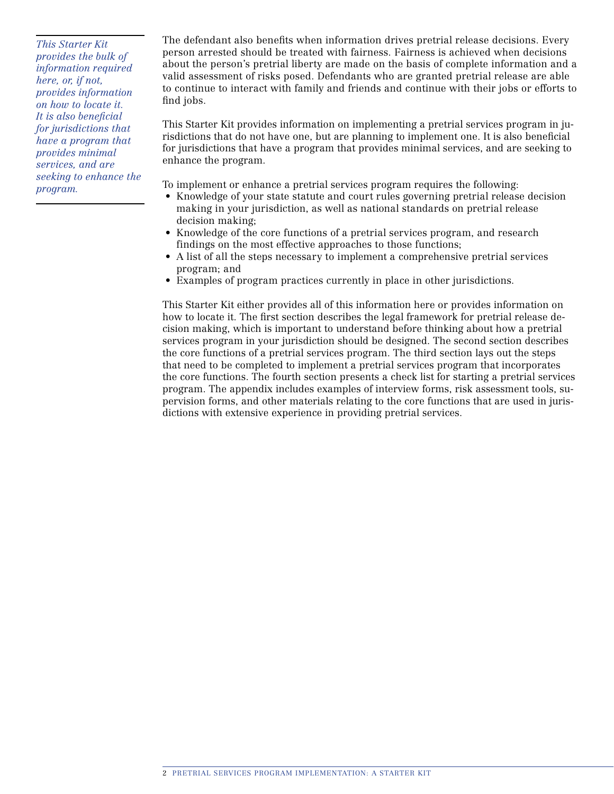*This Starter Kit provides the bulk of information required here, or, if not, provides information on how to locate it. It is also beneficial for jurisdictions that have a program that provides minimal services, and are seeking to enhance the program.* 

The defendant also benefits when information drives pretrial release decisions. Every person arrested should be treated with fairness. Fairness is achieved when decisions about the person's pretrial liberty are made on the basis of complete information and a valid assessment of risks posed. Defendants who are granted pretrial release are able to continue to interact with family and friends and continue with their jobs or efforts to find jobs.

This Starter Kit provides information on implementing a pretrial services program in jurisdictions that do not have one, but are planning to implement one. It is also beneficial for jurisdictions that have a program that provides minimal services, and are seeking to enhance the program.

- To implement or enhance a pretrial services program requires the following:
- Knowledge of your state statute and court rules governing pretrial release decision making in your jurisdiction, as well as national standards on pretrial release decision making;
- Knowledge of the core functions of a pretrial services program, and research findings on the most effective approaches to those functions;
- A list of all the steps necessary to implement a comprehensive pretrial services program; and
- Examples of program practices currently in place in other jurisdictions.

This Starter Kit either provides all of this information here or provides information on how to locate it. The first section describes the legal framework for pretrial release decision making, which is important to understand before thinking about how a pretrial services program in your jurisdiction should be designed. The second section describes the core functions of a pretrial services program. The third section lays out the steps that need to be completed to implement a pretrial services program that incorporates the core functions. The fourth section presents a check list for starting a pretrial services program. The appendix includes examples of interview forms, risk assessment tools, supervision forms, and other materials relating to the core functions that are used in jurisdictions with extensive experience in providing pretrial services.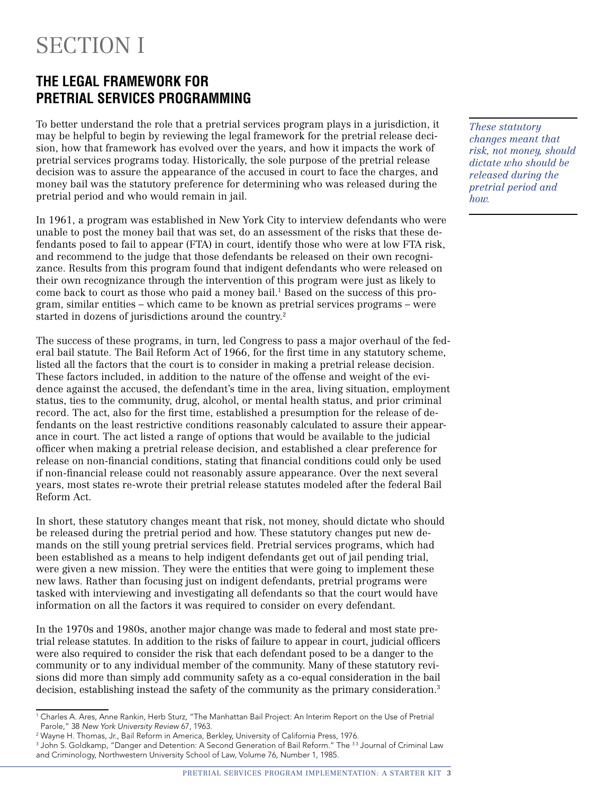# SECTION I

### **THE LEGAL FRAMEWORK FOR PRETRIAL SERVICES PROGRAMMING**

To better understand the role that a pretrial services program plays in a jurisdiction, it may be helpful to begin by reviewing the legal framework for the pretrial release decision, how that framework has evolved over the years, and how it impacts the work of pretrial services programs today. Historically, the sole purpose of the pretrial release decision was to assure the appearance of the accused in court to face the charges, and money bail was the statutory preference for determining who was released during the pretrial period and who would remain in jail.

In 1961, a program was established in New York City to interview defendants who were unable to post the money bail that was set, do an assessment of the risks that these defendants posed to fail to appear (FTA) in court, identify those who were at low FTA risk, and recommend to the judge that those defendants be released on their own recognizance. Results from this program found that indigent defendants who were released on their own recognizance through the intervention of this program were just as likely to come back to court as those who paid a money bail.<sup>1</sup> Based on the success of this program, similar entities – which came to be known as pretrial services programs – were started in dozens of jurisdictions around the country.<sup>2</sup>

The success of these programs, in turn, led Congress to pass a major overhaul of the federal bail statute. The Bail Reform Act of 1966, for the first time in any statutory scheme, listed all the factors that the court is to consider in making a pretrial release decision. These factors included, in addition to the nature of the offense and weight of the evidence against the accused, the defendant's time in the area, living situation, employment status, ties to the community, drug, alcohol, or mental health status, and prior criminal record. The act, also for the first time, established a presumption for the release of defendants on the least restrictive conditions reasonably calculated to assure their appearance in court. The act listed a range of options that would be available to the judicial officer when making a pretrial release decision, and established a clear preference for release on non-financial conditions, stating that financial conditions could only be used if non-financial release could not reasonably assure appearance. Over the next several years, most states re-wrote their pretrial release statutes modeled after the federal Bail Reform Act.

In short, these statutory changes meant that risk, not money, should dictate who should be released during the pretrial period and how. These statutory changes put new demands on the still young pretrial services field. Pretrial services programs, which had been established as a means to help indigent defendants get out of jail pending trial, were given a new mission. They were the entities that were going to implement these new laws. Rather than focusing just on indigent defendants, pretrial programs were tasked with interviewing and investigating all defendants so that the court would have information on all the factors it was required to consider on every defendant.

In the 1970s and 1980s, another major change was made to federal and most state pretrial release statutes. In addition to the risks of failure to appear in court, judicial officers were also required to consider the risk that each defendant posed to be a danger to the community or to any individual member of the community. Many of these statutory revisions did more than simply add community safety as a co-equal consideration in the bail decision, establishing instead the safety of the community as the primary consideration.<sup>3</sup>

*These statutory changes meant that risk, not money, should dictate who should be released during the pretrial period and how.* 

<sup>1</sup> Charles A. Ares, Anne Rankin, Herb Sturz, "The Manhattan Bail Project: An Interim Report on the Use of Pretrial Parole," 38 *New York University Review* 67, 1963.

<sup>2</sup> Wayne H. Thomas, Jr., Bail Reform in America, Berkley, University of California Press, 1976.

 $^3$  John S. Goldkamp, "Danger and Detention: A Second Generation of Bail Reform." The  $^{33}$  Journal of Criminal Law and Criminology, Northwestern University School of Law, Volume 76, Number 1, 1985.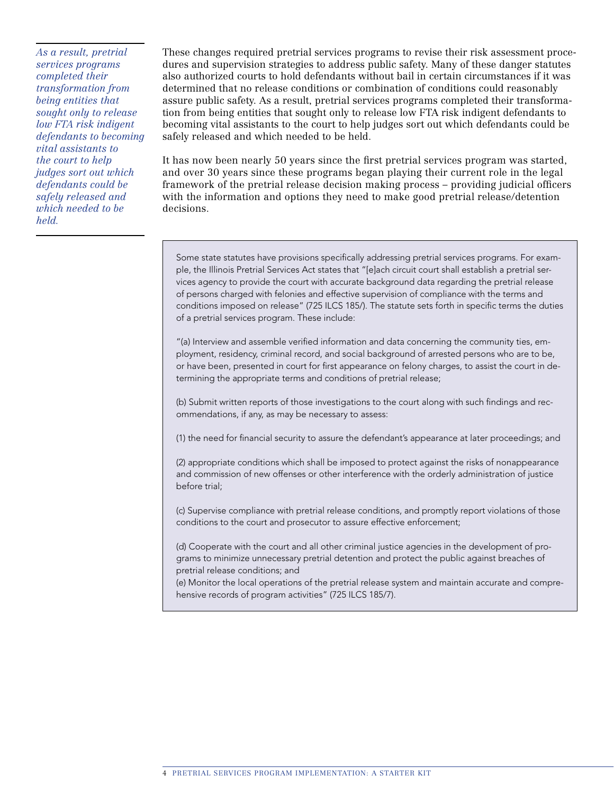*As a result, pretrial services programs completed their transformation from being entities that sought only to release low FTA risk indigent defendants to becoming vital assistants to the court to help judges sort out which defendants could be safely released and which needed to be held.* 

These changes required pretrial services programs to revise their risk assessment procedures and supervision strategies to address public safety. Many of these danger statutes also authorized courts to hold defendants without bail in certain circumstances if it was determined that no release conditions or combination of conditions could reasonably assure public safety. As a result, pretrial services programs completed their transformation from being entities that sought only to release low FTA risk indigent defendants to becoming vital assistants to the court to help judges sort out which defendants could be safely released and which needed to be held.

It has now been nearly 50 years since the first pretrial services program was started, and over 30 years since these programs began playing their current role in the legal framework of the pretrial release decision making process – providing judicial officers with the information and options they need to make good pretrial release/detention decisions.

Some state statutes have provisions specifically addressing pretrial services programs. For example, the Illinois Pretrial Services Act states that "[e]ach circuit court shall establish a pretrial services agency to provide the court with accurate background data regarding the pretrial release of persons charged with felonies and effective supervision of compliance with the terms and conditions imposed on release" (725 ILCS 185/). The statute sets forth in specific terms the duties of a pretrial services program. These include:

"(a) Interview and assemble verified information and data concerning the community ties, employment, residency, criminal record, and social background of arrested persons who are to be, or have been, presented in court for first appearance on felony charges, to assist the court in determining the appropriate terms and conditions of pretrial release;

(b) Submit written reports of those investigations to the court along with such findings and recommendations, if any, as may be necessary to assess:

(1) the need for financial security to assure the defendant's appearance at later proceedings; and

(2) appropriate conditions which shall be imposed to protect against the risks of nonappearance and commission of new offenses or other interference with the orderly administration of justice before trial;

(c) Supervise compliance with pretrial release conditions, and promptly report violations of those conditions to the court and prosecutor to assure effective enforcement;

(d) Cooperate with the court and all other criminal justice agencies in the development of programs to minimize unnecessary pretrial detention and protect the public against breaches of pretrial release conditions; and

(e) Monitor the local operations of the pretrial release system and maintain accurate and comprehensive records of program activities" (725 ILCS 185/7).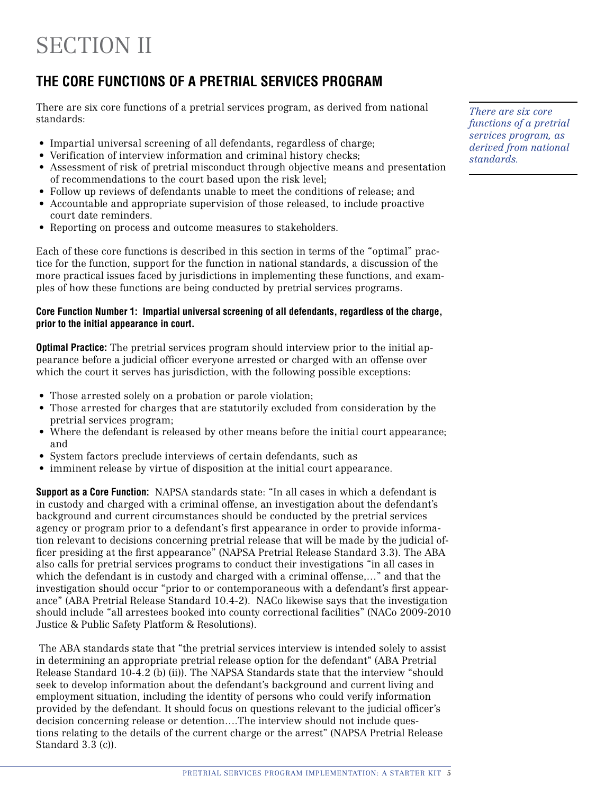# SECTION II

### **THE CORE FUNCTIONS OF A PRETRIAL SERVICES PROGRAM**

There are six core functions of a pretrial services program, as derived from national standards:

- Impartial universal screening of all defendants, regardless of charge;
- Verification of interview information and criminal history checks;
- Assessment of risk of pretrial misconduct through objective means and presentation of recommendations to the court based upon the risk level;
- Follow up reviews of defendants unable to meet the conditions of release; and • Accountable and appropriate supervision of those released, to include proactive court date reminders.
- Reporting on process and outcome measures to stakeholders.

Each of these core functions is described in this section in terms of the "optimal" practice for the function, support for the function in national standards, a discussion of the more practical issues faced by jurisdictions in implementing these functions, and examples of how these functions are being conducted by pretrial services programs.

### **Core Function Number 1: Impartial universal screening of all defendants, regardless of the charge, prior to the initial appearance in court.**

**Optimal Practice:** The pretrial services program should interview prior to the initial appearance before a judicial officer everyone arrested or charged with an offense over which the court it serves has jurisdiction, with the following possible exceptions:

- Those arrested solely on a probation or parole violation;
- Those arrested for charges that are statutorily excluded from consideration by the pretrial services program;
- Where the defendant is released by other means before the initial court appearance; and
- System factors preclude interviews of certain defendants, such as
- imminent release by virtue of disposition at the initial court appearance.

**Support as a Core Function:** NAPSA standards state: "In all cases in which a defendant is in custody and charged with a criminal offense, an investigation about the defendant's background and current circumstances should be conducted by the pretrial services agency or program prior to a defendant's first appearance in order to provide information relevant to decisions concerning pretrial release that will be made by the judicial officer presiding at the first appearance" (NAPSA Pretrial Release Standard 3.3). The ABA also calls for pretrial services programs to conduct their investigations "in all cases in which the defendant is in custody and charged with a criminal offense,…" and that the investigation should occur "prior to or contemporaneous with a defendant's first appearance" (ABA Pretrial Release Standard 10.4-2). NACo likewise says that the investigation should include "all arrestees booked into county correctional facilities" (NACo 2009-2010 Justice & Public Safety Platform & Resolutions).

 The ABA standards state that "the pretrial services interview is intended solely to assist in determining an appropriate pretrial release option for the defendant" (ABA Pretrial Release Standard 10-4.2 (b) (ii)). The NAPSA Standards state that the interview "should seek to develop information about the defendant's background and current living and employment situation, including the identity of persons who could verify information provided by the defendant. It should focus on questions relevant to the judicial officer's decision concerning release or detention….The interview should not include questions relating to the details of the current charge or the arrest" (NAPSA Pretrial Release Standard  $3.\overline{3}$  (c)).

*There are six core functions of a pretrial services program, as derived from national standards.*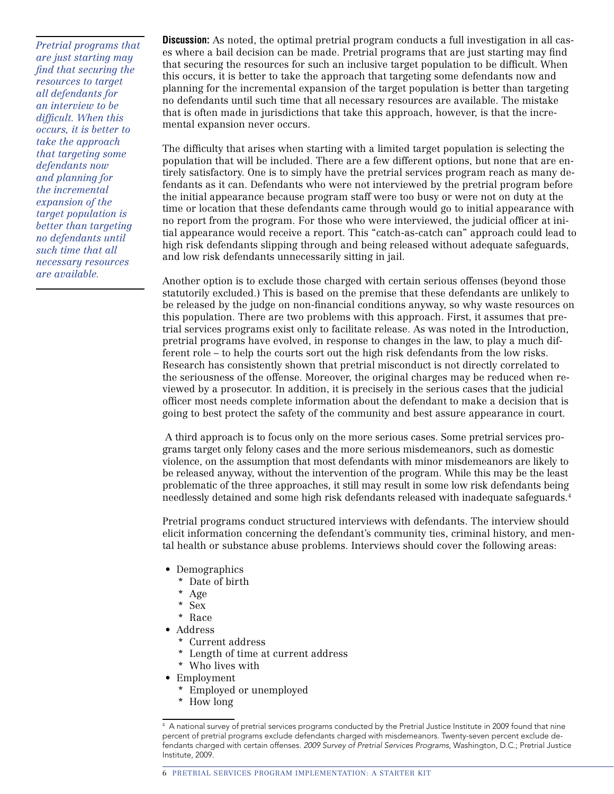*Pretrial programs that are just starting may find that securing the resources to target all defendants for an interview to be difficult. When this occurs, it is better to take the approach that targeting some defendants now and planning for the incremental expansion of the target population is better than targeting no defendants until such time that all necessary resources are available.* 

**Discussion:** As noted, the optimal pretrial program conducts a full investigation in all cases where a bail decision can be made. Pretrial programs that are just starting may find that securing the resources for such an inclusive target population to be difficult. When this occurs, it is better to take the approach that targeting some defendants now and planning for the incremental expansion of the target population is better than targeting no defendants until such time that all necessary resources are available. The mistake that is often made in jurisdictions that take this approach, however, is that the incremental expansion never occurs.

The difficulty that arises when starting with a limited target population is selecting the population that will be included. There are a few different options, but none that are entirely satisfactory. One is to simply have the pretrial services program reach as many defendants as it can. Defendants who were not interviewed by the pretrial program before the initial appearance because program staff were too busy or were not on duty at the time or location that these defendants came through would go to initial appearance with no report from the program. For those who were interviewed, the judicial officer at initial appearance would receive a report. This "catch-as-catch can" approach could lead to high risk defendants slipping through and being released without adequate safeguards, and low risk defendants unnecessarily sitting in jail.

Another option is to exclude those charged with certain serious offenses (beyond those statutorily excluded.) This is based on the premise that these defendants are unlikely to be released by the judge on non-financial conditions anyway, so why waste resources on this population. There are two problems with this approach. First, it assumes that pretrial services programs exist only to facilitate release. As was noted in the Introduction, pretrial programs have evolved, in response to changes in the law, to play a much different role – to help the courts sort out the high risk defendants from the low risks. Research has consistently shown that pretrial misconduct is not directly correlated to the seriousness of the offense. Moreover, the original charges may be reduced when reviewed by a prosecutor. In addition, it is precisely in the serious cases that the judicial officer most needs complete information about the defendant to make a decision that is going to best protect the safety of the community and best assure appearance in court.

 A third approach is to focus only on the more serious cases. Some pretrial services programs target only felony cases and the more serious misdemeanors, such as domestic violence, on the assumption that most defendants with minor misdemeanors are likely to be released anyway, without the intervention of the program. While this may be the least problematic of the three approaches, it still may result in some low risk defendants being needlessly detained and some high risk defendants released with inadequate safeguards.4

Pretrial programs conduct structured interviews with defendants. The interview should elicit information concerning the defendant's community ties, criminal history, and mental health or substance abuse problems. Interviews should cover the following areas:

- Demographics
	- \* Date of birth
	- \* Age
	- \* Sex
	- \* Race
- Address
	- \* Current address
	- \* Length of time at current address
	- \* Who lives with
- Employment
	- \* Employed or unemployed
	- \* How long

<sup>4</sup> A national survey of pretrial services programs conducted by the Pretrial Justice Institute in 2009 found that nine percent of pretrial programs exclude defendants charged with misdemeanors. Twenty-seven percent exclude defendants charged with certain offenses. *2009 Survey of Pretrial Services Programs,* Washington, D.C.; Pretrial Justice Institute, 2009.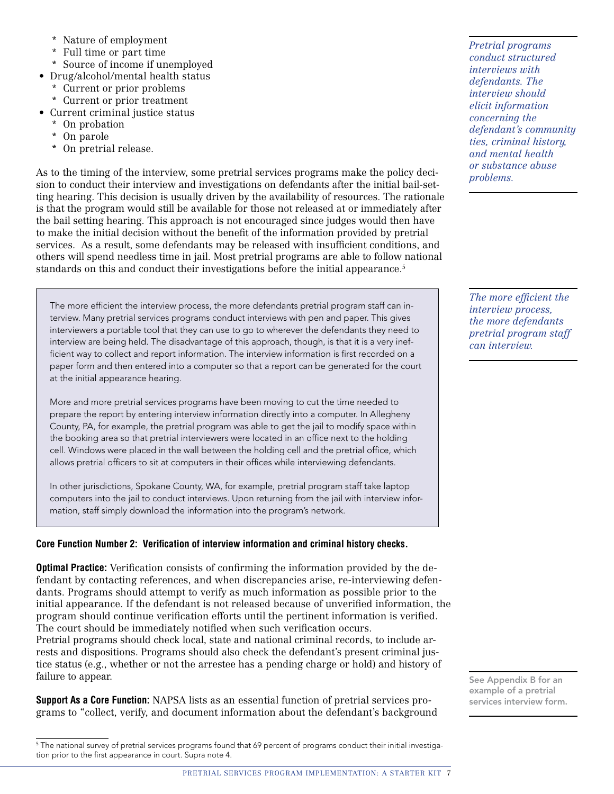- \* Nature of employment
- \* Full time or part time
- \* Source of income if unemployed
- Drug/alcohol/mental health status
	- \* Current or prior problems
	- \* Current or prior treatment
- Current criminal justice status
	- \* On probation
	- \* On parole
	- \* On pretrial release.

As to the timing of the interview, some pretrial services programs make the policy decision to conduct their interview and investigations on defendants after the initial bail-setting hearing. This decision is usually driven by the availability of resources. The rationale is that the program would still be available for those not released at or immediately after the bail setting hearing. This approach is not encouraged since judges would then have to make the initial decision without the benefit of the information provided by pretrial services. As a result, some defendants may be released with insufficient conditions, and others will spend needless time in jail. Most pretrial programs are able to follow national standards on this and conduct their investigations before the initial appearance.5

The more efficient the interview process, the more defendants pretrial program staff can interview. Many pretrial services programs conduct interviews with pen and paper. This gives interviewers a portable tool that they can use to go to wherever the defendants they need to interview are being held. The disadvantage of this approach, though, is that it is a very inefficient way to collect and report information. The interview information is first recorded on a paper form and then entered into a computer so that a report can be generated for the court at the initial appearance hearing.

More and more pretrial services programs have been moving to cut the time needed to prepare the report by entering interview information directly into a computer. In Allegheny County, PA, for example, the pretrial program was able to get the jail to modify space within the booking area so that pretrial interviewers were located in an office next to the holding cell. Windows were placed in the wall between the holding cell and the pretrial office, which allows pretrial officers to sit at computers in their offices while interviewing defendants.

In other jurisdictions, Spokane County, WA, for example, pretrial program staff take laptop computers into the jail to conduct interviews. Upon returning from the jail with interview information, staff simply download the information into the program's network.

### **Core Function Number 2: Verification of interview information and criminal history checks.**

**Optimal Practice:** Verification consists of confirming the information provided by the defendant by contacting references, and when discrepancies arise, re-interviewing defendants. Programs should attempt to verify as much information as possible prior to the initial appearance. If the defendant is not released because of unverified information, the program should continue verification efforts until the pertinent information is verified. The court should be immediately notified when such verification occurs. Pretrial programs should check local, state and national criminal records, to include arrests and dispositions. Programs should also check the defendant's present criminal justice status (e.g., whether or not the arrestee has a pending charge or hold) and history of failure to appear.

**Support As a Core Function:** NAPSA lists as an essential function of pretrial services programs to "collect, verify, and document information about the defendant's background

 $^{\rm 5}$  The national survey of pretrial services programs found that 69 percent of programs conduct their initial investigation prior to the first appearance in court. Supra note 4.

*Pretrial programs conduct structured interviews with defendants. The interview should elicit information concerning the defendant's community ties, criminal history, and mental health or substance abuse problems.* 

*The more efficient the interview process, the more defendants pretrial program staff can interview.*

See Appendix B for an example of a pretrial services interview form.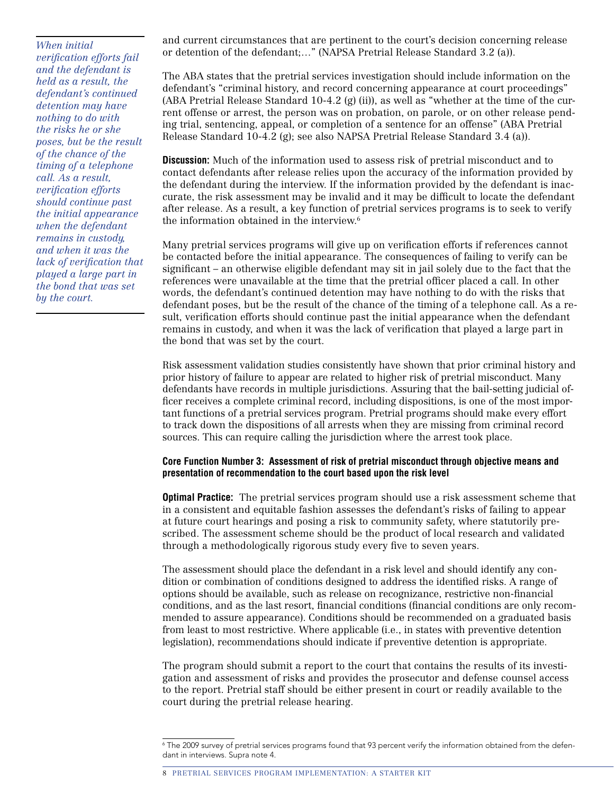*When initial verification efforts fail and the defendant is held as a result, the defendant's continued detention may have nothing to do with the risks he or she poses, but be the result of the chance of the timing of a telephone call. As a result, verification efforts should continue past the initial appearance when the defendant remains in custody, and when it was the lack of verification that played a large part in the bond that was set by the court.*

and current circumstances that are pertinent to the court's decision concerning release or detention of the defendant;…" (NAPSA Pretrial Release Standard 3.2 (a)).

The ABA states that the pretrial services investigation should include information on the defendant's "criminal history, and record concerning appearance at court proceedings" (ABA Pretrial Release Standard 10-4.2 (g) (ii)), as well as "whether at the time of the current offense or arrest, the person was on probation, on parole, or on other release pending trial, sentencing, appeal, or completion of a sentence for an offense" (ABA Pretrial Release Standard 10-4.2 (g); see also NAPSA Pretrial Release Standard 3.4 (a)).

**Discussion:** Much of the information used to assess risk of pretrial misconduct and to contact defendants after release relies upon the accuracy of the information provided by the defendant during the interview. If the information provided by the defendant is inaccurate, the risk assessment may be invalid and it may be difficult to locate the defendant after release. As a result, a key function of pretrial services programs is to seek to verify the information obtained in the interview.<sup>6</sup>

Many pretrial services programs will give up on verification efforts if references cannot be contacted before the initial appearance. The consequences of failing to verify can be significant – an otherwise eligible defendant may sit in jail solely due to the fact that the references were unavailable at the time that the pretrial officer placed a call. In other words, the defendant's continued detention may have nothing to do with the risks that defendant poses, but be the result of the chance of the timing of a telephone call. As a result, verification efforts should continue past the initial appearance when the defendant remains in custody, and when it was the lack of verification that played a large part in the bond that was set by the court.

Risk assessment validation studies consistently have shown that prior criminal history and prior history of failure to appear are related to higher risk of pretrial misconduct. Many defendants have records in multiple jurisdictions. Assuring that the bail-setting judicial officer receives a complete criminal record, including dispositions, is one of the most important functions of a pretrial services program. Pretrial programs should make every effort to track down the dispositions of all arrests when they are missing from criminal record sources. This can require calling the jurisdiction where the arrest took place.

### **Core Function Number 3: Assessment of risk of pretrial misconduct through objective means and presentation of recommendation to the court based upon the risk level**

**Optimal Practice:** The pretrial services program should use a risk assessment scheme that in a consistent and equitable fashion assesses the defendant's risks of failing to appear at future court hearings and posing a risk to community safety, where statutorily prescribed. The assessment scheme should be the product of local research and validated through a methodologically rigorous study every five to seven years.

The assessment should place the defendant in a risk level and should identify any condition or combination of conditions designed to address the identified risks. A range of options should be available, such as release on recognizance, restrictive non-financial conditions, and as the last resort, financial conditions (financial conditions are only recommended to assure appearance). Conditions should be recommended on a graduated basis from least to most restrictive. Where applicable (i.e., in states with preventive detention legislation), recommendations should indicate if preventive detention is appropriate.

The program should submit a report to the court that contains the results of its investigation and assessment of risks and provides the prosecutor and defense counsel access to the report. Pretrial staff should be either present in court or readily available to the court during the pretrial release hearing.

<sup>6</sup> The 2009 survey of pretrial services programs found that 93 percent verify the information obtained from the defendant in interviews. Supra note 4.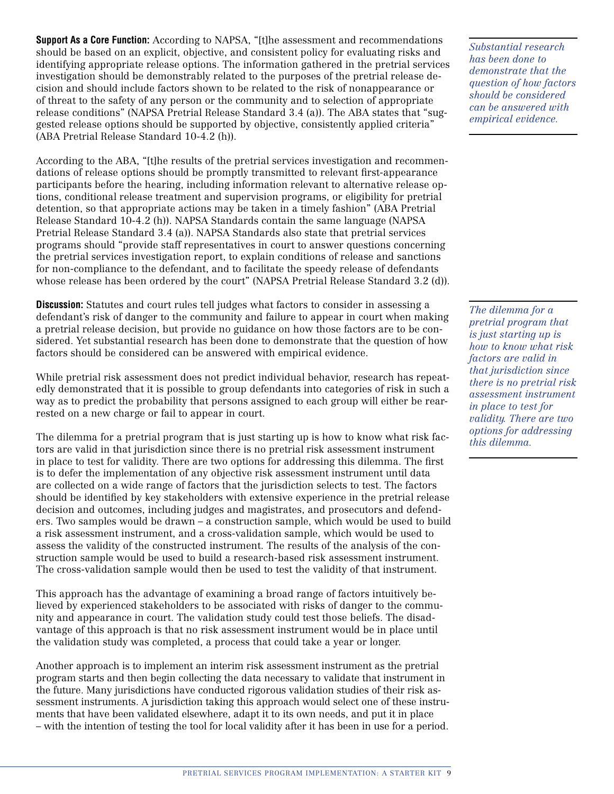**Support As a Core Function:** According to NAPSA, "[t]he assessment and recommendations should be based on an explicit, objective, and consistent policy for evaluating risks and identifying appropriate release options. The information gathered in the pretrial services investigation should be demonstrably related to the purposes of the pretrial release decision and should include factors shown to be related to the risk of nonappearance or of threat to the safety of any person or the community and to selection of appropriate release conditions" (NAPSA Pretrial Release Standard 3.4 (a)). The ABA states that "suggested release options should be supported by objective, consistently applied criteria" (ABA Pretrial Release Standard 10-4.2 (h)).

According to the ABA, "[t]he results of the pretrial services investigation and recommendations of release options should be promptly transmitted to relevant first-appearance participants before the hearing, including information relevant to alternative release options, conditional release treatment and supervision programs, or eligibility for pretrial detention, so that appropriate actions may be taken in a timely fashion" (ABA Pretrial Release Standard 10-4.2 (h)). NAPSA Standards contain the same language (NAPSA Pretrial Release Standard 3.4 (a)). NAPSA Standards also state that pretrial services programs should "provide staff representatives in court to answer questions concerning the pretrial services investigation report, to explain conditions of release and sanctions for non-compliance to the defendant, and to facilitate the speedy release of defendants whose release has been ordered by the court" (NAPSA Pretrial Release Standard 3.2 (d)).

**Discussion:** Statutes and court rules tell judges what factors to consider in assessing a defendant's risk of danger to the community and failure to appear in court when making a pretrial release decision, but provide no guidance on how those factors are to be considered. Yet substantial research has been done to demonstrate that the question of how factors should be considered can be answered with empirical evidence.

While pretrial risk assessment does not predict individual behavior, research has repeatedly demonstrated that it is possible to group defendants into categories of risk in such a way as to predict the probability that persons assigned to each group will either be rearrested on a new charge or fail to appear in court.

The dilemma for a pretrial program that is just starting up is how to know what risk factors are valid in that jurisdiction since there is no pretrial risk assessment instrument in place to test for validity. There are two options for addressing this dilemma. The first is to defer the implementation of any objective risk assessment instrument until data are collected on a wide range of factors that the jurisdiction selects to test. The factors should be identified by key stakeholders with extensive experience in the pretrial release decision and outcomes, including judges and magistrates, and prosecutors and defenders. Two samples would be drawn – a construction sample, which would be used to build a risk assessment instrument, and a cross-validation sample, which would be used to assess the validity of the constructed instrument. The results of the analysis of the construction sample would be used to build a research-based risk assessment instrument. The cross-validation sample would then be used to test the validity of that instrument.

This approach has the advantage of examining a broad range of factors intuitively believed by experienced stakeholders to be associated with risks of danger to the community and appearance in court. The validation study could test those beliefs. The disadvantage of this approach is that no risk assessment instrument would be in place until the validation study was completed, a process that could take a year or longer.

Another approach is to implement an interim risk assessment instrument as the pretrial program starts and then begin collecting the data necessary to validate that instrument in the future. Many jurisdictions have conducted rigorous validation studies of their risk assessment instruments. A jurisdiction taking this approach would select one of these instruments that have been validated elsewhere, adapt it to its own needs, and put it in place – with the intention of testing the tool for local validity after it has been in use for a period. *Substantial research has been done to demonstrate that the question of how factors should be considered can be answered with empirical evidence.* 

*The dilemma for a pretrial program that is just starting up is how to know what risk factors are valid in that jurisdiction since there is no pretrial risk assessment instrument in place to test for validity. There are two options for addressing this dilemma.*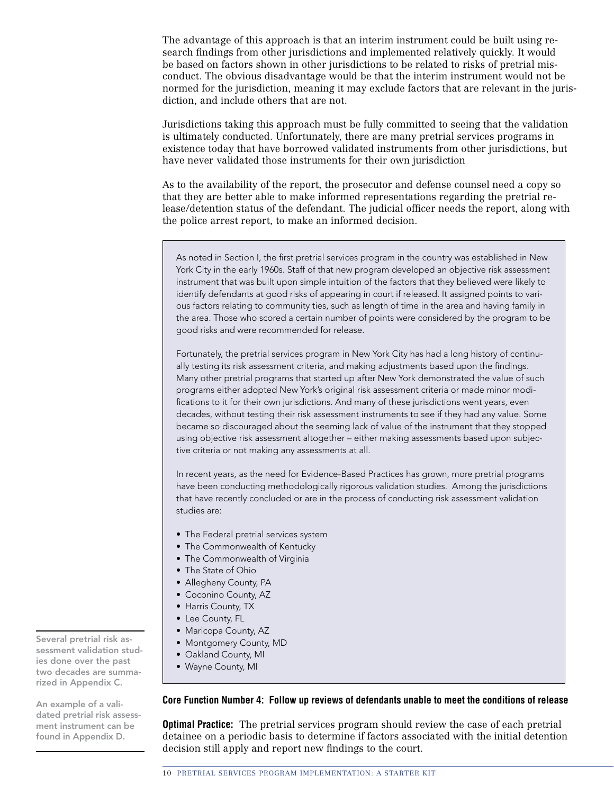The advantage of this approach is that an interim instrument could be built using research findings from other jurisdictions and implemented relatively quickly. It would be based on factors shown in other jurisdictions to be related to risks of pretrial misconduct. The obvious disadvantage would be that the interim instrument would not be normed for the jurisdiction, meaning it may exclude factors that are relevant in the jurisdiction, and include others that are not.

Jurisdictions taking this approach must be fully committed to seeing that the validation is ultimately conducted. Unfortunately, there are many pretrial services programs in existence today that have borrowed validated instruments from other jurisdictions, but have never validated those instruments for their own jurisdiction

As to the availability of the report, the prosecutor and defense counsel need a copy so that they are better able to make informed representations regarding the pretrial release/detention status of the defendant. The judicial officer needs the report, along with the police arrest report, to make an informed decision.

As noted in Section I, the first pretrial services program in the country was established in New York City in the early 1960s. Staff of that new program developed an objective risk assessment instrument that was built upon simple intuition of the factors that they believed were likely to identify defendants at good risks of appearing in court if released. It assigned points to various factors relating to community ties, such as length of time in the area and having family in the area. Those who scored a certain number of points were considered by the program to be good risks and were recommended for release.

Fortunately, the pretrial services program in New York City has had a long history of continually testing its risk assessment criteria, and making adjustments based upon the findings. Many other pretrial programs that started up after New York demonstrated the value of such programs either adopted New York's original risk assessment criteria or made minor modifications to it for their own jurisdictions. And many of these jurisdictions went years, even decades, without testing their risk assessment instruments to see if they had any value. Some became so discouraged about the seeming lack of value of the instrument that they stopped using objective risk assessment altogether – either making assessments based upon subjective criteria or not making any assessments at all.

In recent years, as the need for Evidence-Based Practices has grown, more pretrial programs have been conducting methodologically rigorous validation studies. Among the jurisdictions that have recently concluded or are in the process of conducting risk assessment validation studies are:

- The Federal pretrial services system
- The Commonwealth of Kentucky
- The Commonwealth of Virginia
- The State of Ohio
- Allegheny County, PA
- Coconino County, AZ
- Harris County, TX
- Lee County, FL
- Maricopa County, AZ
- Montgomery County, MD
- Oakland County, MI
- Wayne County, MI

#### **Core Function Number 4: Follow up reviews of defendants unable to meet the conditions of release**

**Optimal Practice:** The pretrial services program should review the case of each pretrial detainee on a periodic basis to determine if factors associated with the initial detention decision still apply and report new findings to the court.

Several pretrial risk assessment validation studies done over the past two decades are summarized in Appendix C.

An example of a validated pretrial risk assessment instrument can be found in Appendix D.

#### 10 PRETRIAL SERVICES PROGRAM IMPLEMENTATION: A STARTER KIT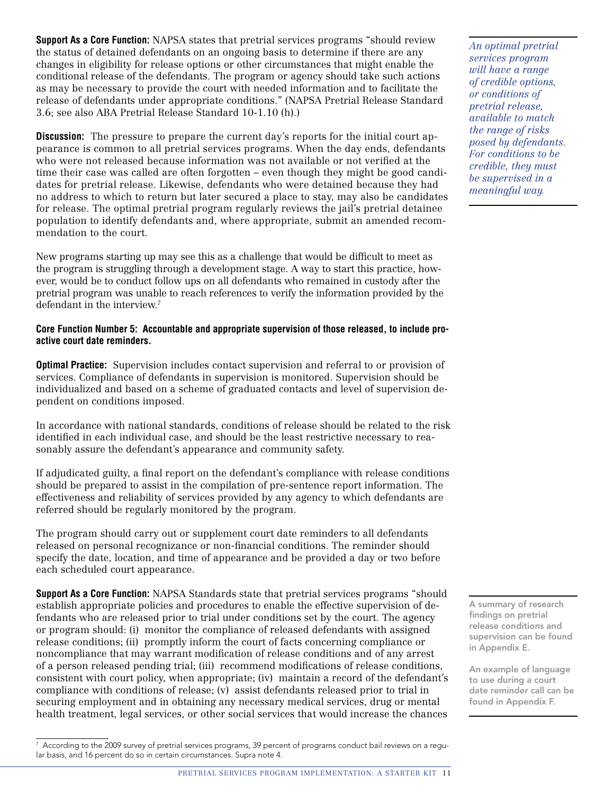**Support As a Core Function:** NAPSA states that pretrial services programs "should review the status of detained defendants on an ongoing basis to determine if there are any changes in eligibility for release options or other circumstances that might enable the conditional release of the defendants. The program or agency should take such actions as may be necessary to provide the court with needed information and to facilitate the release of defendants under appropriate conditions." (NAPSA Pretrial Release Standard 3.6; see also ABA Pretrial Release Standard 10-1.10 (h).)

**Discussion:** The pressure to prepare the current day's reports for the initial court appearance is common to all pretrial services programs. When the day ends, defendants who were not released because information was not available or not verified at the time their case was called are often forgotten – even though they might be good candidates for pretrial release. Likewise, defendants who were detained because they had no address to which to return but later secured a place to stay, may also be candidates for release. The optimal pretrial program regularly reviews the jail's pretrial detainee population to identify defendants and, where appropriate, submit an amended recommendation to the court.

New programs starting up may see this as a challenge that would be difficult to meet as the program is struggling through a development stage. A way to start this practice, however, would be to conduct follow ups on all defendants who remained in custody after the pretrial program was unable to reach references to verify the information provided by the defendant in the interview.<sup>7</sup>

### **Core Function Number 5: Accountable and appropriate supervision of those released, to include proactive court date reminders.**

**Optimal Practice:** Supervision includes contact supervision and referral to or provision of services. Compliance of defendants in supervision is monitored. Supervision should be individualized and based on a scheme of graduated contacts and level of supervision dependent on conditions imposed.

In accordance with national standards, conditions of release should be related to the risk identified in each individual case, and should be the least restrictive necessary to reasonably assure the defendant's appearance and community safety.

If adjudicated guilty, a final report on the defendant's compliance with release conditions should be prepared to assist in the compilation of pre-sentence report information. The effectiveness and reliability of services provided by any agency to which defendants are referred should be regularly monitored by the program.

The program should carry out or supplement court date reminders to all defendants released on personal recognizance or non-financial conditions. The reminder should specify the date, location, and time of appearance and be provided a day or two before each scheduled court appearance.

**Support As a Core Function:** NAPSA Standards state that pretrial services programs "should establish appropriate policies and procedures to enable the effective supervision of defendants who are released prior to trial under conditions set by the court. The agency or program should: (i) monitor the compliance of released defendants with assigned release conditions; (ii) promptly inform the court of facts concerning compliance or noncompliance that may warrant modification of release conditions and of any arrest of a person released pending trial; (iii) recommend modifications of release conditions, consistent with court policy, when appropriate; (iv) maintain a record of the defendant's compliance with conditions of release; (v) assist defendants released prior to trial in securing employment and in obtaining any necessary medical services, drug or mental health treatment, legal services, or other social services that would increase the chances *An optimal pretrial services program will have a range of credible options, or conditions of pretrial release, available to match the range of risks posed by defendants. For conditions to be credible, they must be supervised in a meaningful way.* 

A summary of research findings on pretrial release conditions and supervision can be found in Appendix E.

An example of language to use during a court date reminder call can be found in Appendix F.

 $^7\,$  According to the 2009 survey of pretrial services programs, 39 percent of programs conduct bail reviews on a regular basis, and 16 percent do so in certain circumstances. Supra note 4.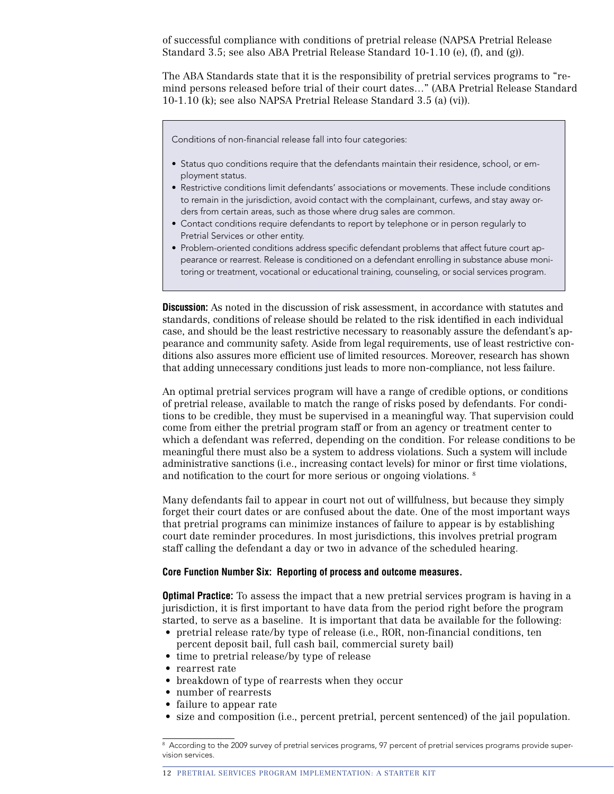of successful compliance with conditions of pretrial release (NAPSA Pretrial Release Standard 3.5; see also ABA Pretrial Release Standard 10-1.10 (e), (f), and (g)).

The ABA Standards state that it is the responsibility of pretrial services programs to "remind persons released before trial of their court dates…" (ABA Pretrial Release Standard 10-1.10 (k); see also NAPSA Pretrial Release Standard 3.5 (a) (vi)).

Conditions of non-financial release fall into four categories:

- Status quo conditions require that the defendants maintain their residence, school, or employment status.
- Restrictive conditions limit defendants' associations or movements. These include conditions to remain in the jurisdiction, avoid contact with the complainant, curfews, and stay away orders from certain areas, such as those where drug sales are common.
- Contact conditions require defendants to report by telephone or in person regularly to Pretrial Services or other entity.
- Problem-oriented conditions address specific defendant problems that affect future court appearance or rearrest. Release is conditioned on a defendant enrolling in substance abuse monitoring or treatment, vocational or educational training, counseling, or social services program.

**Discussion:** As noted in the discussion of risk assessment, in accordance with statutes and standards, conditions of release should be related to the risk identified in each individual case, and should be the least restrictive necessary to reasonably assure the defendant's appearance and community safety. Aside from legal requirements, use of least restrictive conditions also assures more efficient use of limited resources. Moreover, research has shown that adding unnecessary conditions just leads to more non-compliance, not less failure.

An optimal pretrial services program will have a range of credible options, or conditions of pretrial release, available to match the range of risks posed by defendants. For conditions to be credible, they must be supervised in a meaningful way. That supervision could come from either the pretrial program staff or from an agency or treatment center to which a defendant was referred, depending on the condition. For release conditions to be meaningful there must also be a system to address violations. Such a system will include administrative sanctions (i.e., increasing contact levels) for minor or first time violations, and notification to the court for more serious or ongoing violations. 8

Many defendants fail to appear in court not out of willfulness, but because they simply forget their court dates or are confused about the date. One of the most important ways that pretrial programs can minimize instances of failure to appear is by establishing court date reminder procedures. In most jurisdictions, this involves pretrial program staff calling the defendant a day or two in advance of the scheduled hearing.

#### **Core Function Number Six: Reporting of process and outcome measures.**

**Optimal Practice:** To assess the impact that a new pretrial services program is having in a jurisdiction, it is first important to have data from the period right before the program started, to serve as a baseline. It is important that data be available for the following:

- pretrial release rate/by type of release (i.e., ROR, non-financial conditions, ten percent deposit bail, full cash bail, commercial surety bail)
- time to pretrial release/by type of release
- rearrest rate
- breakdown of type of rearrests when they occur
- number of rearrests
- failure to appear rate
- size and composition (i.e., percent pretrial, percent sentenced) of the jail population.

 $\rm ^8$  According to the 2009 survey of pretrial services programs, 97 percent of pretrial services programs provide supervision services.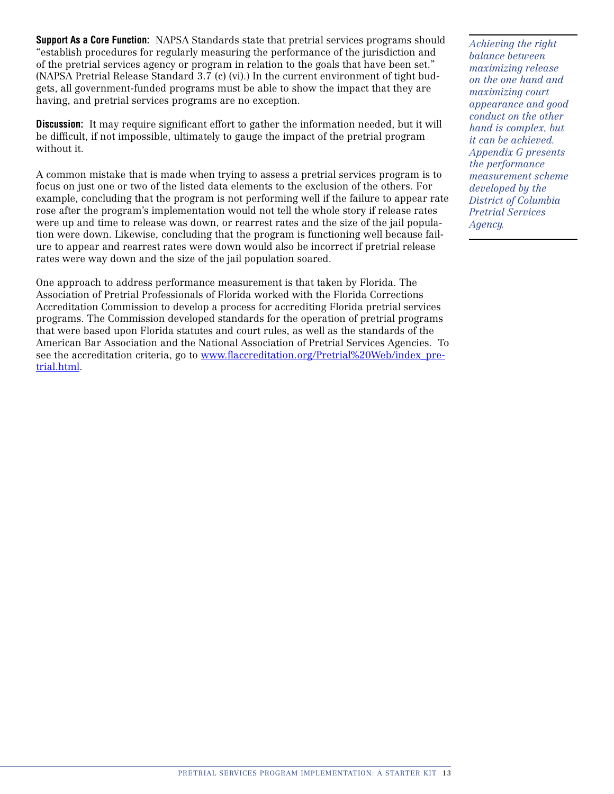**Support As a Core Function:** NAPSA Standards state that pretrial services programs should "establish procedures for regularly measuring the performance of the jurisdiction and of the pretrial services agency or program in relation to the goals that have been set." (NAPSA Pretrial Release Standard 3.7 (c) (vi).) In the current environment of tight budgets, all government-funded programs must be able to show the impact that they are having, and pretrial services programs are no exception.

**Discussion:** It may require significant effort to gather the information needed, but it will be difficult, if not impossible, ultimately to gauge the impact of the pretrial program without it.

A common mistake that is made when trying to assess a pretrial services program is to focus on just one or two of the listed data elements to the exclusion of the others. For example, concluding that the program is not performing well if the failure to appear rate rose after the program's implementation would not tell the whole story if release rates were up and time to release was down, or rearrest rates and the size of the jail population were down. Likewise, concluding that the program is functioning well because failure to appear and rearrest rates were down would also be incorrect if pretrial release rates were way down and the size of the jail population soared.

One approach to address performance measurement is that taken by Florida. The Association of Pretrial Professionals of Florida worked with the Florida Corrections Accreditation Commission to develop a process for accrediting Florida pretrial services programs. The Commission developed standards for the operation of pretrial programs that were based upon Florida statutes and court rules, as well as the standards of the American Bar Association and the National Association of Pretrial Services Agencies. To see the accreditation criteria, go to www.flaccreditation.org/Pretrial%20Web/index pretrial.html.

*Achieving the right balance between maximizing release on the one hand and maximizing court appearance and good conduct on the other hand is complex, but it can be achieved. Appendix G presents the performance measurement scheme developed by the District of Columbia Pretrial Services Agency.*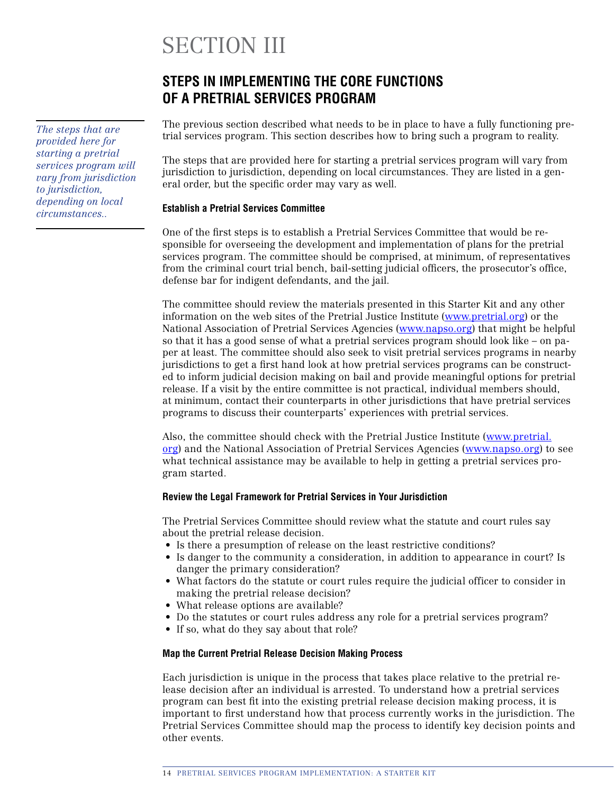# SECTION III

### **STEPS IN IMPLEMENTING THE CORE FUNCTIONS OF A PRETRIAL SERVICES PROGRAM**

The previous section described what needs to be in place to have a fully functioning pretrial services program. This section describes how to bring such a program to reality.

The steps that are provided here for starting a pretrial services program will vary from jurisdiction to jurisdiction, depending on local circumstances. They are listed in a general order, but the specific order may vary as well.

### **Establish a Pretrial Services Committee**

One of the first steps is to establish a Pretrial Services Committee that would be responsible for overseeing the development and implementation of plans for the pretrial services program. The committee should be comprised, at minimum, of representatives from the criminal court trial bench, bail-setting judicial officers, the prosecutor's office, defense bar for indigent defendants, and the jail.

The committee should review the materials presented in this Starter Kit and any other information on the web sites of the Pretrial Justice Institute (www.pretrial.org) or the National Association of Pretrial Services Agencies (www.napso.org) that might be helpful so that it has a good sense of what a pretrial services program should look like – on paper at least. The committee should also seek to visit pretrial services programs in nearby jurisdictions to get a first hand look at how pretrial services programs can be constructed to inform judicial decision making on bail and provide meaningful options for pretrial release. If a visit by the entire committee is not practical, individual members should, at minimum, contact their counterparts in other jurisdictions that have pretrial services programs to discuss their counterparts' experiences with pretrial services.

Also, the committee should check with the Pretrial Justice Institute (www.pretrial. org) and the National Association of Pretrial Services Agencies (www.napso.org) to see what technical assistance may be available to help in getting a pretrial services program started.

### **Review the Legal Framework for Pretrial Services in Your Jurisdiction**

The Pretrial Services Committee should review what the statute and court rules say about the pretrial release decision.

- Is there a presumption of release on the least restrictive conditions?
- Is danger to the community a consideration, in addition to appearance in court? Is danger the primary consideration?
- What factors do the statute or court rules require the judicial officer to consider in making the pretrial release decision?
- What release options are available?
- Do the statutes or court rules address any role for a pretrial services program?
- If so, what do they say about that role?

### **Map the Current Pretrial Release Decision Making Process**

Each jurisdiction is unique in the process that takes place relative to the pretrial release decision after an individual is arrested. To understand how a pretrial services program can best fit into the existing pretrial release decision making process, it is important to first understand how that process currently works in the jurisdiction. The Pretrial Services Committee should map the process to identify key decision points and other events.

*The steps that are provided here for starting a pretrial services program will vary from jurisdiction to jurisdiction, depending on local circumstances..*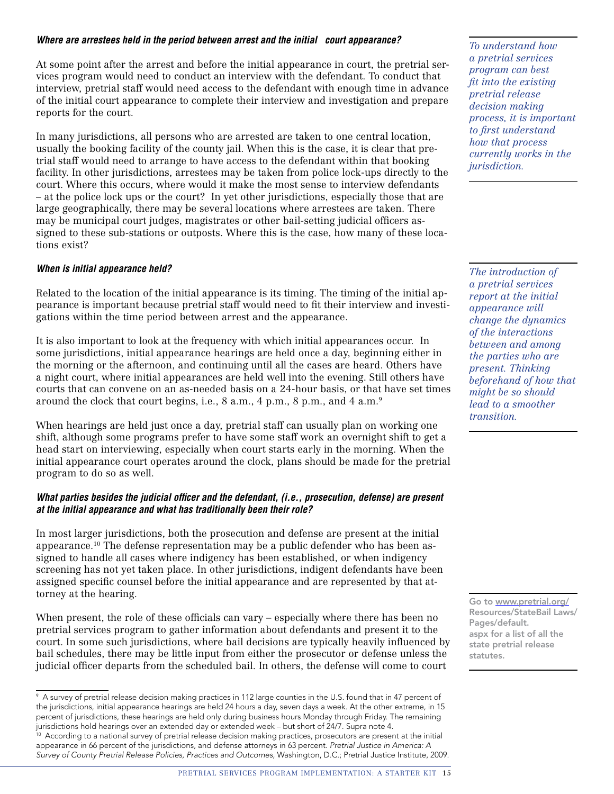### *Where are arrestees held in the period between arrest and the initial court appearance?*

At some point after the arrest and before the initial appearance in court, the pretrial services program would need to conduct an interview with the defendant. To conduct that interview, pretrial staff would need access to the defendant with enough time in advance of the initial court appearance to complete their interview and investigation and prepare reports for the court.

In many jurisdictions, all persons who are arrested are taken to one central location, usually the booking facility of the county jail. When this is the case, it is clear that pretrial staff would need to arrange to have access to the defendant within that booking facility. In other jurisdictions, arrestees may be taken from police lock-ups directly to the court. Where this occurs, where would it make the most sense to interview defendants – at the police lock ups or the court? In yet other jurisdictions, especially those that are large geographically, there may be several locations where arrestees are taken. There may be municipal court judges, magistrates or other bail-setting judicial officers assigned to these sub-stations or outposts. Where this is the case, how many of these locations exist?

### *When is initial appearance held?*

Related to the location of the initial appearance is its timing. The timing of the initial appearance is important because pretrial staff would need to fit their interview and investigations within the time period between arrest and the appearance.

It is also important to look at the frequency with which initial appearances occur. In some jurisdictions, initial appearance hearings are held once a day, beginning either in the morning or the afternoon, and continuing until all the cases are heard. Others have a night court, where initial appearances are held well into the evening. Still others have courts that can convene on an as-needed basis on a 24-hour basis, or that have set times around the clock that court begins, i.e., 8 a.m., 4 p.m., 8 p.m., and 4 a.m.9

When hearings are held just once a day, pretrial staff can usually plan on working one shift, although some programs prefer to have some staff work an overnight shift to get a head start on interviewing, especially when court starts early in the morning. When the initial appearance court operates around the clock, plans should be made for the pretrial program to do so as well.

### *What parties besides the judicial officer and the defendant, (i.e., prosecution, defense) are present at the initial appearance and what has traditionally been their role?*

In most larger jurisdictions, both the prosecution and defense are present at the initial appearance.10 The defense representation may be a public defender who has been assigned to handle all cases where indigency has been established, or when indigency screening has not yet taken place. In other jurisdictions, indigent defendants have been assigned specific counsel before the initial appearance and are represented by that attorney at the hearing.

When present, the role of these officials can vary – especially where there has been no pretrial services program to gather information about defendants and present it to the court. In some such jurisdictions, where bail decisions are typically heavily influenced by bail schedules, there may be little input from either the prosecutor or defense unless the judicial officer departs from the scheduled bail. In others, the defense will come to court

*To understand how a pretrial services program can best fit into the existing pretrial release decision making process, it is important to first understand how that process currently works in the jurisdiction.* 

*The introduction of a pretrial services report at the initial appearance will change the dynamics of the interactions between and among the parties who are present. Thinking beforehand of how that might be so should lead to a smoother transition.*

Go to www.pretrial.org/ Resources/StateBail Laws/ Pages/default. aspx for a list of all the state pretrial release statutes.

 $^9$  A survey of pretrial release decision making practices in 112 large counties in the U.S. found that in 47 percent of the jurisdictions, initial appearance hearings are held 24 hours a day, seven days a week. At the other extreme, in 15 percent of jurisdictions, these hearings are held only during business hours Monday through Friday. The remaining jurisdictions hold hearings over an extended day or extended week – but short of 24/7. Supra note 4.

 $10$  According to a national survey of pretrial release decision making practices, prosecutors are present at the initial appearance in 66 percent of the jurisdictions, and defense attorneys in 63 percent. *Pretrial Justice in America: A Survey of County Pretrial Release Policies, Practices and Outcomes*, Washington, D.C.; Pretrial Justice Institute, 2009.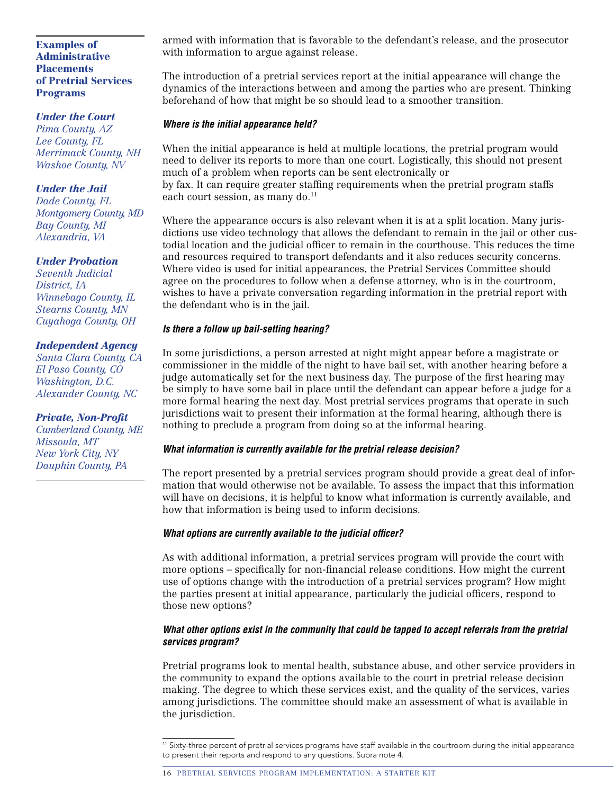### Examples of Administrative **Placements** of Pretrial Services Programs

### *Under the Court*

*Pima County, AZ Lee County, FL Merrimack County, NH Washoe County, NV*

### *Under the Jail*

*Dade County, FL Montgomery County, MD Bay County, MI Alexandria, VA*

### *Under Probation*

*Seventh Judicial District, IA Winnebago County, IL Stearns County, MN Cuyahoga County, OH*

#### *Independent Agency*

*Santa Clara County, CA El Paso County, CO Washington, D.C. Alexander County, NC*

### *Private, Non-Profit*

*Cumberland County, ME Missoula, MT New York City, NY Dauphin County, PA* 

armed with information that is favorable to the defendant's release, and the prosecutor with information to argue against release.

The introduction of a pretrial services report at the initial appearance will change the dynamics of the interactions between and among the parties who are present. Thinking beforehand of how that might be so should lead to a smoother transition.

### *Where is the initial appearance held?*

When the initial appearance is held at multiple locations, the pretrial program would need to deliver its reports to more than one court. Logistically, this should not present much of a problem when reports can be sent electronically or by fax. It can require greater staffing requirements when the pretrial program staffs each court session, as many do.<sup>11</sup>

Where the appearance occurs is also relevant when it is at a split location. Many jurisdictions use video technology that allows the defendant to remain in the jail or other custodial location and the judicial officer to remain in the courthouse. This reduces the time and resources required to transport defendants and it also reduces security concerns. Where video is used for initial appearances, the Pretrial Services Committee should agree on the procedures to follow when a defense attorney, who is in the courtroom, wishes to have a private conversation regarding information in the pretrial report with the defendant who is in the jail.

### *Is there a follow up bail-setting hearing?*

In some jurisdictions, a person arrested at night might appear before a magistrate or commissioner in the middle of the night to have bail set, with another hearing before a judge automatically set for the next business day. The purpose of the first hearing may be simply to have some bail in place until the defendant can appear before a judge for a more formal hearing the next day. Most pretrial services programs that operate in such jurisdictions wait to present their information at the formal hearing, although there is nothing to preclude a program from doing so at the informal hearing.

### *What information is currently available for the pretrial release decision?*

The report presented by a pretrial services program should provide a great deal of information that would otherwise not be available. To assess the impact that this information will have on decisions, it is helpful to know what information is currently available, and how that information is being used to inform decisions.

### *What options are currently available to the judicial officer?*

As with additional information, a pretrial services program will provide the court with more options – specifically for non-financial release conditions. How might the current use of options change with the introduction of a pretrial services program? How might the parties present at initial appearance, particularly the judicial officers, respond to those new options?

### *What other options exist in the community that could be tapped to accept referrals from the pretrial services program?*

Pretrial programs look to mental health, substance abuse, and other service providers in the community to expand the options available to the court in pretrial release decision making. The degree to which these services exist, and the quality of the services, varies among jurisdictions. The committee should make an assessment of what is available in the jurisdiction.

<sup>11</sup> Sixty-three percent of pretrial services programs have staff available in the courtroom during the initial appearance to present their reports and respond to any questions. Supra note 4.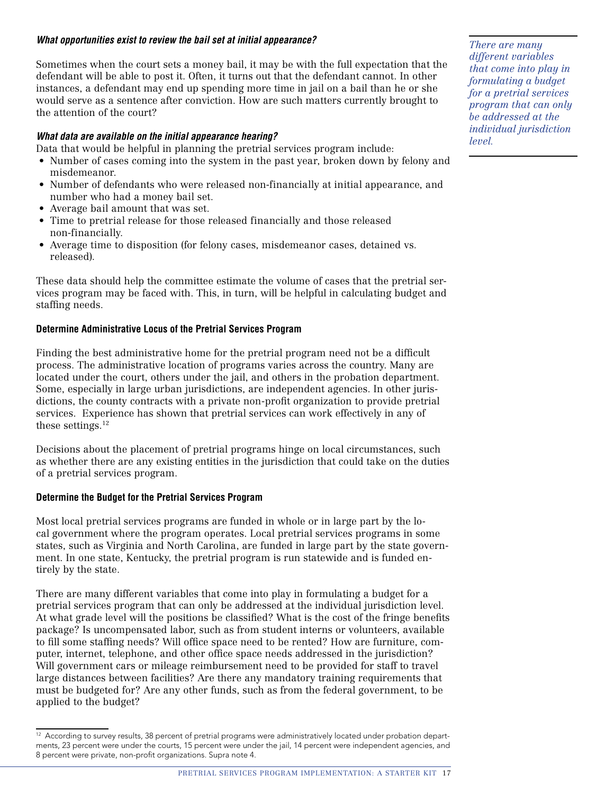### *What opportunities exist to review the bail set at initial appearance?*

Sometimes when the court sets a money bail, it may be with the full expectation that the defendant will be able to post it. Often, it turns out that the defendant cannot. In other instances, a defendant may end up spending more time in jail on a bail than he or she would serve as a sentence after conviction. How are such matters currently brought to the attention of the court?

### *What data are available on the initial appearance hearing?*

Data that would be helpful in planning the pretrial services program include:

- Number of cases coming into the system in the past year, broken down by felony and misdemeanor.
- Number of defendants who were released non-financially at initial appearance, and number who had a money bail set.
- Average bail amount that was set.
- Time to pretrial release for those released financially and those released non-financially.
- Average time to disposition (for felony cases, misdemeanor cases, detained vs. released).

These data should help the committee estimate the volume of cases that the pretrial services program may be faced with. This, in turn, will be helpful in calculating budget and staffing needs.

### **Determine Administrative Locus of the Pretrial Services Program**

Finding the best administrative home for the pretrial program need not be a difficult process. The administrative location of programs varies across the country. Many are located under the court, others under the jail, and others in the probation department. Some, especially in large urban jurisdictions, are independent agencies. In other jurisdictions, the county contracts with a private non-profit organization to provide pretrial services. Experience has shown that pretrial services can work effectively in any of these settings.<sup>12</sup>

Decisions about the placement of pretrial programs hinge on local circumstances, such as whether there are any existing entities in the jurisdiction that could take on the duties of a pretrial services program.

### **Determine the Budget for the Pretrial Services Program**

Most local pretrial services programs are funded in whole or in large part by the local government where the program operates. Local pretrial services programs in some states, such as Virginia and North Carolina, are funded in large part by the state government. In one state, Kentucky, the pretrial program is run statewide and is funded entirely by the state.

There are many different variables that come into play in formulating a budget for a pretrial services program that can only be addressed at the individual jurisdiction level. At what grade level will the positions be classified? What is the cost of the fringe benefits package? Is uncompensated labor, such as from student interns or volunteers, available to fill some staffing needs? Will office space need to be rented? How are furniture, computer, internet, telephone, and other office space needs addressed in the jurisdiction? Will government cars or mileage reimbursement need to be provided for staff to travel large distances between facilities? Are there any mandatory training requirements that must be budgeted for? Are any other funds, such as from the federal government, to be applied to the budget?

*There are many different variables that come into play in formulating a budget for a pretrial services program that can only be addressed at the individual jurisdiction level.* 

 $12$  According to survey results, 38 percent of pretrial programs were administratively located under probation departments, 23 percent were under the courts, 15 percent were under the jail, 14 percent were independent agencies, and 8 percent were private, non-profit organizations. Supra note 4.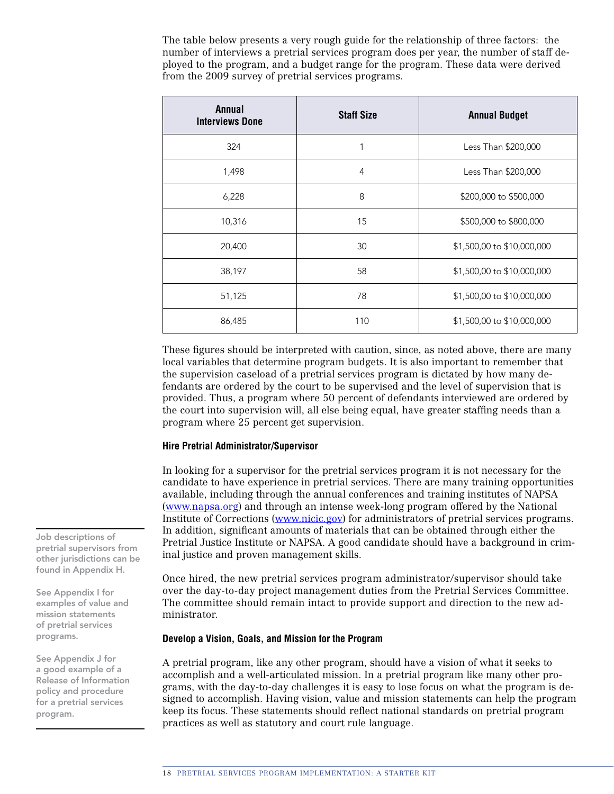The table below presents a very rough guide for the relationship of three factors: the number of interviews a pretrial services program does per year, the number of staff deployed to the program, and a budget range for the program. These data were derived from the 2009 survey of pretrial services programs.

| Annual<br><b>Interviews Done</b> | <b>Staff Size</b> | <b>Annual Budget</b>       |  |
|----------------------------------|-------------------|----------------------------|--|
| 324                              | 1                 | Less Than \$200,000        |  |
| 1,498                            | $\overline{4}$    | Less Than \$200,000        |  |
| 6,228                            | 8                 | \$200,000 to \$500,000     |  |
| 10,316                           | 15                | \$500,000 to \$800,000     |  |
| 20,400                           | 30                | \$1,500,00 to \$10,000,000 |  |
| 38,197                           | 58                | \$1,500,00 to \$10,000,000 |  |
| 51,125                           | 78                | \$1,500,00 to \$10,000,000 |  |
| 86,485                           | 110               | \$1,500,00 to \$10,000,000 |  |

These figures should be interpreted with caution, since, as noted above, there are many local variables that determine program budgets. It is also important to remember that the supervision caseload of a pretrial services program is dictated by how many defendants are ordered by the court to be supervised and the level of supervision that is provided. Thus, a program where 50 percent of defendants interviewed are ordered by the court into supervision will, all else being equal, have greater staffing needs than a program where 25 percent get supervision.

### **Hire Pretrial Administrator/Supervisor**

In looking for a supervisor for the pretrial services program it is not necessary for the candidate to have experience in pretrial services. There are many training opportunities available, including through the annual conferences and training institutes of NAPSA (www.napsa.org) and through an intense week-long program offered by the National Institute of Corrections (www.nicic.gov) for administrators of pretrial services programs. In addition, significant amounts of materials that can be obtained through either the Pretrial Justice Institute or NAPSA. A good candidate should have a background in criminal justice and proven management skills.

Once hired, the new pretrial services program administrator/supervisor should take over the day-to-day project management duties from the Pretrial Services Committee. The committee should remain intact to provide support and direction to the new administrator.

#### **Develop a Vision, Goals, and Mission for the Program**

A pretrial program, like any other program, should have a vision of what it seeks to accomplish and a well-articulated mission. In a pretrial program like many other programs, with the day-to-day challenges it is easy to lose focus on what the program is designed to accomplish. Having vision, value and mission statements can help the program keep its focus. These statements should reflect national standards on pretrial program practices as well as statutory and court rule language.

Job descriptions of pretrial supervisors from other jurisdictions can be found in Appendix H.

See Appendix I for examples of value and mission statements of pretrial services programs.

See Appendix J for a good example of a Release of Information policy and procedure for a pretrial services program.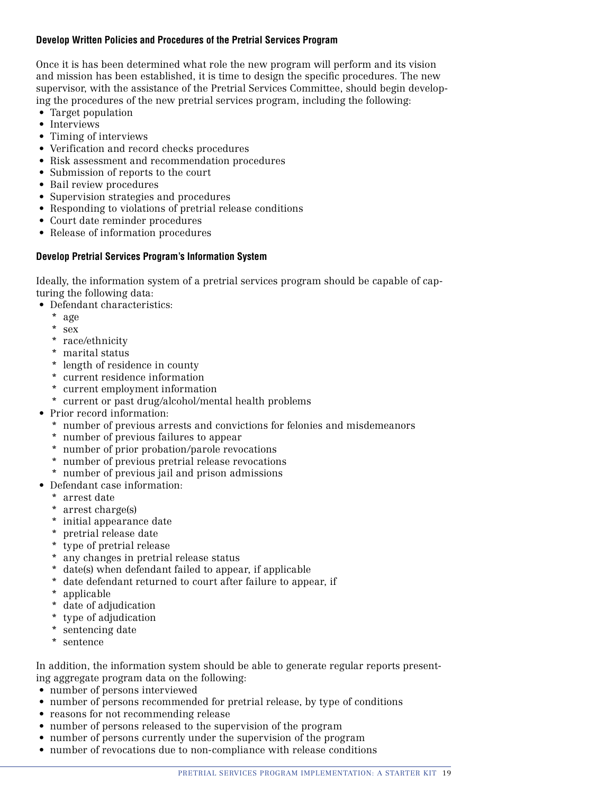### **Develop Written Policies and Procedures of the Pretrial Services Program**

Once it is has been determined what role the new program will perform and its vision and mission has been established, it is time to design the specific procedures. The new supervisor, with the assistance of the Pretrial Services Committee, should begin developing the procedures of the new pretrial services program, including the following:

- Target population
- Interviews
- Timing of interviews
- Verification and record checks procedures
- Risk assessment and recommendation procedures
- Submission of reports to the court
- Bail review procedures
- Supervision strategies and procedures
- Responding to violations of pretrial release conditions
- Court date reminder procedures
- Release of information procedures

### **Develop Pretrial Services Program's Information System**

Ideally, the information system of a pretrial services program should be capable of capturing the following data:

- Defendant characteristics:
	- \* age
	- \* sex
	- \* race/ethnicity
	- \* marital status
	- \* length of residence in county
	- \* current residence information
	- \* current employment information
	- \* current or past drug/alcohol/mental health problems
- Prior record information:
	- \* number of previous arrests and convictions for felonies and misdemeanors
	- \* number of previous failures to appear
	- \* number of prior probation/parole revocations
	- \* number of previous pretrial release revocations
	- \* number of previous jail and prison admissions
- Defendant case information:
	- \* arrest date
	- \* arrest charge(s)
	- \* initial appearance date
	- \* pretrial release date
	- type of pretrial release
	- \* any changes in pretrial release status
	- \* date(s) when defendant failed to appear, if applicable
	- \* date defendant returned to court after failure to appear, if
	- \* applicable
	- \* date of adjudication
	- \* type of adjudication
	- \* sentencing date
	- \* sentence

In addition, the information system should be able to generate regular reports presenting aggregate program data on the following:

- number of persons interviewed
- number of persons recommended for pretrial release, by type of conditions
- reasons for not recommending release
- number of persons released to the supervision of the program
- number of persons currently under the supervision of the program
- number of revocations due to non-compliance with release conditions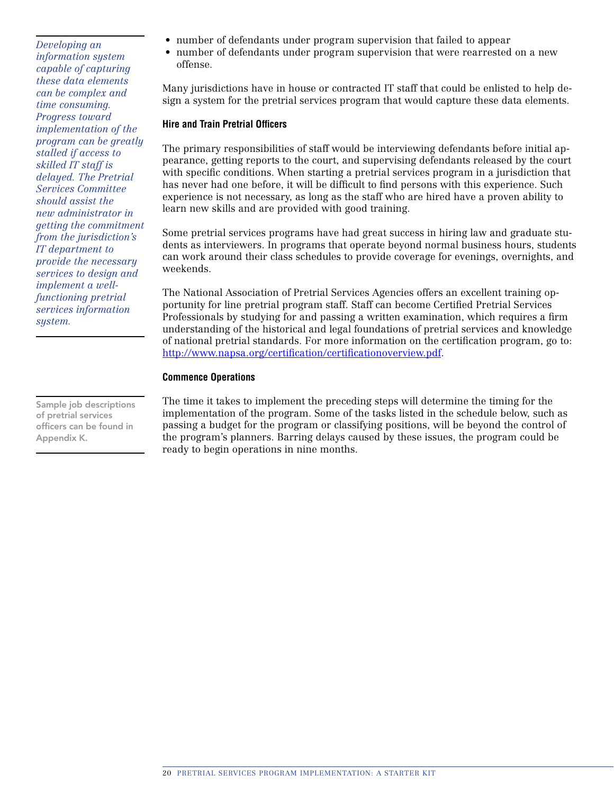*Developing an information system capable of capturing these data elements can be complex and time consuming. Progress toward implementation of the program can be greatly stalled if access to skilled IT staff is delayed. The Pretrial Services Committee should assist the new administrator in getting the commitment from the jurisdiction's IT department to provide the necessary services to design and implement a wellfunctioning pretrial services information system.*

Sample job descriptions of pretrial services officers can be found in Appendix K.

- number of defendants under program supervision that failed to appear
- number of defendants under program supervision that were rearrested on a new offense.

Many jurisdictions have in house or contracted IT staff that could be enlisted to help design a system for the pretrial services program that would capture these data elements.

### **Hire and Train Pretrial Officers**

The primary responsibilities of staff would be interviewing defendants before initial appearance, getting reports to the court, and supervising defendants released by the court with specific conditions. When starting a pretrial services program in a jurisdiction that has never had one before, it will be difficult to find persons with this experience. Such experience is not necessary, as long as the staff who are hired have a proven ability to learn new skills and are provided with good training.

Some pretrial services programs have had great success in hiring law and graduate students as interviewers. In programs that operate beyond normal business hours, students can work around their class schedules to provide coverage for evenings, overnights, and weekends.

The National Association of Pretrial Services Agencies offers an excellent training opportunity for line pretrial program staff. Staff can become Certified Pretrial Services Professionals by studying for and passing a written examination, which requires a firm understanding of the historical and legal foundations of pretrial services and knowledge of national pretrial standards. For more information on the certification program, go to: http://www.napsa.org/certification/certificationoverview.pdf.

### **Commence Operations**

The time it takes to implement the preceding steps will determine the timing for the implementation of the program. Some of the tasks listed in the schedule below, such as passing a budget for the program or classifying positions, will be beyond the control of the program's planners. Barring delays caused by these issues, the program could be ready to begin operations in nine months.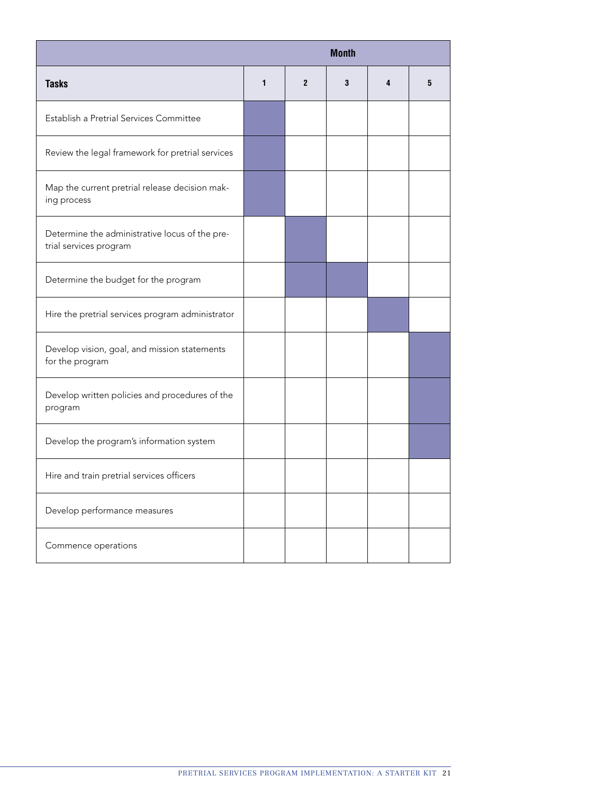|                                                                          |   |              | <b>Month</b> |   |   |
|--------------------------------------------------------------------------|---|--------------|--------------|---|---|
| <b>Tasks</b>                                                             | 1 | $\mathbf{2}$ | 3            | 4 | 5 |
| Establish a Pretrial Services Committee                                  |   |              |              |   |   |
| Review the legal framework for pretrial services                         |   |              |              |   |   |
| Map the current pretrial release decision mak-<br>ing process            |   |              |              |   |   |
| Determine the administrative locus of the pre-<br>trial services program |   |              |              |   |   |
| Determine the budget for the program                                     |   |              |              |   |   |
| Hire the pretrial services program administrator                         |   |              |              |   |   |
| Develop vision, goal, and mission statements<br>for the program          |   |              |              |   |   |
| Develop written policies and procedures of the<br>program                |   |              |              |   |   |
| Develop the program's information system                                 |   |              |              |   |   |
| Hire and train pretrial services officers                                |   |              |              |   |   |
| Develop performance measures                                             |   |              |              |   |   |
| Commence operations                                                      |   |              |              |   |   |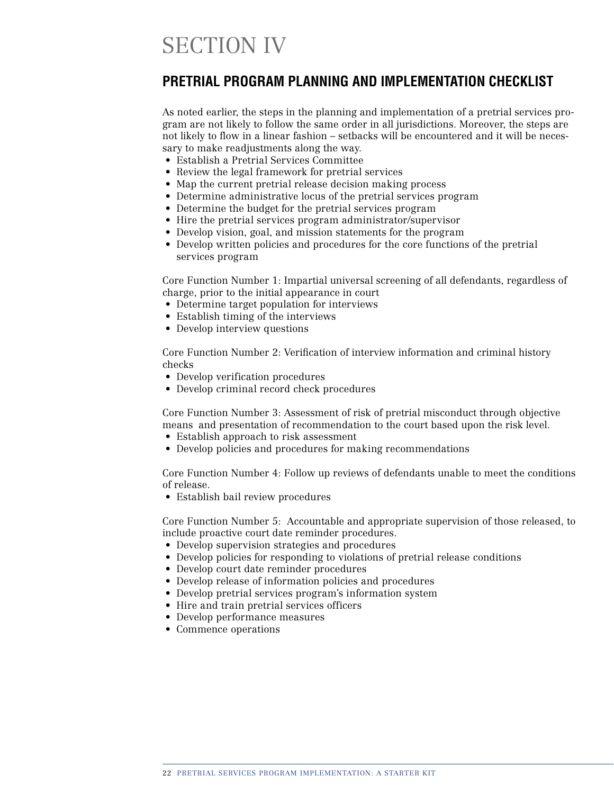### **PRETRIAL PROGRAM PLANNING AND IMPLEMENTATION CHECKLIST**

As noted earlier, the steps in the planning and implementation of a pretrial services program are not likely to follow the same order in all jurisdictions. Moreover, the steps are not likely to flow in a linear fashion – setbacks will be encountered and it will be necessary to make readjustments along the way.

• Establish a Pretrial Services Committee

- Review the legal framework for pretrial services
- Map the current pretrial release decision making process
- Determine administrative locus of the pretrial services program
- Determine the budget for the pretrial services program
- Hire the pretrial services program administrator/supervisor
- Develop vision, goal, and mission statements for the program
- Develop written policies and procedures for the core functions of the pretrial services program

Core Function Number 1: Impartial universal screening of all defendants, regardless of charge, prior to the initial appearance in court

- Determine target population for interviews
- Establish timing of the interviews
- Develop interview questions

Core Function Number 2: Verification of interview information and criminal history checks

- Develop verification procedures
- Develop criminal record check procedures

Core Function Number 3: Assessment of risk of pretrial misconduct through objective means and presentation of recommendation to the court based upon the risk level.

- Establish approach to risk assessment
- Develop policies and procedures for making recommendations

Core Function Number 4: Follow up reviews of defendants unable to meet the conditions of release.

• Establish bail review procedures

Core Function Number 5: Accountable and appropriate supervision of those released, to include proactive court date reminder procedures.

- Develop supervision strategies and procedures
- Develop policies for responding to violations of pretrial release conditions
- Develop court date reminder procedures
- Develop release of information policies and procedures
- Develop pretrial services program's information system
- Hire and train pretrial services officers
- Develop performance measures
- Commence operations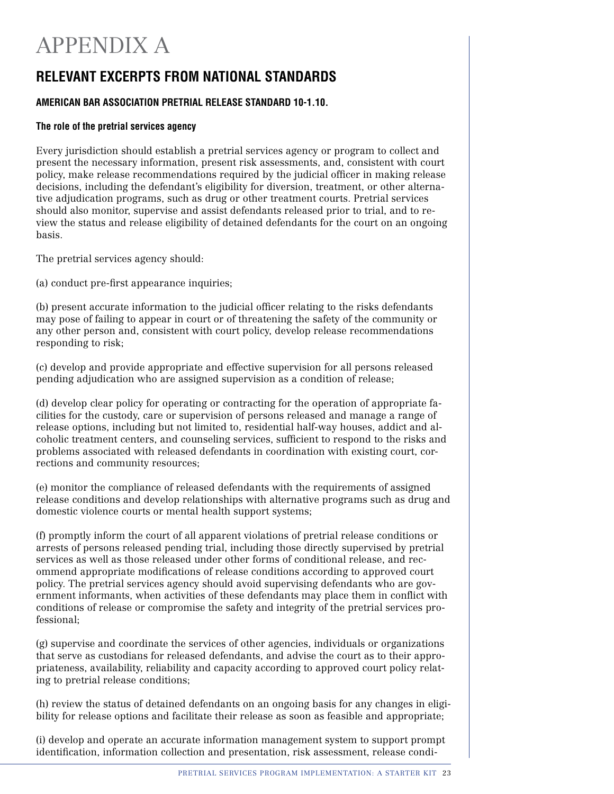# APPENDIX A

### **RELEVANT EXCERPTS FROM NATIONAL STANDARDS**

### **AMERICAN BAR ASSOCIATION PRETRIAL RELEASE STANDARD 10-1.10.**

### **The role of the pretrial services agency**

Every jurisdiction should establish a pretrial services agency or program to collect and present the necessary information, present risk assessments, and, consistent with court policy, make release recommendations required by the judicial officer in making release decisions, including the defendant's eligibility for diversion, treatment, or other alternative adjudication programs, such as drug or other treatment courts. Pretrial services should also monitor, supervise and assist defendants released prior to trial, and to review the status and release eligibility of detained defendants for the court on an ongoing basis.

The pretrial services agency should:

(a) conduct pre-first appearance inquiries;

(b) present accurate information to the judicial officer relating to the risks defendants may pose of failing to appear in court or of threatening the safety of the community or any other person and, consistent with court policy, develop release recommendations responding to risk;

(c) develop and provide appropriate and effective supervision for all persons released pending adjudication who are assigned supervision as a condition of release;

(d) develop clear policy for operating or contracting for the operation of appropriate facilities for the custody, care or supervision of persons released and manage a range of release options, including but not limited to, residential half-way houses, addict and alcoholic treatment centers, and counseling services, sufficient to respond to the risks and problems associated with released defendants in coordination with existing court, corrections and community resources;

(e) monitor the compliance of released defendants with the requirements of assigned release conditions and develop relationships with alternative programs such as drug and domestic violence courts or mental health support systems;

(f) promptly inform the court of all apparent violations of pretrial release conditions or arrests of persons released pending trial, including those directly supervised by pretrial services as well as those released under other forms of conditional release, and recommend appropriate modifications of release conditions according to approved court policy. The pretrial services agency should avoid supervising defendants who are government informants, when activities of these defendants may place them in conflict with conditions of release or compromise the safety and integrity of the pretrial services professional;

(g) supervise and coordinate the services of other agencies, individuals or organizations that serve as custodians for released defendants, and advise the court as to their appropriateness, availability, reliability and capacity according to approved court policy relating to pretrial release conditions;

(h) review the status of detained defendants on an ongoing basis for any changes in eligibility for release options and facilitate their release as soon as feasible and appropriate;

(i) develop and operate an accurate information management system to support prompt identification, information collection and presentation, risk assessment, release condi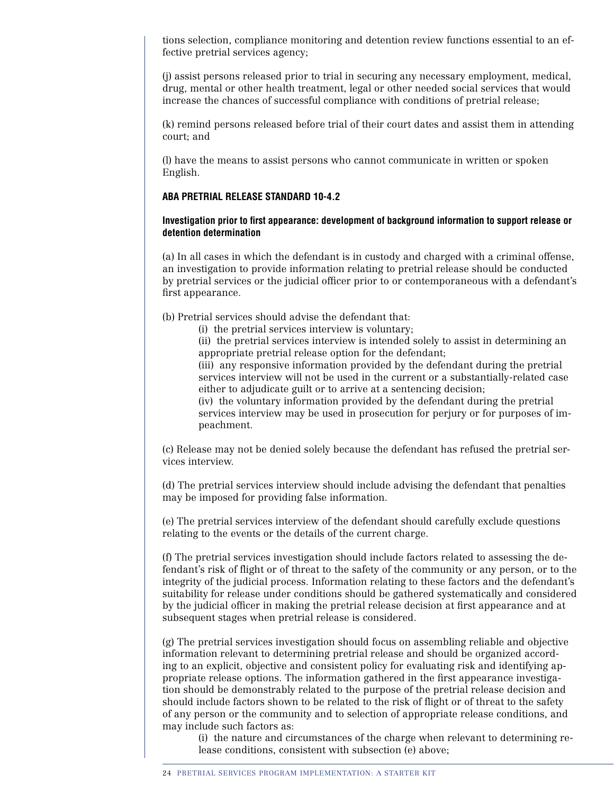tions selection, compliance monitoring and detention review functions essential to an effective pretrial services agency;

(j) assist persons released prior to trial in securing any necessary employment, medical, drug, mental or other health treatment, legal or other needed social services that would increase the chances of successful compliance with conditions of pretrial release;

(k) remind persons released before trial of their court dates and assist them in attending court; and

(l) have the means to assist persons who cannot communicate in written or spoken English.

#### **ABA Pretrial Release Standard 10-4.2**

#### **Investigation prior to first appearance: development of background information to support release or detention determination**

(a) In all cases in which the defendant is in custody and charged with a criminal offense, an investigation to provide information relating to pretrial release should be conducted by pretrial services or the judicial officer prior to or contemporaneous with a defendant's first appearance.

(b) Pretrial services should advise the defendant that:

(i) the pretrial services interview is voluntary;

 (ii) the pretrial services interview is intended solely to assist in determining an appropriate pretrial release option for the defendant;

 (iii) any responsive information provided by the defendant during the pretrial services interview will not be used in the current or a substantially-related case either to adjudicate guilt or to arrive at a sentencing decision;

 (iv) the voluntary information provided by the defendant during the pretrial services interview may be used in prosecution for perjury or for purposes of impeachment.

(c) Release may not be denied solely because the defendant has refused the pretrial services interview.

(d) The pretrial services interview should include advising the defendant that penalties may be imposed for providing false information.

(e) The pretrial services interview of the defendant should carefully exclude questions relating to the events or the details of the current charge.

(f) The pretrial services investigation should include factors related to assessing the defendant's risk of flight or of threat to the safety of the community or any person, or to the integrity of the judicial process. Information relating to these factors and the defendant's suitability for release under conditions should be gathered systematically and considered by the judicial officer in making the pretrial release decision at first appearance and at subsequent stages when pretrial release is considered.

(g) The pretrial services investigation should focus on assembling reliable and objective information relevant to determining pretrial release and should be organized according to an explicit, objective and consistent policy for evaluating risk and identifying appropriate release options. The information gathered in the first appearance investigation should be demonstrably related to the purpose of the pretrial release decision and should include factors shown to be related to the risk of flight or of threat to the safety of any person or the community and to selection of appropriate release conditions, and may include such factors as:

 (i) the nature and circumstances of the charge when relevant to determining release conditions, consistent with subsection (e) above;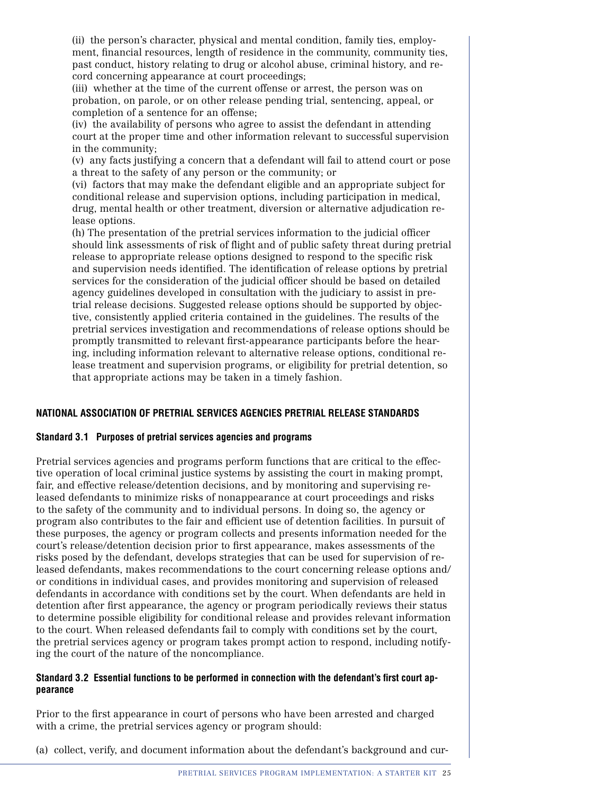(ii) the person's character, physical and mental condition, family ties, employment, financial resources, length of residence in the community, community ties, past conduct, history relating to drug or alcohol abuse, criminal history, and record concerning appearance at court proceedings;

 (iii) whether at the time of the current offense or arrest, the person was on probation, on parole, or on other release pending trial, sentencing, appeal, or completion of a sentence for an offense;

 (iv) the availability of persons who agree to assist the defendant in attending court at the proper time and other information relevant to successful supervision in the community;

 (v) any facts justifying a concern that a defendant will fail to attend court or pose a threat to the safety of any person or the community; or

 (vi) factors that may make the defendant eligible and an appropriate subject for conditional release and supervision options, including participation in medical, drug, mental health or other treatment, diversion or alternative adjudication release options.

 (h) The presentation of the pretrial services information to the judicial officer should link assessments of risk of flight and of public safety threat during pretrial release to appropriate release options designed to respond to the specific risk and supervision needs identified. The identification of release options by pretrial services for the consideration of the judicial officer should be based on detailed agency guidelines developed in consultation with the judiciary to assist in pretrial release decisions. Suggested release options should be supported by objective, consistently applied criteria contained in the guidelines. The results of the pretrial services investigation and recommendations of release options should be promptly transmitted to relevant first-appearance participants before the hearing, including information relevant to alternative release options, conditional release treatment and supervision programs, or eligibility for pretrial detention, so that appropriate actions may be taken in a timely fashion.

### **NATIONAL ASSOCIATION OF PRETRIAL SERVICES AGENCIES PRETRIAL RELEASE STANDARDS**

### **Standard 3.1 Purposes of pretrial services agencies and programs**

Pretrial services agencies and programs perform functions that are critical to the effective operation of local criminal justice systems by assisting the court in making prompt, fair, and effective release/detention decisions, and by monitoring and supervising released defendants to minimize risks of nonappearance at court proceedings and risks to the safety of the community and to individual persons. In doing so, the agency or program also contributes to the fair and efficient use of detention facilities. In pursuit of these purposes, the agency or program collects and presents information needed for the court's release/detention decision prior to first appearance, makes assessments of the risks posed by the defendant, develops strategies that can be used for supervision of released defendants, makes recommendations to the court concerning release options and/ or conditions in individual cases, and provides monitoring and supervision of released defendants in accordance with conditions set by the court. When defendants are held in detention after first appearance, the agency or program periodically reviews their status to determine possible eligibility for conditional release and provides relevant information to the court. When released defendants fail to comply with conditions set by the court, the pretrial services agency or program takes prompt action to respond, including notifying the court of the nature of the noncompliance.

### **Standard 3.2 Essential functions to be performed in connection with the defendant's first court appearance**

Prior to the first appearance in court of persons who have been arrested and charged with a crime, the pretrial services agency or program should:

(a) collect, verify, and document information about the defendant's background and cur-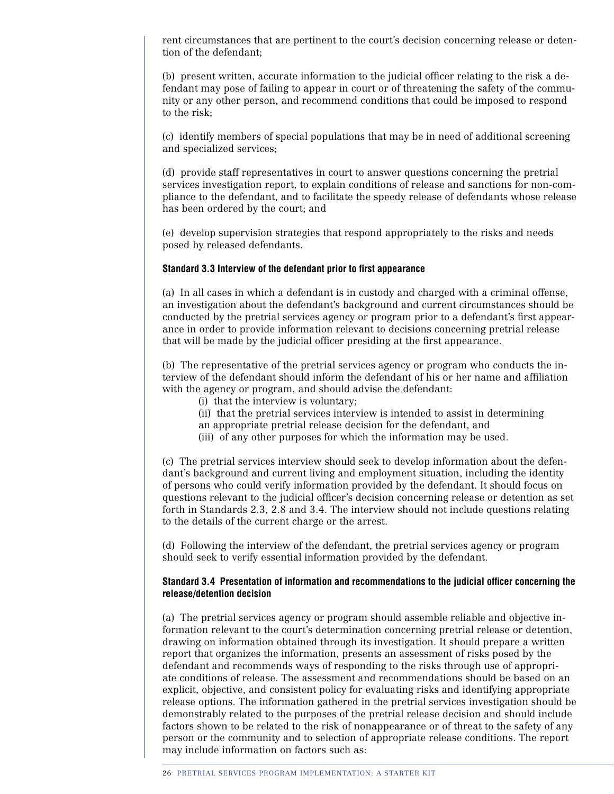rent circumstances that are pertinent to the court's decision concerning release or detention of the defendant;

(b) present written, accurate information to the judicial officer relating to the risk a defendant may pose of failing to appear in court or of threatening the safety of the community or any other person, and recommend conditions that could be imposed to respond to the risk;

(c) identify members of special populations that may be in need of additional screening and specialized services;

(d) provide staff representatives in court to answer questions concerning the pretrial services investigation report, to explain conditions of release and sanctions for non-compliance to the defendant, and to facilitate the speedy release of defendants whose release has been ordered by the court; and

(e) develop supervision strategies that respond appropriately to the risks and needs posed by released defendants.

#### **Standard 3.3 Interview of the defendant prior to first appearance**

(a) In all cases in which a defendant is in custody and charged with a criminal offense, an investigation about the defendant's background and current circumstances should be conducted by the pretrial services agency or program prior to a defendant's first appearance in order to provide information relevant to decisions concerning pretrial release that will be made by the judicial officer presiding at the first appearance.

(b) The representative of the pretrial services agency or program who conducts the interview of the defendant should inform the defendant of his or her name and affiliation with the agency or program, and should advise the defendant:

- (i) that the interview is voluntary;
- (ii) that the pretrial services interview is intended to assist in determining
- an appropriate pretrial release decision for the defendant, and
- (iii) of any other purposes for which the information may be used.

(c) The pretrial services interview should seek to develop information about the defendant's background and current living and employment situation, including the identity of persons who could verify information provided by the defendant. It should focus on questions relevant to the judicial officer's decision concerning release or detention as set forth in Standards 2.3, 2.8 and 3.4. The interview should not include questions relating to the details of the current charge or the arrest.

(d) Following the interview of the defendant, the pretrial services agency or program should seek to verify essential information provided by the defendant.

#### **Standard 3.4 Presentation of information and recommendations to the judicial officer concerning the release/detention decision**

(a) The pretrial services agency or program should assemble reliable and objective information relevant to the court's determination concerning pretrial release or detention, drawing on information obtained through its investigation. It should prepare a written report that organizes the information, presents an assessment of risks posed by the defendant and recommends ways of responding to the risks through use of appropriate conditions of release. The assessment and recommendations should be based on an explicit, objective, and consistent policy for evaluating risks and identifying appropriate release options. The information gathered in the pretrial services investigation should be demonstrably related to the purposes of the pretrial release decision and should include factors shown to be related to the risk of nonappearance or of threat to the safety of any person or the community and to selection of appropriate release conditions. The report may include information on factors such as: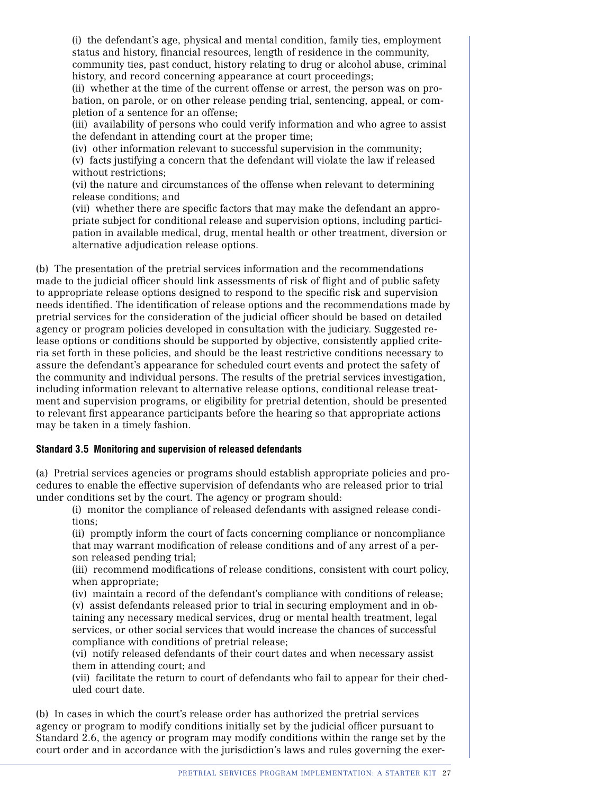(i) the defendant's age, physical and mental condition, family ties, employment status and history, financial resources, length of residence in the community, community ties, past conduct, history relating to drug or alcohol abuse, criminal history, and record concerning appearance at court proceedings;

 (ii) whether at the time of the current offense or arrest, the person was on probation, on parole, or on other release pending trial, sentencing, appeal, or completion of a sentence for an offense;

 (iii) availability of persons who could verify information and who agree to assist the defendant in attending court at the proper time;

 (iv) other information relevant to successful supervision in the community; (v) facts justifying a concern that the defendant will violate the law if released without restrictions;

 (vi) the nature and circumstances of the offense when relevant to determining release conditions; and

 (vii) whether there are specific factors that may make the defendant an appropriate subject for conditional release and supervision options, including participation in available medical, drug, mental health or other treatment, diversion or alternative adjudication release options.

(b) The presentation of the pretrial services information and the recommendations made to the judicial officer should link assessments of risk of flight and of public safety to appropriate release options designed to respond to the specific risk and supervision needs identified. The identification of release options and the recommendations made by pretrial services for the consideration of the judicial officer should be based on detailed agency or program policies developed in consultation with the judiciary. Suggested release options or conditions should be supported by objective, consistently applied criteria set forth in these policies, and should be the least restrictive conditions necessary to assure the defendant's appearance for scheduled court events and protect the safety of the community and individual persons. The results of the pretrial services investigation, including information relevant to alternative release options, conditional release treatment and supervision programs, or eligibility for pretrial detention, should be presented to relevant first appearance participants before the hearing so that appropriate actions may be taken in a timely fashion.

### **Standard 3.5 Monitoring and supervision of released defendants**

(a) Pretrial services agencies or programs should establish appropriate policies and procedures to enable the effective supervision of defendants who are released prior to trial under conditions set by the court. The agency or program should:

 (i) monitor the compliance of released defendants with assigned release conditions;

 (ii) promptly inform the court of facts concerning compliance or noncompliance that may warrant modification of release conditions and of any arrest of a person released pending trial;

 (iii) recommend modifications of release conditions, consistent with court policy, when appropriate;

 (iv) maintain a record of the defendant's compliance with conditions of release; (v) assist defendants released prior to trial in securing employment and in obtaining any necessary medical services, drug or mental health treatment, legal services, or other social services that would increase the chances of successful compliance with conditions of pretrial release;

 (vi) notify released defendants of their court dates and when necessary assist them in attending court; and

 (vii) facilitate the return to court of defendants who fail to appear for their cheduled court date.

(b) In cases in which the court's release order has authorized the pretrial services agency or program to modify conditions initially set by the judicial officer pursuant to Standard 2.6, the agency or program may modify conditions within the range set by the court order and in accordance with the jurisdiction's laws and rules governing the exer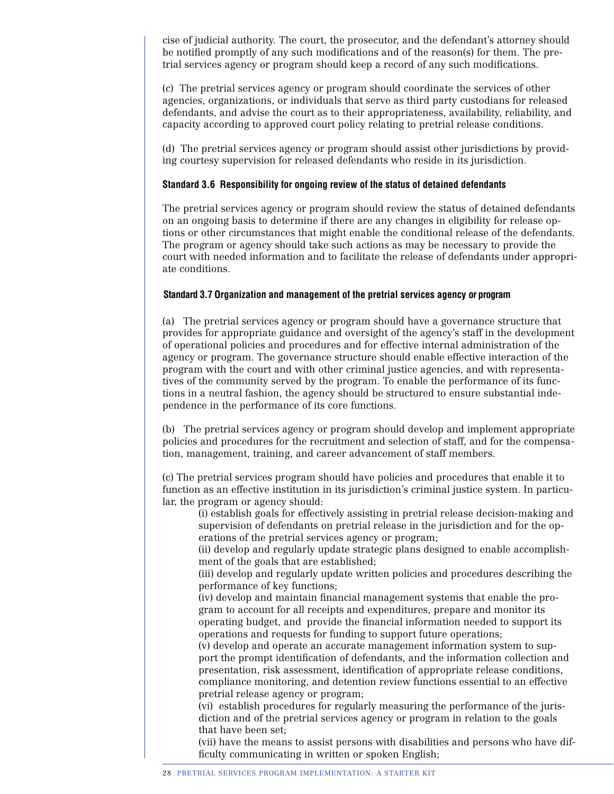cise of judicial authority. The court, the prosecutor, and the defendant's attorney should be notified promptly of any such modifications and of the reason(s) for them. The pretrial services agency or program should keep a record of any such modifications.

(c) The pretrial services agency or program should coordinate the services of other agencies, organizations, or individuals that serve as third party custodians for released defendants, and advise the court as to their appropriateness, availability, reliability, and capacity according to approved court policy relating to pretrial release conditions.

(d) The pretrial services agency or program should assist other jurisdictions by providing courtesy supervision for released defendants who reside in its jurisdiction.

### **Standard 3.6 Responsibility for ongoing review of the status of detained defendants**

The pretrial services agency or program should review the status of detained defendants on an ongoing basis to determine if there are any changes in eligibility for release options or other circumstances that might enable the conditional release of the defendants. The program or agency should take such actions as may be necessary to provide the court with needed information and to facilitate the release of defendants under appropriate conditions.

#### **Standard 3.7 Organization and management of the pretrial services agency or program**

(a) The pretrial services agency or program should have a governance structure that provides for appropriate guidance and oversight of the agency's staff in the development of operational policies and procedures and for effective internal administration of the agency or program. The governance structure should enable effective interaction of the program with the court and with other criminal justice agencies, and with representatives of the community served by the program. To enable the performance of its functions in a neutral fashion, the agency should be structured to ensure substantial independence in the performance of its core functions.

(b) The pretrial services agency or program should develop and implement appropriate policies and procedures for the recruitment and selection of staff, and for the compensation, management, training, and career advancement of staff members.

(c) The pretrial services program should have policies and procedures that enable it to function as an effective institution in its jurisdiction's criminal justice system. In particular, the program or agency should:

 (i) establish goals for effectively assisting in pretrial release decision-making and supervision of defendants on pretrial release in the jurisdiction and for the operations of the pretrial services agency or program;

 (ii) develop and regularly update strategic plans designed to enable accomplishment of the goals that are established;

 (iii) develop and regularly update written policies and procedures describing the performance of key functions;

 (iv) develop and maintain financial management systems that enable the program to account for all receipts and expenditures, prepare and monitor its operating budget, and provide the financial information needed to support its operations and requests for funding to support future operations;

 (v) develop and operate an accurate management information system to support the prompt identification of defendants, and the information collection and presentation, risk assessment, identification of appropriate release conditions, compliance monitoring, and detention review functions essential to an effective pretrial release agency or program;

 (vi) establish procedures for regularly measuring the performance of the jurisdiction and of the pretrial services agency or program in relation to the goals that have been set;

 (vii) have the means to assist persons with disabilities and persons who have difficulty communicating in written or spoken English;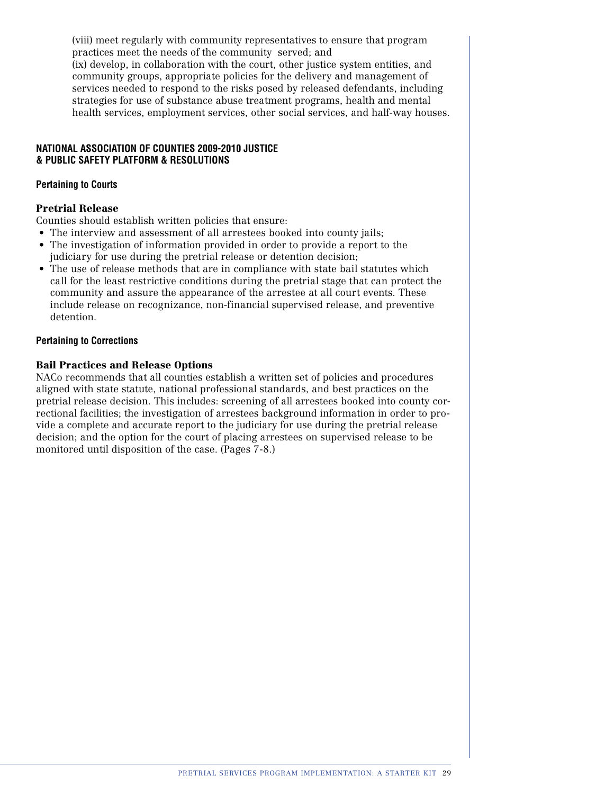(viii) meet regularly with community representatives to ensure that program practices meet the needs of the community served; and (ix) develop, in collaboration with the court, other justice system entities, and community groups, appropriate policies for the delivery and management of services needed to respond to the risks posed by released defendants, including strategies for use of substance abuse treatment programs, health and mental health services, employment services, other social services, and half-way houses.

### **NATIONAL ASSOCIATION OF COUNTIES 2009-2010 JUSTICE & PUBLIC SAFETY PLATFORM & RESOLUTIONS**

### **Pertaining to Courts**

### Pretrial Release

Counties should establish written policies that ensure:

- The interview and assessment of all arrestees booked into county jails;
- The investigation of information provided in order to provide a report to the judiciary for use during the pretrial release or detention decision;
- The use of release methods that are in compliance with state bail statutes which call for the least restrictive conditions during the pretrial stage that can protect the community and assure the appearance of the arrestee at all court events. These include release on recognizance, non-financial supervised release, and preventive detention.

### **Pertaining to Corrections**

### Bail Practices and Release Options

NACo recommends that all counties establish a written set of policies and procedures aligned with state statute, national professional standards, and best practices on the pretrial release decision. This includes: screening of all arrestees booked into county correctional facilities; the investigation of arrestees background information in order to provide a complete and accurate report to the judiciary for use during the pretrial release decision; and the option for the court of placing arrestees on supervised release to be monitored until disposition of the case. (Pages 7-8.)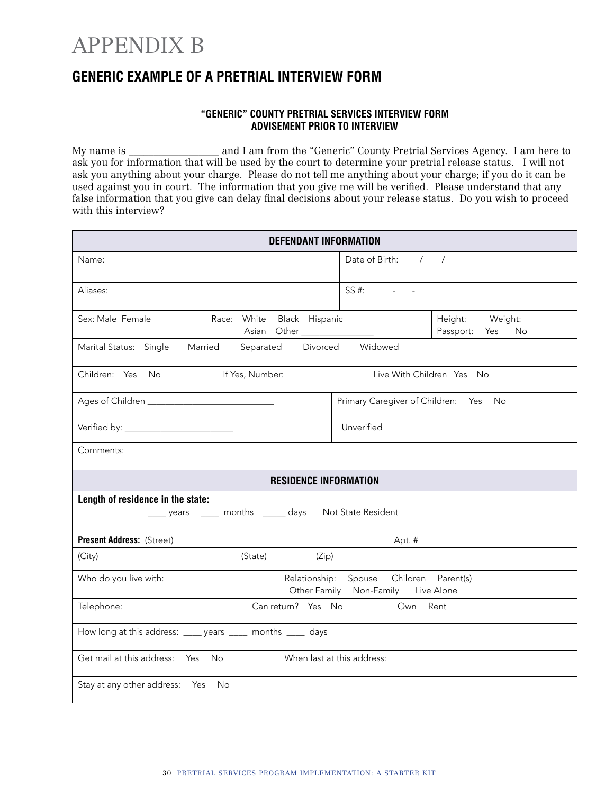# APPENDIX B

### **GENERIC EXAMPLE OF A PRETRIAL INTERVIEW FORM**

### **"GENERIC" COUNTY PRETRIAL SERVICES INTERVIEW FORM ADVISEMENT PRIOR TO INTERVIEW**

My name is and I am from the "Generic" County Pretrial Services Agency. I am here to ask you for information that will be used by the court to determine your pretrial release status. I will not ask you anything about your charge. Please do not tell me anything about your charge; if you do it can be used against you in court. The information that you give me will be verified. Please understand that any false information that you give can delay final decisions about your release status. Do you wish to proceed with this interview?

| <b>DEFENDANT INFORMATION</b>                                                   |                                                                                           |                                                         |                            |                                                                               |                                       |
|--------------------------------------------------------------------------------|-------------------------------------------------------------------------------------------|---------------------------------------------------------|----------------------------|-------------------------------------------------------------------------------|---------------------------------------|
| Name:                                                                          |                                                                                           |                                                         |                            | Date of Birth:<br>$\sqrt{2}$<br>$\overline{\phantom{a}}$                      |                                       |
| Aliases:                                                                       |                                                                                           |                                                         |                            | $SS#$ :                                                                       |                                       |
| Race: White Black Hispanic<br>Sex: Male Female<br>Asian Other ________________ |                                                                                           | Height: Weight:<br>Passport: Yes<br><b>No</b>           |                            |                                                                               |                                       |
| Marital Status: Single Married                                                 | Separated                                                                                 |                                                         | Divorced Widowed           |                                                                               |                                       |
| Children: Yes No                                                               | If Yes, Number:                                                                           |                                                         |                            |                                                                               | Live With Children Yes No             |
| Ages of Children _______________________________                               | the control of the control of the control of the control of the control of the control of |                                                         |                            |                                                                               | Primary Caregiver of Children: Yes No |
|                                                                                |                                                                                           |                                                         | Unverified                 |                                                                               |                                       |
| Comments:                                                                      |                                                                                           |                                                         |                            |                                                                               |                                       |
|                                                                                |                                                                                           | <b>RESIDENCE INFORMATION</b>                            |                            |                                                                               |                                       |
| Length of residence in the state:                                              |                                                                                           | _____ years _____ months ______ days Not State Resident |                            |                                                                               |                                       |
| <b>Present Address: (Street)</b>                                               |                                                                                           |                                                         |                            | Apt. #                                                                        |                                       |
| (City)                                                                         | (State)                                                                                   | (Zip)                                                   |                            |                                                                               |                                       |
| Who do you live with:                                                          |                                                                                           |                                                         |                            | Relationship: Spouse Children Parent(s)<br>Other Family Non-Family Live Alone |                                       |
| Telephone:                                                                     |                                                                                           | Can return? Yes No                                      |                            | Own                                                                           | Rent                                  |
| How long at this address: _____ years _____ months _____ days                  |                                                                                           |                                                         |                            |                                                                               |                                       |
| Get mail at this address: Yes<br>- No                                          |                                                                                           |                                                         | When last at this address: |                                                                               |                                       |
| Stay at any other address: Yes No                                              |                                                                                           |                                                         |                            |                                                                               |                                       |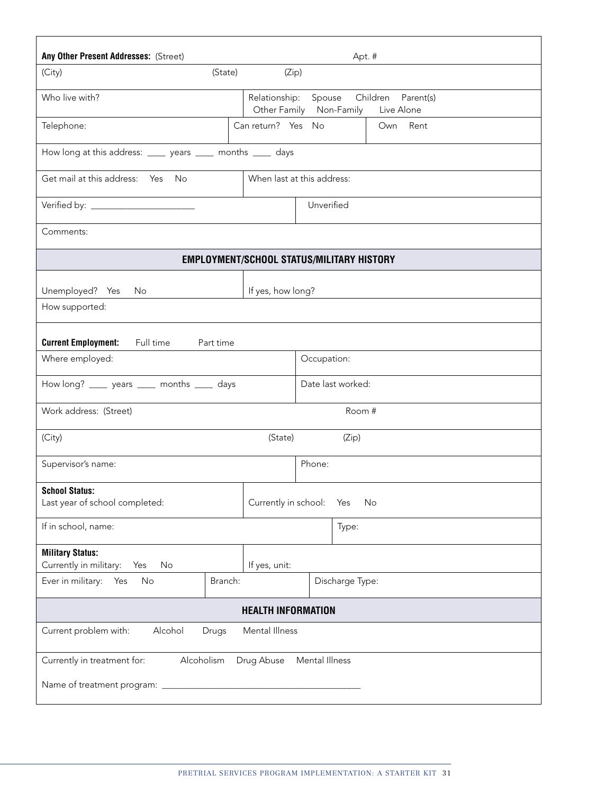| Any Other Present Addresses: (Street)                                     |                                                                    |                                           |             | Apt. #          |                                                       |  |
|---------------------------------------------------------------------------|--------------------------------------------------------------------|-------------------------------------------|-------------|-----------------|-------------------------------------------------------|--|
| (City)                                                                    | (State)                                                            | (Zip)                                     |             |                 |                                                       |  |
| Who live with?                                                            |                                                                    | Other Family Non-Family                   |             |                 | Relationship: Spouse Children Parent(s)<br>Live Alone |  |
| Telephone:                                                                |                                                                    | Can return? Yes No                        |             |                 | Own<br>Rent                                           |  |
| How long at this address: _____ years _____ months _____ days             |                                                                    |                                           |             |                 |                                                       |  |
| Get mail at this address: Yes No<br>When last at this address:            |                                                                    |                                           |             |                 |                                                       |  |
|                                                                           |                                                                    |                                           | Unverified  |                 |                                                       |  |
| Comments:                                                                 |                                                                    |                                           |             |                 |                                                       |  |
|                                                                           |                                                                    | EMPLOYMENT/SCHOOL STATUS/MILITARY HISTORY |             |                 |                                                       |  |
| Unemployed? Yes<br>No<br>How supported:                                   |                                                                    | If yes, how long?                         |             |                 |                                                       |  |
|                                                                           |                                                                    |                                           |             |                 |                                                       |  |
| <b>Current Employment:</b><br>Full time                                   | Part time                                                          |                                           |             |                 |                                                       |  |
| Where employed:                                                           |                                                                    |                                           | Occupation: |                 |                                                       |  |
|                                                                           | How long? _____ years _____ months _____ days<br>Date last worked: |                                           |             |                 |                                                       |  |
| Work address: (Street)                                                    |                                                                    |                                           |             | Room #          |                                                       |  |
| (City)                                                                    |                                                                    | (State)                                   |             | (Zip)           |                                                       |  |
| Supervisor's name:                                                        |                                                                    |                                           | Phone:      |                 |                                                       |  |
| <b>School Status:</b><br>Last year of school completed:                   |                                                                    | Currently in school:                      |             | Yes<br>No       |                                                       |  |
| If in school, name:                                                       |                                                                    |                                           | Type:       |                 |                                                       |  |
| <b>Military Status:</b><br>Currently in military:<br>Yes<br>No            |                                                                    | If yes, unit:                             |             |                 |                                                       |  |
| Ever in military:<br>Yes<br>No                                            | Branch:                                                            |                                           |             | Discharge Type: |                                                       |  |
| <b>HEALTH INFORMATION</b>                                                 |                                                                    |                                           |             |                 |                                                       |  |
| Current problem with:<br>Alcohol<br>Mental Illness<br>Drugs               |                                                                    |                                           |             |                 |                                                       |  |
| Alcoholism<br>Mental Illness<br>Currently in treatment for:<br>Drug Abuse |                                                                    |                                           |             |                 |                                                       |  |
| Name of treatment program:                                                |                                                                    |                                           |             |                 |                                                       |  |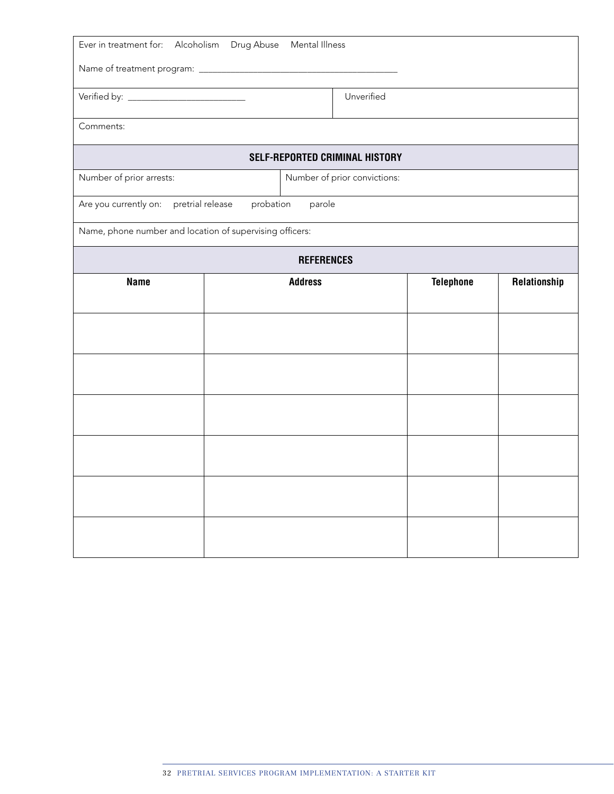| Ever in treatment for: Alcoholism Drug Abuse Mental Illness |                |                                |                  |              |  |
|-------------------------------------------------------------|----------------|--------------------------------|------------------|--------------|--|
|                                                             |                |                                |                  |              |  |
|                                                             | Unverified     |                                |                  |              |  |
| Comments:                                                   |                |                                |                  |              |  |
|                                                             |                | SELF-REPORTED CRIMINAL HISTORY |                  |              |  |
| Number of prior arrests:                                    |                | Number of prior convictions:   |                  |              |  |
| Are you currently on: pretrial release                      | probation      | parole                         |                  |              |  |
| Name, phone number and location of supervising officers:    |                |                                |                  |              |  |
|                                                             |                | <b>REFERENCES</b>              |                  |              |  |
| <b>Name</b>                                                 | <b>Address</b> |                                | <b>Telephone</b> | Relationship |  |
|                                                             |                |                                |                  |              |  |
|                                                             |                |                                |                  |              |  |
|                                                             |                |                                |                  |              |  |
|                                                             |                |                                |                  |              |  |
|                                                             |                |                                |                  |              |  |
|                                                             |                |                                |                  |              |  |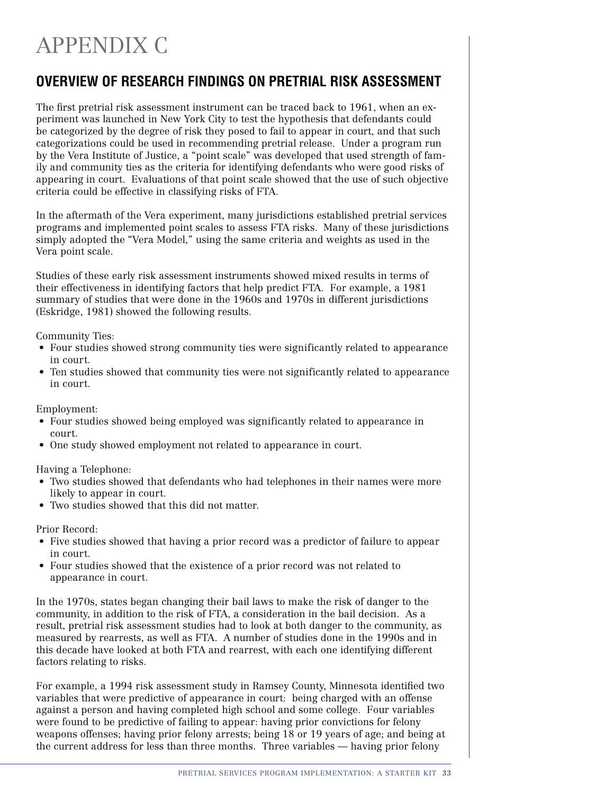# APPENDIX C

### **OVERVIEW OF RESEARCH FINDINGS ON PRETRIAL RISK ASSESSMENT**

The first pretrial risk assessment instrument can be traced back to 1961, when an experiment was launched in New York City to test the hypothesis that defendants could be categorized by the degree of risk they posed to fail to appear in court, and that such categorizations could be used in recommending pretrial release. Under a program run by the Vera Institute of Justice, a "point scale" was developed that used strength of family and community ties as the criteria for identifying defendants who were good risks of appearing in court. Evaluations of that point scale showed that the use of such objective criteria could be effective in classifying risks of FTA.

In the aftermath of the Vera experiment, many jurisdictions established pretrial services programs and implemented point scales to assess FTA risks. Many of these jurisdictions simply adopted the "Vera Model," using the same criteria and weights as used in the Vera point scale.

Studies of these early risk assessment instruments showed mixed results in terms of their effectiveness in identifying factors that help predict FTA. For example, a 1981 summary of studies that were done in the 1960s and 1970s in different jurisdictions (Eskridge, 1981) showed the following results.

Community Ties:

- Four studies showed strong community ties were significantly related to appearance in court.
- Ten studies showed that community ties were not significantly related to appearance in court.

Employment:

- Four studies showed being employed was significantly related to appearance in court.
- One study showed employment not related to appearance in court.

Having a Telephone:

- Two studies showed that defendants who had telephones in their names were more likely to appear in court.
- Two studies showed that this did not matter.

Prior Record:

- Five studies showed that having a prior record was a predictor of failure to appear in court.
- Four studies showed that the existence of a prior record was not related to appearance in court.

In the 1970s, states began changing their bail laws to make the risk of danger to the community, in addition to the risk of FTA, a consideration in the bail decision. As a result, pretrial risk assessment studies had to look at both danger to the community, as measured by rearrests, as well as FTA. A number of studies done in the 1990s and in this decade have looked at both FTA and rearrest, with each one identifying different factors relating to risks.

For example, a 1994 risk assessment study in Ramsey County, Minnesota identified two variables that were predictive of appearance in court: being charged with an offense against a person and having completed high school and some college. Four variables were found to be predictive of failing to appear: having prior convictions for felony weapons offenses; having prior felony arrests; being 18 or 19 years of age; and being at the current address for less than three months. Three variables — having prior felony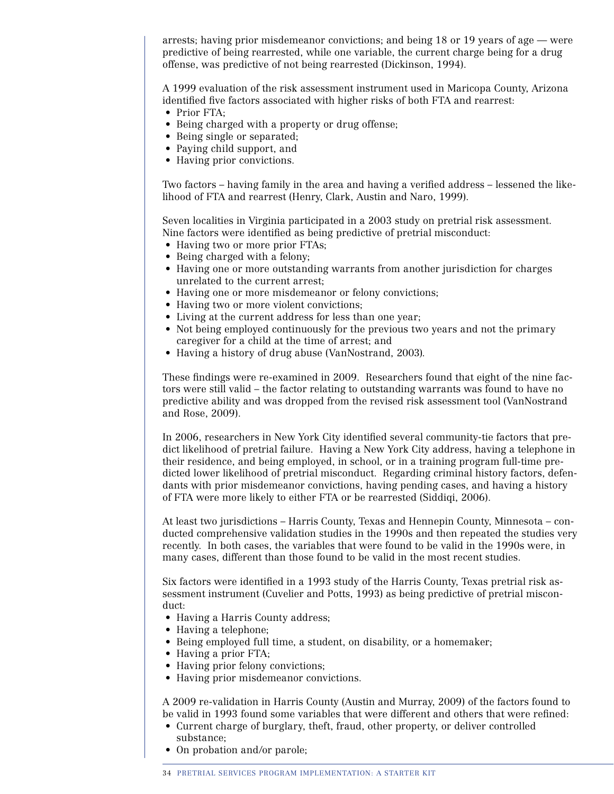arrests; having prior misdemeanor convictions; and being 18 or 19 years of age — were predictive of being rearrested, while one variable, the current charge being for a drug offense, was predictive of not being rearrested (Dickinson, 1994).

A 1999 evaluation of the risk assessment instrument used in Maricopa County, Arizona identified five factors associated with higher risks of both FTA and rearrest:

- Prior FTA;
- Being charged with a property or drug offense;
- Being single or separated;
- Paying child support, and
- Having prior convictions.

Two factors – having family in the area and having a verified address – lessened the likelihood of FTA and rearrest (Henry, Clark, Austin and Naro, 1999).

Seven localities in Virginia participated in a 2003 study on pretrial risk assessment. Nine factors were identified as being predictive of pretrial misconduct:

- Having two or more prior FTAs;
- Being charged with a felony;
- Having one or more outstanding warrants from another jurisdiction for charges unrelated to the current arrest;
- Having one or more misdemeanor or felony convictions;
- Having two or more violent convictions;
- Living at the current address for less than one year;
- Not being employed continuously for the previous two years and not the primary caregiver for a child at the time of arrest; and
- Having a history of drug abuse (VanNostrand, 2003).

These findings were re-examined in 2009. Researchers found that eight of the nine factors were still valid – the factor relating to outstanding warrants was found to have no predictive ability and was dropped from the revised risk assessment tool (VanNostrand and Rose, 2009).

In 2006, researchers in New York City identified several community-tie factors that predict likelihood of pretrial failure. Having a New York City address, having a telephone in their residence, and being employed, in school, or in a training program full-time predicted lower likelihood of pretrial misconduct. Regarding criminal history factors, defendants with prior misdemeanor convictions, having pending cases, and having a history of FTA were more likely to either FTA or be rearrested (Siddiqi, 2006).

At least two jurisdictions – Harris County, Texas and Hennepin County, Minnesota – conducted comprehensive validation studies in the 1990s and then repeated the studies very recently. In both cases, the variables that were found to be valid in the 1990s were, in many cases, different than those found to be valid in the most recent studies.

Six factors were identified in a 1993 study of the Harris County, Texas pretrial risk assessment instrument (Cuvelier and Potts, 1993) as being predictive of pretrial misconduct:

- Having a Harris County address;
- Having a telephone;
- Being employed full time, a student, on disability, or a homemaker;
- Having a prior FTA;
- Having prior felony convictions;
- Having prior misdemeanor convictions.

A 2009 re-validation in Harris County (Austin and Murray, 2009) of the factors found to be valid in 1993 found some variables that were different and others that were refined:

- Current charge of burglary, theft, fraud, other property, or deliver controlled substance;
- On probation and/or parole;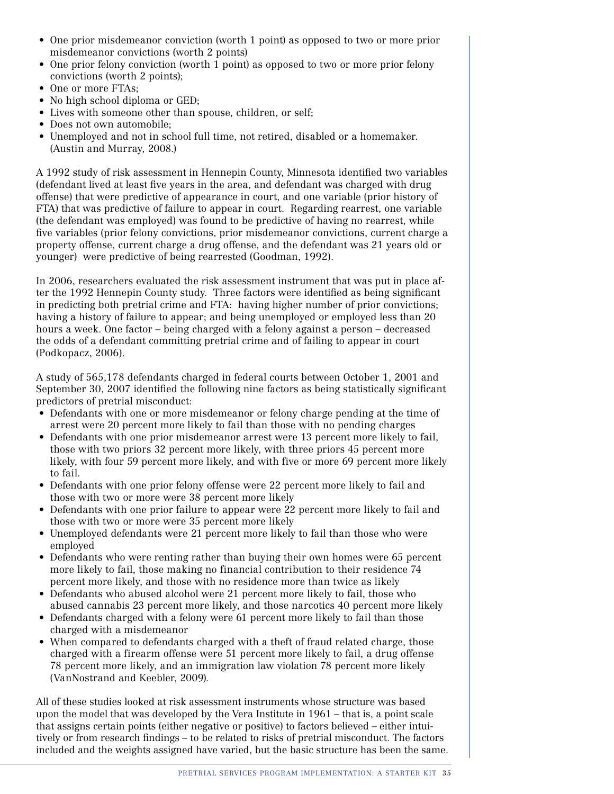- One prior misdemeanor conviction (worth 1 point) as opposed to two or more prior misdemeanor convictions (worth 2 points)
- One prior felony conviction (worth 1 point) as opposed to two or more prior felony convictions (worth 2 points);
- One or more FTAs;
- No high school diploma or GED;
- Lives with someone other than spouse, children, or self;
- Does not own automobile:
- Unemployed and not in school full time, not retired, disabled or a homemaker. (Austin and Murray, 2008.)

A 1992 study of risk assessment in Hennepin County, Minnesota identified two variables (defendant lived at least five years in the area, and defendant was charged with drug offense) that were predictive of appearance in court, and one variable (prior history of FTA) that was predictive of failure to appear in court. Regarding rearrest, one variable (the defendant was employed) was found to be predictive of having no rearrest, while five variables (prior felony convictions, prior misdemeanor convictions, current charge a property offense, current charge a drug offense, and the defendant was 21 years old or younger) were predictive of being rearrested (Goodman, 1992).

In 2006, researchers evaluated the risk assessment instrument that was put in place after the 1992 Hennepin County study. Three factors were identified as being significant in predicting both pretrial crime and FTA: having higher number of prior convictions; having a history of failure to appear; and being unemployed or employed less than 20 hours a week. One factor – being charged with a felony against a person – decreased the odds of a defendant committing pretrial crime and of failing to appear in court (Podkopacz, 2006).

A study of 565,178 defendants charged in federal courts between October 1, 2001 and September 30, 2007 identified the following nine factors as being statistically significant predictors of pretrial misconduct:

- Defendants with one or more misdemeanor or felony charge pending at the time of arrest were 20 percent more likely to fail than those with no pending charges
- Defendants with one prior misdemeanor arrest were 13 percent more likely to fail, those with two priors 32 percent more likely, with three priors 45 percent more likely, with four 59 percent more likely, and with five or more 69 percent more likely to fail.
- Defendants with one prior felony offense were 22 percent more likely to fail and those with two or more were 38 percent more likely
- Defendants with one prior failure to appear were 22 percent more likely to fail and those with two or more were 35 percent more likely
- Unemployed defendants were 21 percent more likely to fail than those who were employed
- Defendants who were renting rather than buying their own homes were 65 percent more likely to fail, those making no financial contribution to their residence 74 percent more likely, and those with no residence more than twice as likely
- Defendants who abused alcohol were 21 percent more likely to fail, those who abused cannabis 23 percent more likely, and those narcotics 40 percent more likely
- Defendants charged with a felony were 61 percent more likely to fail than those charged with a misdemeanor
- When compared to defendants charged with a theft of fraud related charge, those charged with a firearm offense were 51 percent more likely to fail, a drug offense 78 percent more likely, and an immigration law violation 78 percent more likely (VanNostrand and Keebler, 2009).

All of these studies looked at risk assessment instruments whose structure was based upon the model that was developed by the Vera Institute in 1961 – that is, a point scale that assigns certain points (either negative or positive) to factors believed – either intuitively or from research findings – to be related to risks of pretrial misconduct. The factors included and the weights assigned have varied, but the basic structure has been the same.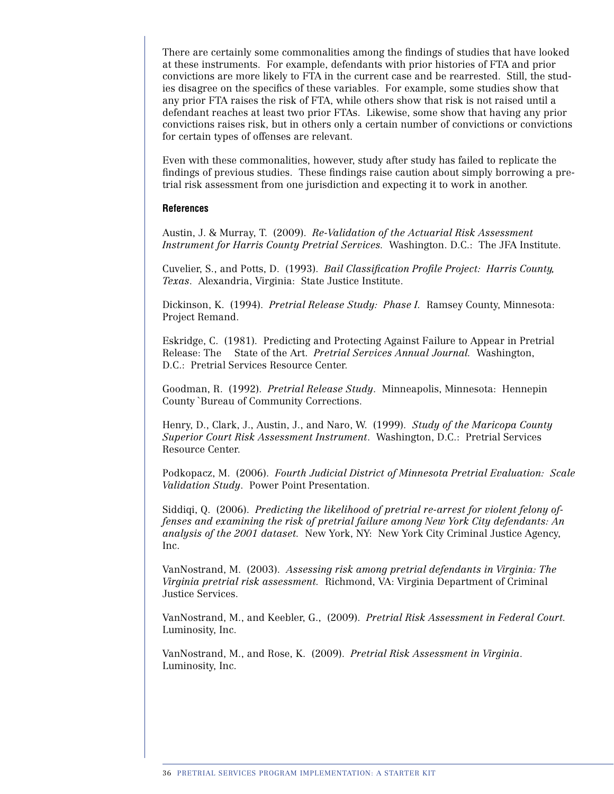There are certainly some commonalities among the findings of studies that have looked at these instruments. For example, defendants with prior histories of FTA and prior convictions are more likely to FTA in the current case and be rearrested. Still, the studies disagree on the specifics of these variables. For example, some studies show that any prior FTA raises the risk of FTA, while others show that risk is not raised until a defendant reaches at least two prior FTAs. Likewise, some show that having any prior convictions raises risk, but in others only a certain number of convictions or convictions for certain types of offenses are relevant.

Even with these commonalities, however, study after study has failed to replicate the findings of previous studies. These findings raise caution about simply borrowing a pretrial risk assessment from one jurisdiction and expecting it to work in another.

#### **References**

Austin, J. & Murray, T. (2009). *Re-Validation of the Actuarial Risk Assessment Instrument for Harris County Pretrial Services.* Washington. D.C.: The JFA Institute.

Cuvelier, S., and Potts, D. (1993). *Bail Classification Profile Project: Harris County, Texas*. Alexandria, Virginia: State Justice Institute.

Dickinson, K. (1994). *Pretrial Release Study: Phase I.* Ramsey County, Minnesota: Project Remand.

Eskridge, C. (1981). Predicting and Protecting Against Failure to Appear in Pretrial Release: The State of the Art. *Pretrial Services Annual Journal.* Washington, D.C.: Pretrial Services Resource Center.

Goodman, R. (1992). *Pretrial Release Study*. Minneapolis, Minnesota: Hennepin County `Bureau of Community Corrections.

Henry, D., Clark, J., Austin, J., and Naro, W. (1999). *Study of the Maricopa County Superior Court Risk Assessment Instrument*. Washington, D.C.: Pretrial Services Resource Center.

Podkopacz, M. (2006). *Fourth Judicial District of Minnesota Pretrial Evaluation: Scale Validation Study*. Power Point Presentation.

Siddiqi, Q. (2006). *Predicting the likelihood of pretrial re-arrest for violent felony offenses and examining the risk of pretrial failure among New York City defendants: An analysis of the 2001 dataset.* New York, NY: New York City Criminal Justice Agency, Inc.

VanNostrand, M. (2003). *Assessing risk among pretrial defendants in Virginia: The Virginia pretrial risk assessment.* Richmond, VA: Virginia Department of Criminal Justice Services.

VanNostrand, M., and Keebler, G., (2009). *Pretrial Risk Assessment in Federal Court.* Luminosity, Inc.

VanNostrand, M., and Rose, K. (2009). *Pretrial Risk Assessment in Virginia*. Luminosity, Inc.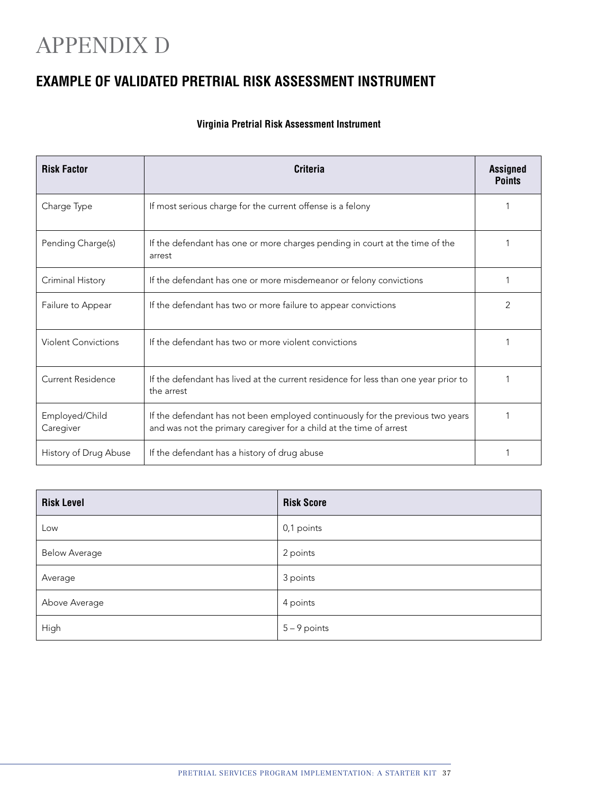# APPENDIX D

### **EXAMPLE OF VALIDATED PRETRIAL RISK ASSESSMENT INSTRUMENT**

### **Virginia Pretrial Risk Assessment Instrument**

| <b>Risk Factor</b>                                                                 | <b>Criteria</b>                                                                                                                                       | <b>Assigned</b><br><b>Points</b> |
|------------------------------------------------------------------------------------|-------------------------------------------------------------------------------------------------------------------------------------------------------|----------------------------------|
| Charge Type                                                                        | If most serious charge for the current offense is a felony                                                                                            |                                  |
| Pending Charge(s)                                                                  | If the defendant has one or more charges pending in court at the time of the<br>arrest                                                                |                                  |
| Criminal History                                                                   | If the defendant has one or more misdemeanor or felony convictions                                                                                    |                                  |
| Failure to Appear                                                                  | If the defendant has two or more failure to appear convictions                                                                                        | 2                                |
| If the defendant has two or more violent convictions<br><b>Violent Convictions</b> |                                                                                                                                                       |                                  |
| Current Residence                                                                  | If the defendant has lived at the current residence for less than one year prior to<br>the arrest                                                     |                                  |
| Employed/Child<br>Caregiver                                                        | If the defendant has not been employed continuously for the previous two years<br>and was not the primary caregiver for a child at the time of arrest |                                  |
| History of Drug Abuse                                                              | If the defendant has a history of drug abuse                                                                                                          |                                  |

| <b>Risk Level</b>    | <b>Risk Score</b> |
|----------------------|-------------------|
| Low                  | 0,1 points        |
| <b>Below Average</b> | 2 points          |
| Average              | 3 points          |
| Above Average        | 4 points          |
| High                 | $5 - 9$ points    |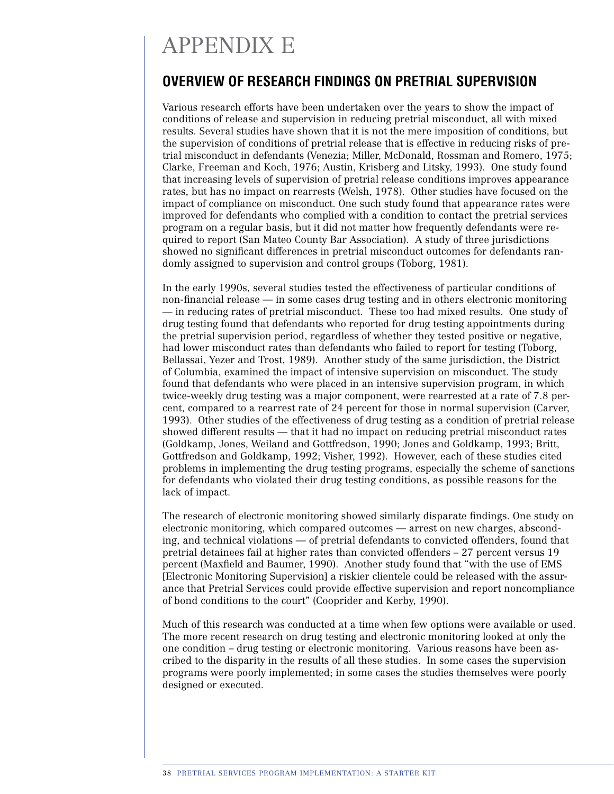# APPENDIX E

### **OVERVIEW OF RESEARCH FINDINGS ON PRETRIAL SUPERVISION**

Various research efforts have been undertaken over the years to show the impact of conditions of release and supervision in reducing pretrial misconduct, all with mixed results. Several studies have shown that it is not the mere imposition of conditions, but the supervision of conditions of pretrial release that is effective in reducing risks of pretrial misconduct in defendants (Venezia; Miller, McDonald, Rossman and Romero, 1975; Clarke, Freeman and Koch, 1976; Austin, Krisberg and Litsky, 1993). One study found that increasing levels of supervision of pretrial release conditions improves appearance rates, but has no impact on rearrests (Welsh, 1978). Other studies have focused on the impact of compliance on misconduct. One such study found that appearance rates were improved for defendants who complied with a condition to contact the pretrial services program on a regular basis, but it did not matter how frequently defendants were required to report (San Mateo County Bar Association). A study of three jurisdictions showed no significant differences in pretrial misconduct outcomes for defendants randomly assigned to supervision and control groups (Toborg, 1981).

In the early 1990s, several studies tested the effectiveness of particular conditions of non-financial release — in some cases drug testing and in others electronic monitoring — in reducing rates of pretrial misconduct. These too had mixed results. One study of drug testing found that defendants who reported for drug testing appointments during the pretrial supervision period, regardless of whether they tested positive or negative, had lower misconduct rates than defendants who failed to report for testing (Toborg, Bellassai, Yezer and Trost, 1989). Another study of the same jurisdiction, the District of Columbia, examined the impact of intensive supervision on misconduct. The study found that defendants who were placed in an intensive supervision program, in which twice-weekly drug testing was a major component, were rearrested at a rate of 7.8 percent, compared to a rearrest rate of 24 percent for those in normal supervision (Carver, 1993). Other studies of the effectiveness of drug testing as a condition of pretrial release showed different results — that it had no impact on reducing pretrial misconduct rates (Goldkamp, Jones, Weiland and Gottfredson, 1990; Jones and Goldkamp, 1993; Britt, Gottfredson and Goldkamp, 1992; Visher, 1992). However, each of these studies cited problems in implementing the drug testing programs, especially the scheme of sanctions for defendants who violated their drug testing conditions, as possible reasons for the lack of impact.

The research of electronic monitoring showed similarly disparate findings. One study on electronic monitoring, which compared outcomes — arrest on new charges, absconding, and technical violations — of pretrial defendants to convicted offenders, found that pretrial detainees fail at higher rates than convicted offenders – 27 percent versus 19 percent (Maxfield and Baumer, 1990). Another study found that "with the use of EMS [Electronic Monitoring Supervision] a riskier clientele could be released with the assurance that Pretrial Services could provide effective supervision and report noncompliance of bond conditions to the court" (Cooprider and Kerby, 1990).

Much of this research was conducted at a time when few options were available or used. The more recent research on drug testing and electronic monitoring looked at only the one condition – drug testing or electronic monitoring. Various reasons have been ascribed to the disparity in the results of all these studies. In some cases the supervision programs were poorly implemented; in some cases the studies themselves were poorly designed or executed.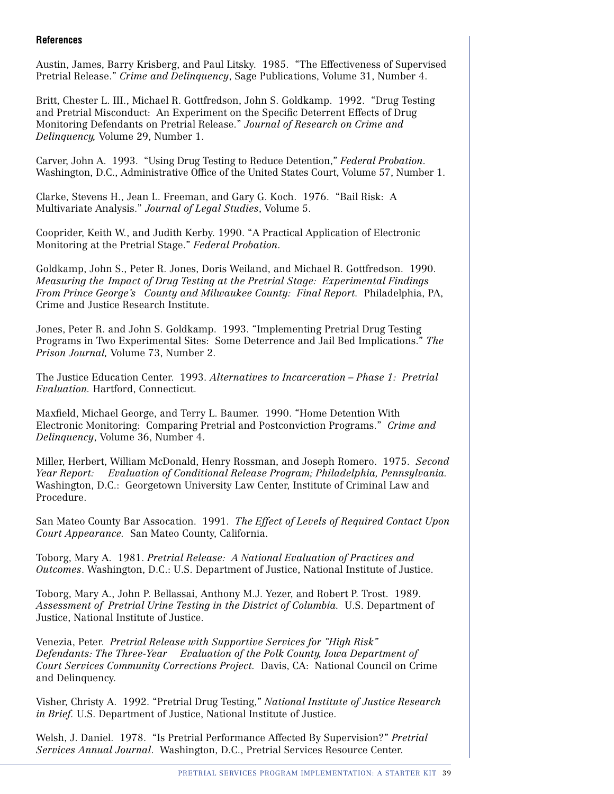#### **References**

Austin, James, Barry Krisberg, and Paul Litsky. 1985. "The Effectiveness of Supervised Pretrial Release." *Crime and Delinquency*, Sage Publications, Volume 31, Number 4.

Britt, Chester L. III., Michael R. Gottfredson, John S. Goldkamp. 1992. "Drug Testing and Pretrial Misconduct: An Experiment on the Specific Deterrent Effects of Drug Monitoring Defendants on Pretrial Release." *Journal of Research on Crime and Delinquency,* Volume 29, Number 1.

Carver, John A. 1993. "Using Drug Testing to Reduce Detention," *Federal Probation*. Washington, D.C., Administrative Office of the United States Court, Volume 57, Number 1.

Clarke, Stevens H., Jean L. Freeman, and Gary G. Koch. 1976. "Bail Risk: A Multivariate Analysis." *Journal of Legal Studies*, Volume 5.

Cooprider, Keith W., and Judith Kerby. 1990. "A Practical Application of Electronic Monitoring at the Pretrial Stage." *Federal Probation*.

Goldkamp, John S., Peter R. Jones, Doris Weiland, and Michael R. Gottfredson. 1990. *Measuring the Impact of Drug Testing at the Pretrial Stage: Experimental Findings From Prince George's County and Milwaukee County: Final Report.* Philadelphia, PA, Crime and Justice Research Institute.

Jones, Peter R. and John S. Goldkamp. 1993. "Implementing Pretrial Drug Testing Programs in Two Experimental Sites: Some Deterrence and Jail Bed Implications." *The Prison Journal,* Volume 73, Number 2.

The Justice Education Center. 1993. *Alternatives to Incarceration – Phase 1: Pretrial Evaluation.* Hartford, Connecticut.

Maxfield, Michael George, and Terry L. Baumer. 1990. "Home Detention With Electronic Monitoring: Comparing Pretrial and Postconviction Programs." *Crime and Delinquency*, Volume 36, Number 4.

Miller, Herbert, William McDonald, Henry Rossman, and Joseph Romero. 1975. *Second Year Report: Evaluation of Conditional Release Program; Philadelphia, Pennsylvania.* Washington, D.C.: Georgetown University Law Center, Institute of Criminal Law and Procedure.

San Mateo County Bar Assocation. 1991. *The Effect of Levels of Required Contact Upon Court Appearance.* San Mateo County, California.

Toborg, Mary A. 1981. *Pretrial Release: A National Evaluation of Practices and Outcomes*. Washington, D.C.: U.S. Department of Justice, National Institute of Justice.

Toborg, Mary A., John P. Bellassai, Anthony M.J. Yezer, and Robert P. Trost. 1989. *Assessment of Pretrial Urine Testing in the District of Columbia.* U.S. Department of Justice, National Institute of Justice.

Venezia, Peter. *Pretrial Release with Supportive Services for "High Risk" Defendants: The Three-Year Evaluation of the Polk County, Iowa Department of Court Services Community Corrections Project.* Davis, CA: National Council on Crime and Delinquency.

Visher, Christy A. 1992. "Pretrial Drug Testing," *National Institute of Justice Research in Brief.* U.S. Department of Justice, National Institute of Justice.

Welsh, J. Daniel. 1978. "Is Pretrial Performance Affected By Supervision?" *Pretrial Services Annual Journal*. Washington, D.C., Pretrial Services Resource Center.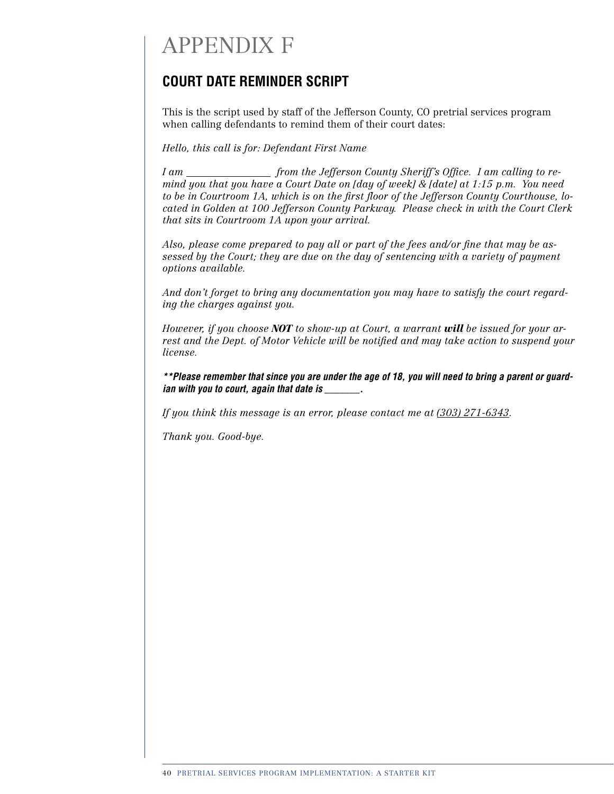# APPENDIX F

### **Court Date Reminder Script**

This is the script used by staff of the Jefferson County, CO pretrial services program when calling defendants to remind them of their court dates:

*Hello, this call is for: Defendant First Name* 

*I am* \_\_\_\_\_\_\_\_\_\_\_\_\_\_\_\_ from the Jefferson County Sheriff's Office. I am calling to re*mind you that you have a Court Date on [day of week] & [date] at 1:15 p.m. You need to be in Courtroom 1A, which is on the first floor of the Jefferson County Courthouse, located in Golden at 100 Jefferson County Parkway. Please check in with the Court Clerk that sits in Courtroom 1A upon your arrival.*

*Also, please come prepared to pay all or part of the fees and/or fine that may be assessed by the Court; they are due on the day of sentencing with a variety of payment options available.*

*And don't forget to bring any documentation you may have to satisfy the court regarding the charges against you.*

*However, if you choose NOT to show-up at Court, a warrant will be issued for your arrest and the Dept. of Motor Vehicle will be notified and may take action to suspend your license.*

*\*\*Please remember that since you are under the age of 18, you will need to bring a parent or guardian with you to court, again that date is \_\_\_\_\_\_\_.*

*If you think this message is an error, please contact me at (303) 271-6343.*

*Thank you. Good-bye.*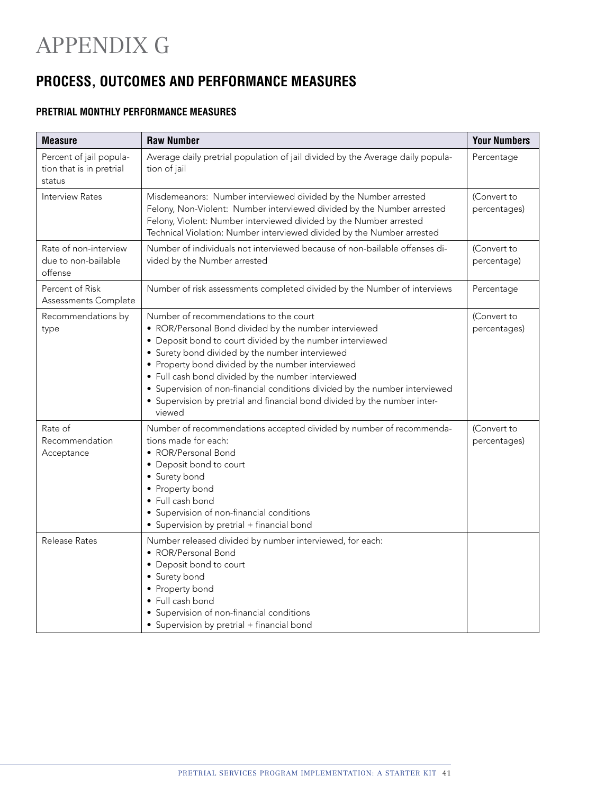# APPENDIX G

## **PROCESS, OUTCOMES AND PERFORMANCE MEASURES**

### **PRETRIAL MONTHLY PERFORMANCE MEASURES**

| <b>Measure</b>                                                | <b>Raw Number</b>                                                                                                                                                                                                                                                                                                                                                                                                                                                                                | <b>Your Numbers</b>         |
|---------------------------------------------------------------|--------------------------------------------------------------------------------------------------------------------------------------------------------------------------------------------------------------------------------------------------------------------------------------------------------------------------------------------------------------------------------------------------------------------------------------------------------------------------------------------------|-----------------------------|
| Percent of jail popula-<br>tion that is in pretrial<br>status | Average daily pretrial population of jail divided by the Average daily popula-<br>tion of jail                                                                                                                                                                                                                                                                                                                                                                                                   | Percentage                  |
| <b>Interview Rates</b>                                        | Misdemeanors: Number interviewed divided by the Number arrested<br>Felony, Non-Violent: Number interviewed divided by the Number arrested<br>Felony, Violent: Number interviewed divided by the Number arrested<br>Technical Violation: Number interviewed divided by the Number arrested                                                                                                                                                                                                        | (Convert to<br>percentages) |
| Rate of non-interview<br>due to non-bailable<br>offense       | Number of individuals not interviewed because of non-bailable offenses di-<br>vided by the Number arrested                                                                                                                                                                                                                                                                                                                                                                                       | (Convert to<br>percentage)  |
| Percent of Risk<br>Assessments Complete                       | Number of risk assessments completed divided by the Number of interviews                                                                                                                                                                                                                                                                                                                                                                                                                         | Percentage                  |
| Recommendations by<br>type                                    | Number of recommendations to the court<br>• ROR/Personal Bond divided by the number interviewed<br>• Deposit bond to court divided by the number interviewed<br>• Surety bond divided by the number interviewed<br>• Property bond divided by the number interviewed<br>• Full cash bond divided by the number interviewed<br>• Supervision of non-financial conditions divided by the number interviewed<br>• Supervision by pretrial and financial bond divided by the number inter-<br>viewed | (Convert to<br>percentages) |
| Rate of<br>Recommendation<br>Acceptance                       | Number of recommendations accepted divided by number of recommenda-<br>tions made for each:<br>· ROR/Personal Bond<br>• Deposit bond to court<br>• Surety bond<br>• Property bond<br>• Full cash bond<br>• Supervision of non-financial conditions<br>• Supervision by pretrial + financial bond                                                                                                                                                                                                 | (Convert to<br>percentages) |
| <b>Release Rates</b>                                          | Number released divided by number interviewed, for each:<br>· ROR/Personal Bond<br>• Deposit bond to court<br>• Surety bond<br>• Property bond<br>· Full cash bond<br>• Supervision of non-financial conditions<br>• Supervision by pretrial + financial bond                                                                                                                                                                                                                                    |                             |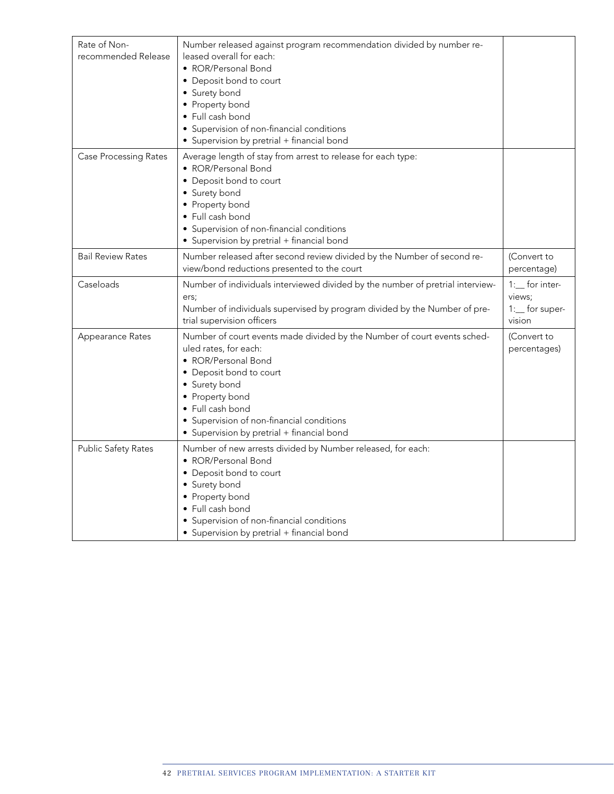| Rate of Non-<br>recommended Release | Number released against program recommendation divided by number re-<br>leased overall for each:<br>• ROR/Personal Bond<br>• Deposit bond to court<br>• Surety bond<br>• Property bond<br>• Full cash bond<br>• Supervision of non-financial conditions<br>• Supervision by pretrial + financial bond  |                                                    |
|-------------------------------------|--------------------------------------------------------------------------------------------------------------------------------------------------------------------------------------------------------------------------------------------------------------------------------------------------------|----------------------------------------------------|
| <b>Case Processing Rates</b>        | Average length of stay from arrest to release for each type:<br>• ROR/Personal Bond<br>• Deposit bond to court<br>• Surety bond<br>• Property bond<br>• Full cash bond<br>• Supervision of non-financial conditions<br>• Supervision by pretrial + financial bond                                      |                                                    |
| <b>Bail Review Rates</b>            | Number released after second review divided by the Number of second re-<br>view/bond reductions presented to the court                                                                                                                                                                                 | (Convert to<br>percentage)                         |
| Caseloads                           | Number of individuals interviewed divided by the number of pretrial interview-<br>ers;<br>Number of individuals supervised by program divided by the Number of pre-<br>trial supervision officers                                                                                                      | 1: for inter-<br>views;<br>1: for super-<br>vision |
| Appearance Rates                    | Number of court events made divided by the Number of court events sched-<br>uled rates, for each:<br>· ROR/Personal Bond<br>• Deposit bond to court<br>• Surety bond<br>• Property bond<br>· Full cash bond<br>• Supervision of non-financial conditions<br>• Supervision by pretrial + financial bond | (Convert to<br>percentages)                        |
| Public Safety Rates                 | Number of new arrests divided by Number released, for each:<br>· ROR/Personal Bond<br>• Deposit bond to court<br>• Surety bond<br>• Property bond<br>· Full cash bond<br>• Supervision of non-financial conditions<br>• Supervision by pretrial + financial bond                                       |                                                    |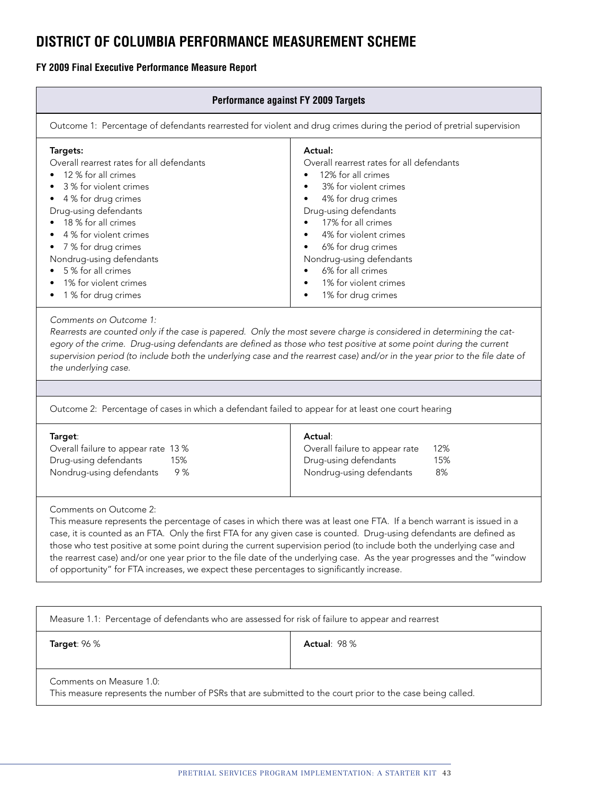### **DISTRICT OF COLUMBIA PERFORMANCE MEASUREMENT SCHEME**

### **FY 2009 Final Executive Performance Measure Report**

| Performance against FY 2009 Targets                                                                                                                                                                                                                                                                                                                                                                                                                                                                                                                                                                                        |                                                                                                                                                                                                                                                                                                                                                                                          |  |  |  |  |
|----------------------------------------------------------------------------------------------------------------------------------------------------------------------------------------------------------------------------------------------------------------------------------------------------------------------------------------------------------------------------------------------------------------------------------------------------------------------------------------------------------------------------------------------------------------------------------------------------------------------------|------------------------------------------------------------------------------------------------------------------------------------------------------------------------------------------------------------------------------------------------------------------------------------------------------------------------------------------------------------------------------------------|--|--|--|--|
|                                                                                                                                                                                                                                                                                                                                                                                                                                                                                                                                                                                                                            | Outcome 1: Percentage of defendants rearrested for violent and drug crimes during the period of pretrial supervision                                                                                                                                                                                                                                                                     |  |  |  |  |
| Targets:<br>Overall rearrest rates for all defendants<br>12 % for all crimes<br>3 % for violent crimes<br>4 % for drug crimes<br>Drug-using defendants<br>18 % for all crimes<br>4 % for violent crimes<br>7 % for drug crimes<br>Nondrug-using defendants<br>5 % for all crimes<br>1% for violent crimes<br>1 % for drug crimes                                                                                                                                                                                                                                                                                           | Actual:<br>Overall rearrest rates for all defendants<br>12% for all crimes<br>3% for violent crimes<br>4% for drug crimes<br>$\bullet$<br>Drug-using defendants<br>17% for all crimes<br>4% for violent crimes<br>6% for drug crimes<br>$\bullet$<br>Nondrug-using defendants<br>6% for all crimes<br>$\bullet$<br>1% for violent crimes<br>$\bullet$<br>1% for drug crimes<br>$\bullet$ |  |  |  |  |
| Comments on Outcome 1:<br>Rearrests are counted only if the case is papered. Only the most severe charge is considered in determining the cat-<br>egory of the crime. Drug-using defendants are defined as those who test positive at some point during the current<br>supervision period (to include both the underlying case and the rearrest case) and/or in the year prior to the file date of<br>the underlying case.                                                                                                                                                                                                 |                                                                                                                                                                                                                                                                                                                                                                                          |  |  |  |  |
| Outcome 2: Percentage of cases in which a defendant failed to appear for at least one court hearing                                                                                                                                                                                                                                                                                                                                                                                                                                                                                                                        |                                                                                                                                                                                                                                                                                                                                                                                          |  |  |  |  |
| Target:<br>Overall failure to appear rate 13 %<br>Drug-using defendants<br>15%<br>9%<br>Nondrug-using defendants                                                                                                                                                                                                                                                                                                                                                                                                                                                                                                           | Actual:<br>Overall failure to appear rate<br>12%<br>15%<br>Drug-using defendants<br>8%<br>Nondrug-using defendants                                                                                                                                                                                                                                                                       |  |  |  |  |
| Comments on Outcome 2:<br>This measure represents the percentage of cases in which there was at least one FTA. If a bench warrant is issued in a<br>case, it is counted as an FTA. Only the first FTA for any given case is counted. Drug-using defendants are defined as<br>those who test positive at some point during the current supervision period (to include both the underlying case and<br>the rearrest case) and/or one year prior to the file date of the underlying case. As the year progresses and the "window<br>of opportunity" for FTA increases, we expect these percentages to significantly increase. |                                                                                                                                                                                                                                                                                                                                                                                          |  |  |  |  |
| Measure 1.1: Percentage of defendants who are assessed for risk of failure to appear and rearrest                                                                                                                                                                                                                                                                                                                                                                                                                                                                                                                          |                                                                                                                                                                                                                                                                                                                                                                                          |  |  |  |  |

**Target**: 96 % **Actual: 98 % Actual: 98 % Actual: 98 % Actual: 98 % Actual: 98 % Actual: 98 % Actual: 98 % Actual: 98 % Actual: 98 % Actual: 98 % Actual: 98 % Actual: 98 % Actual: 98 % Actual: 98 % Actual: 98 % Actual: 98** 

Comments on Measure 1.0:

This measure represents the number of PSRs that are submitted to the court prior to the case being called.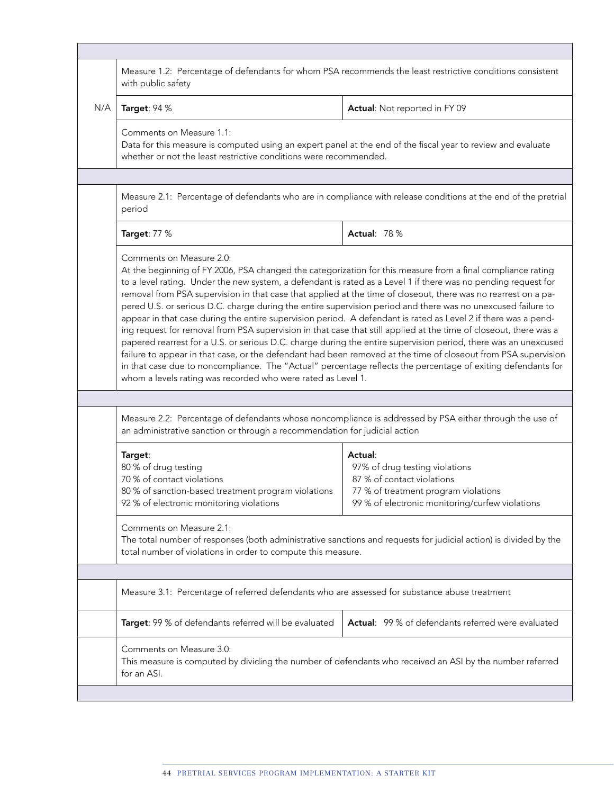|     | Measure 1.2: Percentage of defendants for whom PSA recommends the least restrictive conditions consistent<br>with public safety                                                                                                                                                                                                                                                                                                                                                                                                                                                                                                                                                                                                                                                                                                                                                                                                                                                                                                                                                                                                                         |                                                                                                                                                                    |  |  |  |
|-----|---------------------------------------------------------------------------------------------------------------------------------------------------------------------------------------------------------------------------------------------------------------------------------------------------------------------------------------------------------------------------------------------------------------------------------------------------------------------------------------------------------------------------------------------------------------------------------------------------------------------------------------------------------------------------------------------------------------------------------------------------------------------------------------------------------------------------------------------------------------------------------------------------------------------------------------------------------------------------------------------------------------------------------------------------------------------------------------------------------------------------------------------------------|--------------------------------------------------------------------------------------------------------------------------------------------------------------------|--|--|--|
| N/A | Target: 94 %<br>Actual: Not reported in FY 09                                                                                                                                                                                                                                                                                                                                                                                                                                                                                                                                                                                                                                                                                                                                                                                                                                                                                                                                                                                                                                                                                                           |                                                                                                                                                                    |  |  |  |
|     | Comments on Measure 1.1:<br>Data for this measure is computed using an expert panel at the end of the fiscal year to review and evaluate<br>whether or not the least restrictive conditions were recommended.                                                                                                                                                                                                                                                                                                                                                                                                                                                                                                                                                                                                                                                                                                                                                                                                                                                                                                                                           |                                                                                                                                                                    |  |  |  |
|     |                                                                                                                                                                                                                                                                                                                                                                                                                                                                                                                                                                                                                                                                                                                                                                                                                                                                                                                                                                                                                                                                                                                                                         |                                                                                                                                                                    |  |  |  |
|     | period                                                                                                                                                                                                                                                                                                                                                                                                                                                                                                                                                                                                                                                                                                                                                                                                                                                                                                                                                                                                                                                                                                                                                  | Measure 2.1: Percentage of defendants who are in compliance with release conditions at the end of the pretrial                                                     |  |  |  |
|     | <b>Target: 77 %</b>                                                                                                                                                                                                                                                                                                                                                                                                                                                                                                                                                                                                                                                                                                                                                                                                                                                                                                                                                                                                                                                                                                                                     | Actual: 78%                                                                                                                                                        |  |  |  |
|     | Comments on Measure 2.0:<br>At the beginning of FY 2006, PSA changed the categorization for this measure from a final compliance rating<br>to a level rating. Under the new system, a defendant is rated as a Level 1 if there was no pending request for<br>removal from PSA supervision in that case that applied at the time of closeout, there was no rearrest on a pa-<br>pered U.S. or serious D.C. charge during the entire supervision period and there was no unexcused failure to<br>appear in that case during the entire supervision period. A defendant is rated as Level 2 if there was a pend-<br>ing request for removal from PSA supervision in that case that still applied at the time of closeout, there was a<br>papered rearrest for a U.S. or serious D.C. charge during the entire supervision period, there was an unexcused<br>failure to appear in that case, or the defendant had been removed at the time of closeout from PSA supervision<br>in that case due to noncompliance. The "Actual" percentage reflects the percentage of exiting defendants for<br>whom a levels rating was recorded who were rated as Level 1. |                                                                                                                                                                    |  |  |  |
|     |                                                                                                                                                                                                                                                                                                                                                                                                                                                                                                                                                                                                                                                                                                                                                                                                                                                                                                                                                                                                                                                                                                                                                         |                                                                                                                                                                    |  |  |  |
|     |                                                                                                                                                                                                                                                                                                                                                                                                                                                                                                                                                                                                                                                                                                                                                                                                                                                                                                                                                                                                                                                                                                                                                         |                                                                                                                                                                    |  |  |  |
|     | Measure 2.2: Percentage of defendants whose noncompliance is addressed by PSA either through the use of<br>an administrative sanction or through a recommendation for judicial action                                                                                                                                                                                                                                                                                                                                                                                                                                                                                                                                                                                                                                                                                                                                                                                                                                                                                                                                                                   |                                                                                                                                                                    |  |  |  |
|     | Target:<br>80 % of drug testing<br>70 % of contact violations<br>80 % of sanction-based treatment program violations<br>92 % of electronic monitoring violations                                                                                                                                                                                                                                                                                                                                                                                                                                                                                                                                                                                                                                                                                                                                                                                                                                                                                                                                                                                        | Actual:<br>97% of drug testing violations<br>87 % of contact violations<br>77 % of treatment program violations<br>99 % of electronic monitoring/curfew violations |  |  |  |
|     | Comments on Measure 2.1:<br>total number of violations in order to compute this measure.                                                                                                                                                                                                                                                                                                                                                                                                                                                                                                                                                                                                                                                                                                                                                                                                                                                                                                                                                                                                                                                                | The total number of responses (both administrative sanctions and requests for judicial action) is divided by the                                                   |  |  |  |
|     |                                                                                                                                                                                                                                                                                                                                                                                                                                                                                                                                                                                                                                                                                                                                                                                                                                                                                                                                                                                                                                                                                                                                                         |                                                                                                                                                                    |  |  |  |
|     | Measure 3.1: Percentage of referred defendants who are assessed for substance abuse treatment                                                                                                                                                                                                                                                                                                                                                                                                                                                                                                                                                                                                                                                                                                                                                                                                                                                                                                                                                                                                                                                           |                                                                                                                                                                    |  |  |  |
|     | Target: 99 % of defendants referred will be evaluated                                                                                                                                                                                                                                                                                                                                                                                                                                                                                                                                                                                                                                                                                                                                                                                                                                                                                                                                                                                                                                                                                                   | Actual: 99% of defendants referred were evaluated                                                                                                                  |  |  |  |

 $\blacksquare$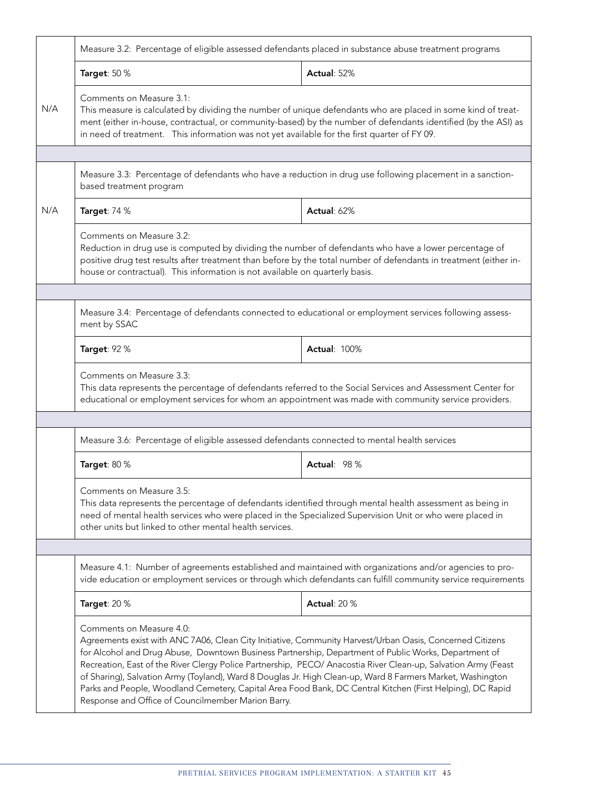|     | Measure 3.2: Percentage of eligible assessed defendants placed in substance abuse treatment programs                                                                                                                                                                                                                                                                                                                                                                                                                                                                                                                                            |                                                                                                                                                                                                                            |  |  |  |  |
|-----|-------------------------------------------------------------------------------------------------------------------------------------------------------------------------------------------------------------------------------------------------------------------------------------------------------------------------------------------------------------------------------------------------------------------------------------------------------------------------------------------------------------------------------------------------------------------------------------------------------------------------------------------------|----------------------------------------------------------------------------------------------------------------------------------------------------------------------------------------------------------------------------|--|--|--|--|
|     | Target: 50 %                                                                                                                                                                                                                                                                                                                                                                                                                                                                                                                                                                                                                                    | Actual: 52%                                                                                                                                                                                                                |  |  |  |  |
| N/A | Comments on Measure 3.1:<br>This measure is calculated by dividing the number of unique defendants who are placed in some kind of treat-<br>ment (either in-house, contractual, or community-based) by the number of defendants identified (by the ASI) as<br>in need of treatment. This information was not yet available for the first quarter of FY 09.                                                                                                                                                                                                                                                                                      |                                                                                                                                                                                                                            |  |  |  |  |
|     | based treatment program                                                                                                                                                                                                                                                                                                                                                                                                                                                                                                                                                                                                                         | Measure 3.3: Percentage of defendants who have a reduction in drug use following placement in a sanction-                                                                                                                  |  |  |  |  |
| N/A | Target: 74 %                                                                                                                                                                                                                                                                                                                                                                                                                                                                                                                                                                                                                                    | Actual: 62%                                                                                                                                                                                                                |  |  |  |  |
|     | Comments on Measure 3.2:<br>house or contractual). This information is not available on quarterly basis.                                                                                                                                                                                                                                                                                                                                                                                                                                                                                                                                        | Reduction in drug use is computed by dividing the number of defendants who have a lower percentage of<br>positive drug test results after treatment than before by the total number of defendants in treatment (either in- |  |  |  |  |
|     | ment by SSAC                                                                                                                                                                                                                                                                                                                                                                                                                                                                                                                                                                                                                                    | Measure 3.4: Percentage of defendants connected to educational or employment services following assess-                                                                                                                    |  |  |  |  |
|     | <b>Target: 92 %</b>                                                                                                                                                                                                                                                                                                                                                                                                                                                                                                                                                                                                                             | <b>Actual: 100%</b>                                                                                                                                                                                                        |  |  |  |  |
|     | Comments on Measure 3.3:                                                                                                                                                                                                                                                                                                                                                                                                                                                                                                                                                                                                                        | This data represents the percentage of defendants referred to the Social Services and Assessment Center for<br>educational or employment services for whom an appointment was made with community service providers.       |  |  |  |  |
|     | Measure 3.6: Percentage of eligible assessed defendants connected to mental health services                                                                                                                                                                                                                                                                                                                                                                                                                                                                                                                                                     |                                                                                                                                                                                                                            |  |  |  |  |
|     | Target: 80 %                                                                                                                                                                                                                                                                                                                                                                                                                                                                                                                                                                                                                                    | Actual: 98 %                                                                                                                                                                                                               |  |  |  |  |
|     | Comments on Measure 3.5:<br>This data represents the percentage of defendants identified through mental health assessment as being in<br>need of mental health services who were placed in the Specialized Supervision Unit or who were placed in<br>other units but linked to other mental health services.                                                                                                                                                                                                                                                                                                                                    |                                                                                                                                                                                                                            |  |  |  |  |
|     |                                                                                                                                                                                                                                                                                                                                                                                                                                                                                                                                                                                                                                                 | Measure 4.1: Number of agreements established and maintained with organizations and/or agencies to pro-<br>vide education or employment services or through which defendants can fulfill community service requirements    |  |  |  |  |
|     | <b>Target: 20 %</b>                                                                                                                                                                                                                                                                                                                                                                                                                                                                                                                                                                                                                             | <b>Actual: 20 %</b>                                                                                                                                                                                                        |  |  |  |  |
|     | Comments on Measure 4.0:<br>Agreements exist with ANC 7A06, Clean City Initiative, Community Harvest/Urban Oasis, Concerned Citizens<br>for Alcohol and Drug Abuse, Downtown Business Partnership, Department of Public Works, Department of<br>Recreation, East of the River Clergy Police Partnership, PECO/ Anacostia River Clean-up, Salvation Army (Feast<br>of Sharing), Salvation Army (Toyland), Ward 8 Douglas Jr. High Clean-up, Ward 8 Farmers Market, Washington<br>Parks and People, Woodland Cemetery, Capital Area Food Bank, DC Central Kitchen (First Helping), DC Rapid<br>Response and Office of Councilmember Marion Barry. |                                                                                                                                                                                                                            |  |  |  |  |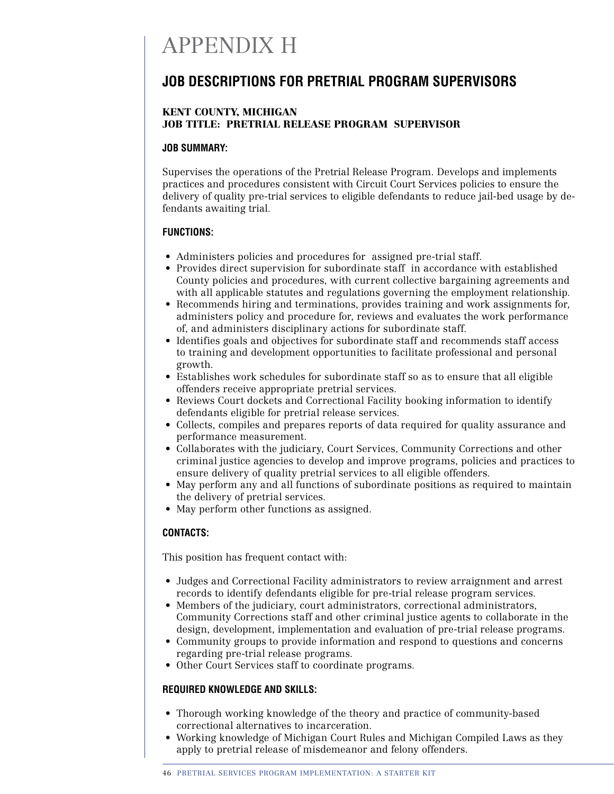# APPENDIX H

### **JOB DESCRIPTIONS FOR PRETRIAL PROGRAM SUPERVISORS**

### KENT COUNTY, MICHIGAN JOB TITLE: PRETRIAL RELEASE PROGRAM SUPERVISOR

### **JOB SUMMARY:**

Supervises the operations of the Pretrial Release Program. Develops and implements practices and procedures consistent with Circuit Court Services policies to ensure the delivery of quality pre-trial services to eligible defendants to reduce jail-bed usage by defendants awaiting trial.

### **FUNCTIONS:**

- Administers policies and procedures for assigned pre-trial staff.
- Provides direct supervision for subordinate staff in accordance with established County policies and procedures, with current collective bargaining agreements and with all applicable statutes and regulations governing the employment relationship.
- Recommends hiring and terminations, provides training and work assignments for, administers policy and procedure for, reviews and evaluates the work performance of, and administers disciplinary actions for subordinate staff.
- Identifies goals and objectives for subordinate staff and recommends staff access to training and development opportunities to facilitate professional and personal growth.
- Establishes work schedules for subordinate staff so as to ensure that all eligible offenders receive appropriate pretrial services.
- Reviews Court dockets and Correctional Facility booking information to identify defendants eligible for pretrial release services.
- Collects, compiles and prepares reports of data required for quality assurance and performance measurement.
- Collaborates with the judiciary, Court Services, Community Corrections and other criminal justice agencies to develop and improve programs, policies and practices to ensure delivery of quality pretrial services to all eligible offenders.
- May perform any and all functions of subordinate positions as required to maintain the delivery of pretrial services.
- May perform other functions as assigned.

### **CONTACTS:**

This position has frequent contact with:

- Judges and Correctional Facility administrators to review arraignment and arrest records to identify defendants eligible for pre-trial release program services.
- Members of the judiciary, court administrators, correctional administrators, Community Corrections staff and other criminal justice agents to collaborate in the design, development, implementation and evaluation of pre-trial release programs.
- Community groups to provide information and respond to questions and concerns regarding pre-trial release programs.
- Other Court Services staff to coordinate programs.

### **REQUIRED KNOWLEDGE AND SKILLS:**

- Thorough working knowledge of the theory and practice of community-based correctional alternatives to incarceration.
- Working knowledge of Michigan Court Rules and Michigan Compiled Laws as they apply to pretrial release of misdemeanor and felony offenders.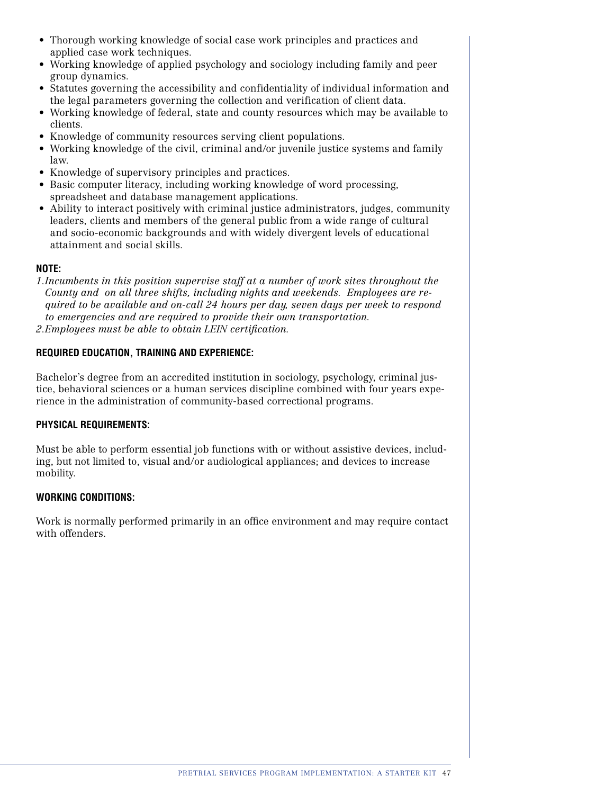- Thorough working knowledge of social case work principles and practices and applied case work techniques.
- Working knowledge of applied psychology and sociology including family and peer group dynamics.
- Statutes governing the accessibility and confidentiality of individual information and the legal parameters governing the collection and verification of client data.
- Working knowledge of federal, state and county resources which may be available to clients.
- Knowledge of community resources serving client populations.
- Working knowledge of the civil, criminal and/or juvenile justice systems and family law.
- Knowledge of supervisory principles and practices.
- Basic computer literacy, including working knowledge of word processing, spreadsheet and database management applications.
- Ability to interact positively with criminal justice administrators, judges, community leaders, clients and members of the general public from a wide range of cultural and socio-economic backgrounds and with widely divergent levels of educational attainment and social skills.

### **NOTE:**

*1.Incumbents in this position supervise staff at a number of work sites throughout the County and on all three shifts, including nights and weekends. Employees are required to be available and on-call 24 hours per day, seven days per week to respond to emergencies and are required to provide their own transportation. 2.Employees must be able to obtain LEIN certification.*

### **REQUIRED EDUCATION, TRAINING AND EXPERIENCE:**

Bachelor's degree from an accredited institution in sociology, psychology, criminal justice, behavioral sciences or a human services discipline combined with four years experience in the administration of community-based correctional programs.

### **PHYSICAL REQUIREMENTS:**

Must be able to perform essential job functions with or without assistive devices, including, but not limited to, visual and/or audiological appliances; and devices to increase mobility.

### **WORKING CONDITIONS:**

Work is normally performed primarily in an office environment and may require contact with offenders.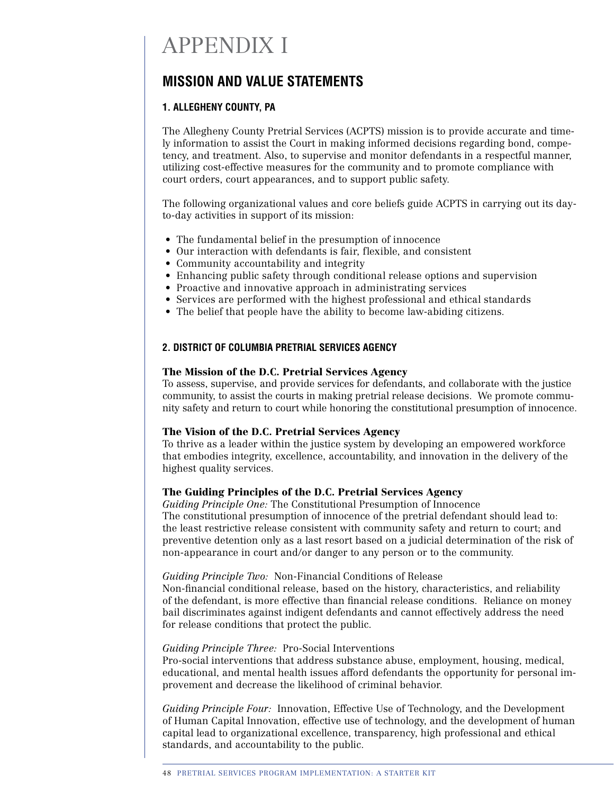# APPENDIX I

### **MISSION AND VALUE STATEMENTS**

### **1. ALLEGHENY COUNTY, PA**

The Allegheny County Pretrial Services (ACPTS) mission is to provide accurate and timely information to assist the Court in making informed decisions regarding bond, competency, and treatment. Also, to supervise and monitor defendants in a respectful manner, utilizing cost-effective measures for the community and to promote compliance with court orders, court appearances, and to support public safety.

The following organizational values and core beliefs guide ACPTS in carrying out its dayto-day activities in support of its mission:

- The fundamental belief in the presumption of innocence
- Our interaction with defendants is fair, flexible, and consistent
- Community accountability and integrity
- Enhancing public safety through conditional release options and supervision
- Proactive and innovative approach in administrating services
- Services are performed with the highest professional and ethical standards
- The belief that people have the ability to become law-abiding citizens.

### **2. DISTRICT OF COLUMBIA PRETRIAL SERVICES AGENCY**

### The Mission of the D.C. Pretrial Services Agency

To assess, supervise, and provide services for defendants, and collaborate with the justice community, to assist the courts in making pretrial release decisions. We promote community safety and return to court while honoring the constitutional presumption of innocence.

### The Vision of the D.C. Pretrial Services Agency

To thrive as a leader within the justice system by developing an empowered workforce that embodies integrity, excellence, accountability, and innovation in the delivery of the highest quality services.

### The Guiding Principles of the D.C. Pretrial Services Agency

*Guiding Principle One:* The Constitutional Presumption of Innocence The constitutional presumption of innocence of the pretrial defendant should lead to: the least restrictive release consistent with community safety and return to court; and preventive detention only as a last resort based on a judicial determination of the risk of non-appearance in court and/or danger to any person or to the community.

### *Guiding Principle Two:* Non-Financial Conditions of Release

Non-financial conditional release, based on the history, characteristics, and reliability of the defendant, is more effective than financial release conditions. Reliance on money bail discriminates against indigent defendants and cannot effectively address the need for release conditions that protect the public.

### *Guiding Principle Three:* Pro-Social Interventions

Pro-social interventions that address substance abuse, employment, housing, medical, educational, and mental health issues afford defendants the opportunity for personal improvement and decrease the likelihood of criminal behavior.

*Guiding Principle Four:* Innovation, Effective Use of Technology, and the Development of Human Capital Innovation, effective use of technology, and the development of human capital lead to organizational excellence, transparency, high professional and ethical standards, and accountability to the public.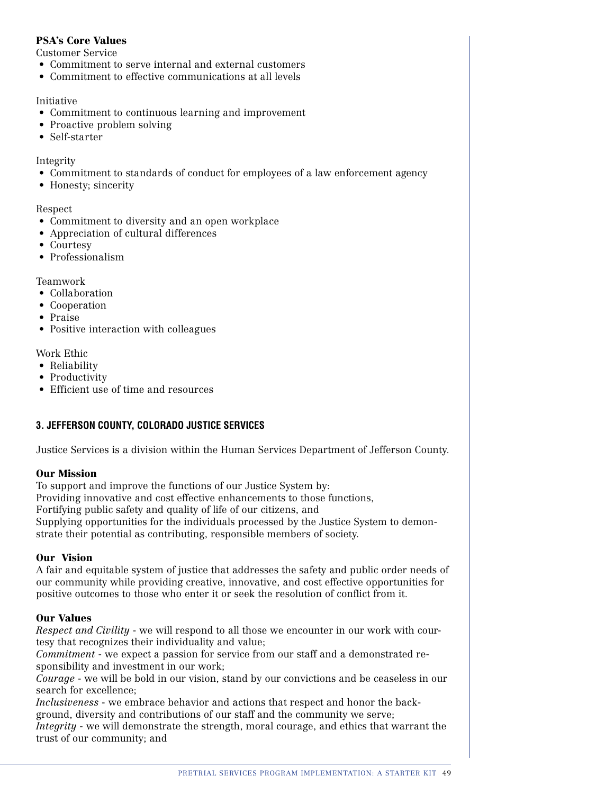### PSA's Core Values

Customer Service

- Commitment to serve internal and external customers
- Commitment to effective communications at all levels

### Initiative

- Commitment to continuous learning and improvement
- Proactive problem solving
- Self-starter

Integrity

- Commitment to standards of conduct for employees of a law enforcement agency
- Honesty; sincerity

Respect

- Commitment to diversity and an open workplace
- Appreciation of cultural differences
- Courtesy
- Professionalism

Teamwork

- Collaboration
- Cooperation
- Praise
- Positive interaction with colleagues

Work Ethic

- Reliability
- Productivity
- Efficient use of time and resources

### **3. JEFFERSON COUNTY, COLORADO JUSTICE SERVICES**

Justice Services is a division within the Human Services Department of Jefferson County.

### Our Mission

To support and improve the functions of our Justice System by: Providing innovative and cost effective enhancements to those functions, Fortifying public safety and quality of life of our citizens, and Supplying opportunities for the individuals processed by the Justice System to demonstrate their potential as contributing, responsible members of society.

### Our Vision

A fair and equitable system of justice that addresses the safety and public order needs of our community while providing creative, innovative, and cost effective opportunities for positive outcomes to those who enter it or seek the resolution of conflict from it.

### Our Values

*Respect and Civility* - we will respond to all those we encounter in our work with courtesy that recognizes their individuality and value;

*Commitment* - we expect a passion for service from our staff and a demonstrated responsibility and investment in our work;

*Courage* - we will be bold in our vision, stand by our convictions and be ceaseless in our search for excellence;

*Inclusiveness* - we embrace behavior and actions that respect and honor the background, diversity and contributions of our staff and the community we serve;

*Integrity* - we will demonstrate the strength, moral courage, and ethics that warrant the trust of our community; and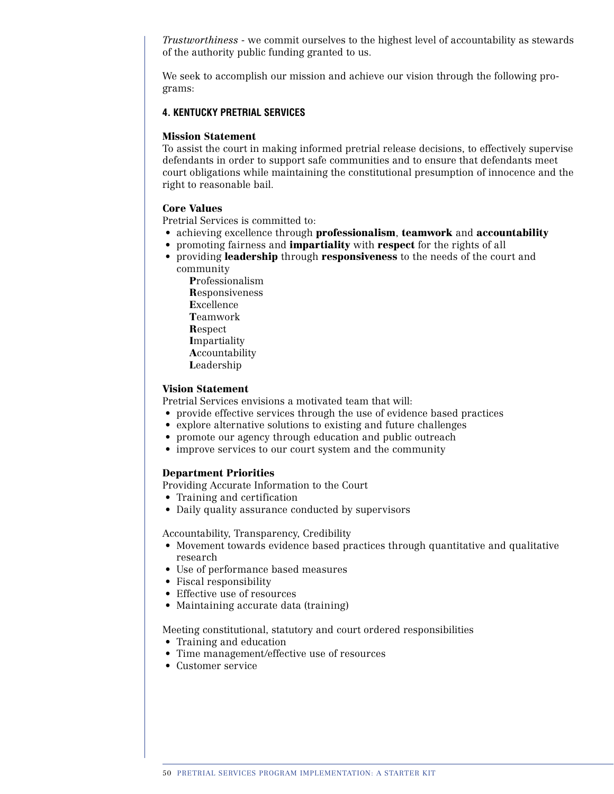*Trustworthiness* - we commit ourselves to the highest level of accountability as stewards of the authority public funding granted to us.

We seek to accomplish our mission and achieve our vision through the following programs:

### **4. KENTUCKY PRETRIAL SERVICES**

### Mission Statement

To assist the court in making informed pretrial release decisions, to effectively supervise defendants in order to support safe communities and to ensure that defendants meet court obligations while maintaining the constitutional presumption of innocence and the right to reasonable bail.

### Core Values

Pretrial Services is committed to:

- achieving excellence through professionalism, teamwork and accountability
- promoting fairness and **impartiality** with **respect** for the rights of all
- providing **leadership** through **responsiveness** to the needs of the court and community

Professionalism Responsiveness Excellence Teamwork **Respect** Impartiality Accountability Leadership

### Vision Statement

Pretrial Services envisions a motivated team that will:

- provide effective services through the use of evidence based practices
- explore alternative solutions to existing and future challenges
- promote our agency through education and public outreach
- improve services to our court system and the community

### Department Priorities

Providing Accurate Information to the Court

- Training and certification
- Daily quality assurance conducted by supervisors

Accountability, Transparency, Credibility

- Movement towards evidence based practices through quantitative and qualitative research
- Use of performance based measures
- Fiscal responsibility
- Effective use of resources
- Maintaining accurate data (training)

Meeting constitutional, statutory and court ordered responsibilities

- Training and education
- Time management/effective use of resources
- Customer service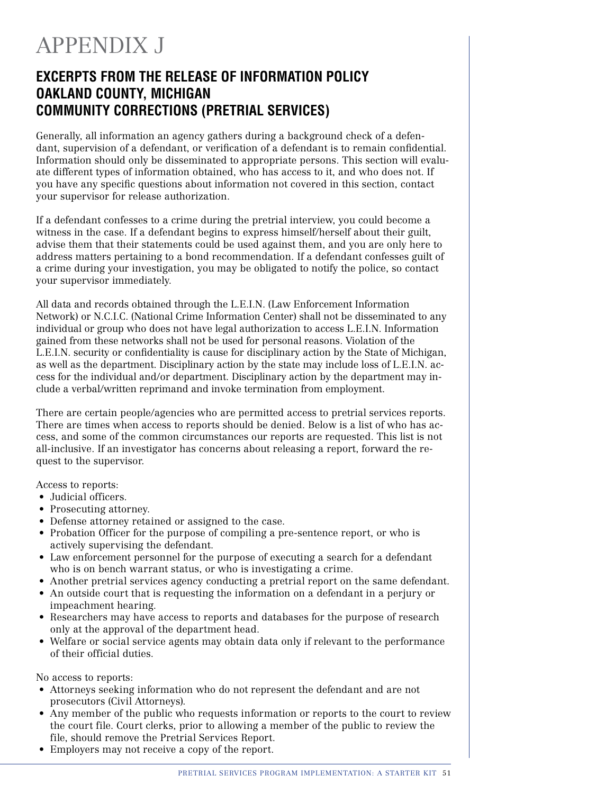# APPENDIX J

### **EXCERPTS FROM THE RELEASE OF INFORMATION POLICY OAKLAND COUNTY, MICHIGAN COMMUNITY CORRECTIONS (PRETRIAL SERVICES)**

Generally, all information an agency gathers during a background check of a defendant, supervision of a defendant, or verification of a defendant is to remain confidential. Information should only be disseminated to appropriate persons. This section will evaluate different types of information obtained, who has access to it, and who does not. If you have any specific questions about information not covered in this section, contact your supervisor for release authorization.

If a defendant confesses to a crime during the pretrial interview, you could become a witness in the case. If a defendant begins to express himself/herself about their guilt, advise them that their statements could be used against them, and you are only here to address matters pertaining to a bond recommendation. If a defendant confesses guilt of a crime during your investigation, you may be obligated to notify the police, so contact your supervisor immediately.

All data and records obtained through the L.E.I.N. (Law Enforcement Information Network) or N.C.I.C. (National Crime Information Center) shall not be disseminated to any individual or group who does not have legal authorization to access L.E.I.N. Information gained from these networks shall not be used for personal reasons. Violation of the L.E.I.N. security or confidentiality is cause for disciplinary action by the State of Michigan, as well as the department. Disciplinary action by the state may include loss of L.E.I.N. access for the individual and/or department. Disciplinary action by the department may include a verbal/written reprimand and invoke termination from employment.

There are certain people/agencies who are permitted access to pretrial services reports. There are times when access to reports should be denied. Below is a list of who has access, and some of the common circumstances our reports are requested. This list is not all-inclusive. If an investigator has concerns about releasing a report, forward the request to the supervisor.

Access to reports:

- Judicial officers.
- Prosecuting attorney.
- Defense attorney retained or assigned to the case.
- Probation Officer for the purpose of compiling a pre-sentence report, or who is actively supervising the defendant.
- Law enforcement personnel for the purpose of executing a search for a defendant who is on bench warrant status, or who is investigating a crime.
- Another pretrial services agency conducting a pretrial report on the same defendant.
- An outside court that is requesting the information on a defendant in a perjury or impeachment hearing.
- Researchers may have access to reports and databases for the purpose of research only at the approval of the department head.
- Welfare or social service agents may obtain data only if relevant to the performance of their official duties.

No access to reports:

- Attorneys seeking information who do not represent the defendant and are not prosecutors (Civil Attorneys).
- Any member of the public who requests information or reports to the court to review the court file. Court clerks, prior to allowing a member of the public to review the file, should remove the Pretrial Services Report.
- Employers may not receive a copy of the report.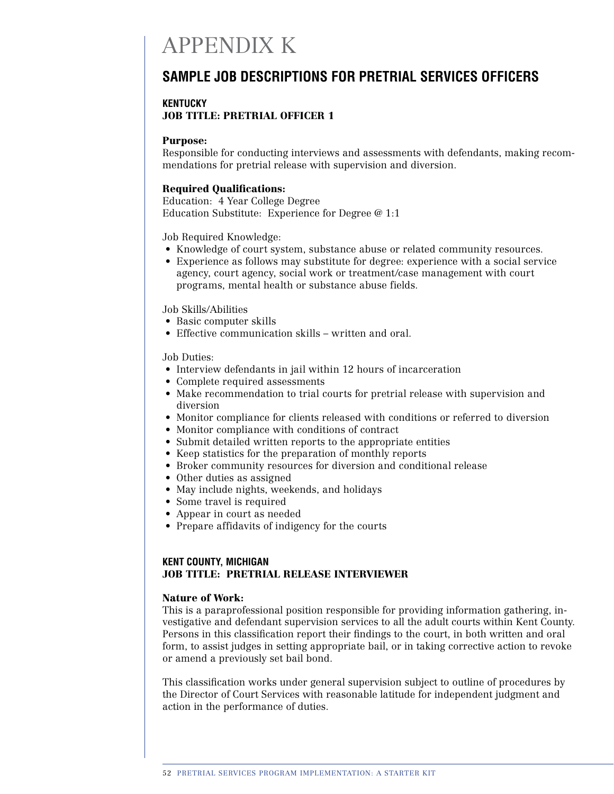# APPENDIX K

### **SAMPLE JOB DESCRIPTIONS FOR PRETRIAL SERVICES OFFICERS**

### **KENTUCKY** JOB TITLE: PRETRIAL OFFICER 1

### Purpose:

Responsible for conducting interviews and assessments with defendants, making recommendations for pretrial release with supervision and diversion.

### Required Qualifications:

Education: 4 Year College Degree Education Substitute: Experience for Degree @ 1:1

Job Required Knowledge:

- Knowledge of court system, substance abuse or related community resources.
- Experience as follows may substitute for degree: experience with a social service agency, court agency, social work or treatment/case management with court programs, mental health or substance abuse fields.

Job Skills/Abilities

- Basic computer skills
- Effective communication skills written and oral.

Job Duties:

- Interview defendants in jail within 12 hours of incarceration
- Complete required assessments
- Make recommendation to trial courts for pretrial release with supervision and diversion
- Monitor compliance for clients released with conditions or referred to diversion
- Monitor compliance with conditions of contract
- Submit detailed written reports to the appropriate entities
- Keep statistics for the preparation of monthly reports
- Broker community resources for diversion and conditional release
- Other duties as assigned
- May include nights, weekends, and holidays
- Some travel is required
- Appear in court as needed
- Prepare affidavits of indigency for the courts

### **KENT COUNTY, MICHIGAN** JOB TITLE: PRETRIAL RELEASE INTERVIEWER

### Nature of Work:

This is a paraprofessional position responsible for providing information gathering, investigative and defendant supervision services to all the adult courts within Kent County. Persons in this classification report their findings to the court, in both written and oral form, to assist judges in setting appropriate bail, or in taking corrective action to revoke or amend a previously set bail bond.

This classification works under general supervision subject to outline of procedures by the Director of Court Services with reasonable latitude for independent judgment and action in the performance of duties.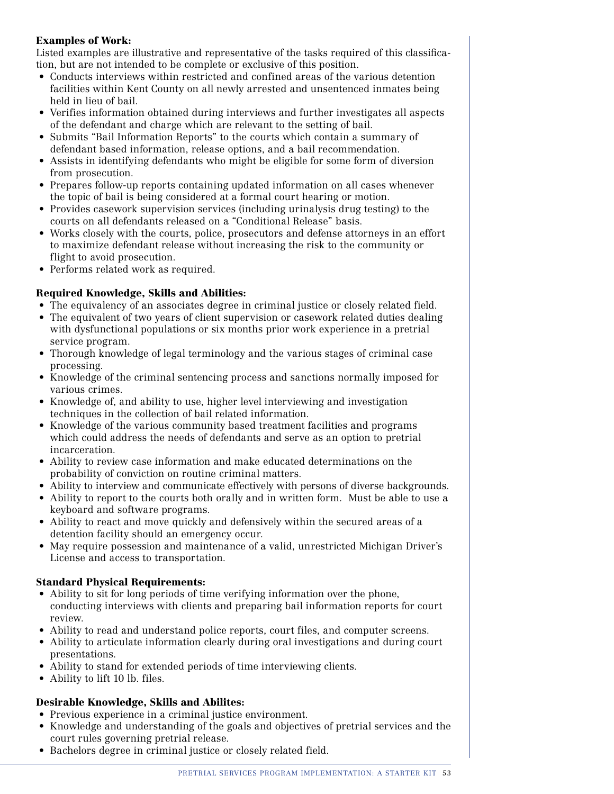### Examples of Work:

Listed examples are illustrative and representative of the tasks required of this classification, but are not intended to be complete or exclusive of this position.

- Conducts interviews within restricted and confined areas of the various detention facilities within Kent County on all newly arrested and unsentenced inmates being held in lieu of bail.
- Verifies information obtained during interviews and further investigates all aspects of the defendant and charge which are relevant to the setting of bail.
- Submits "Bail Information Reports" to the courts which contain a summary of defendant based information, release options, and a bail recommendation.
- Assists in identifying defendants who might be eligible for some form of diversion from prosecution.
- Prepares follow-up reports containing updated information on all cases whenever the topic of bail is being considered at a formal court hearing or motion.
- Provides casework supervision services (including urinalysis drug testing) to the courts on all defendants released on a "Conditional Release" basis.
- Works closely with the courts, police, prosecutors and defense attorneys in an effort to maximize defendant release without increasing the risk to the community or flight to avoid prosecution.
- Performs related work as required.

### Required Knowledge, Skills and Abilities:

- The equivalency of an associates degree in criminal justice or closely related field.
- The equivalent of two years of client supervision or casework related duties dealing with dysfunctional populations or six months prior work experience in a pretrial service program.
- Thorough knowledge of legal terminology and the various stages of criminal case processing.
- Knowledge of the criminal sentencing process and sanctions normally imposed for various crimes.
- Knowledge of, and ability to use, higher level interviewing and investigation techniques in the collection of bail related information.
- Knowledge of the various community based treatment facilities and programs which could address the needs of defendants and serve as an option to pretrial incarceration.
- Ability to review case information and make educated determinations on the probability of conviction on routine criminal matters.
- Ability to interview and communicate effectively with persons of diverse backgrounds.
- Ability to report to the courts both orally and in written form. Must be able to use a keyboard and software programs.
- Ability to react and move quickly and defensively within the secured areas of a detention facility should an emergency occur.
- May require possession and maintenance of a valid, unrestricted Michigan Driver's License and access to transportation.

### Standard Physical Requirements:

- Ability to sit for long periods of time verifying information over the phone, conducting interviews with clients and preparing bail information reports for court review.
- Ability to read and understand police reports, court files, and computer screens.
- Ability to articulate information clearly during oral investigations and during court presentations.
- Ability to stand for extended periods of time interviewing clients.
- Ability to lift 10 lb. files.

### Desirable Knowledge, Skills and Abilites:

- Previous experience in a criminal justice environment.
- Knowledge and understanding of the goals and objectives of pretrial services and the court rules governing pretrial release.
- Bachelors degree in criminal justice or closely related field.